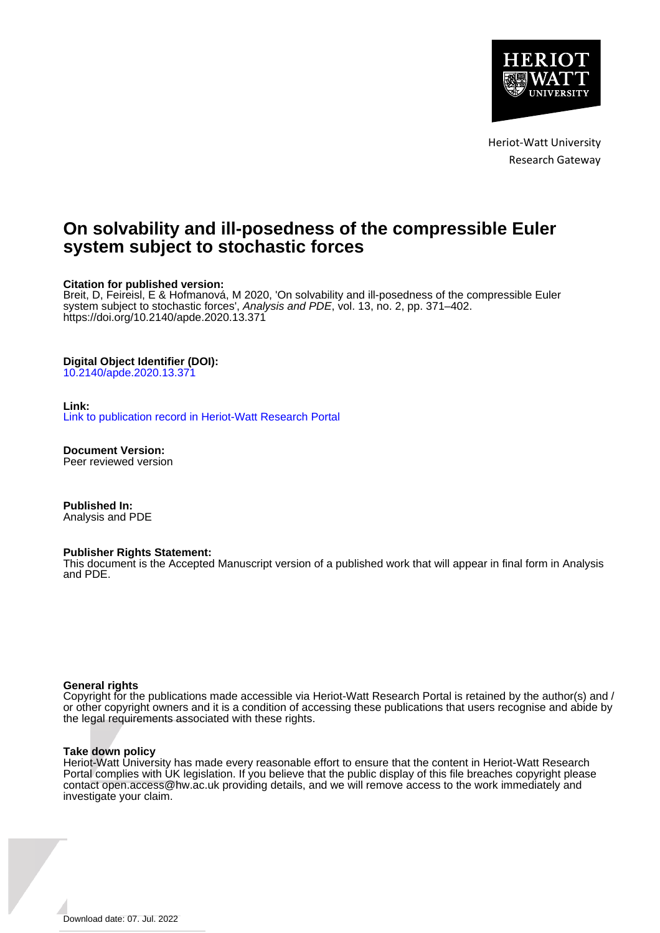

Heriot-Watt University Research Gateway

## **On solvability and ill-posedness of the compressible Euler system subject to stochastic forces**

#### **Citation for published version:**

Breit, D, Feireisl, E & Hofmanová, M 2020, 'On solvability and ill-posedness of the compressible Euler system subject to stochastic forces', Analysis and PDE, vol. 13, no. 2, pp. 371–402. <https://doi.org/10.2140/apde.2020.13.371>

### **Digital Object Identifier (DOI):**

[10.2140/apde.2020.13.371](https://doi.org/10.2140/apde.2020.13.371)

#### **Link:**

[Link to publication record in Heriot-Watt Research Portal](https://researchportal.hw.ac.uk/en/publications/c7f458f3-a0bf-4891-a412-31ac5140dcf2)

**Document Version:** Peer reviewed version

**Published In:** Analysis and PDE

#### **Publisher Rights Statement:**

This document is the Accepted Manuscript version of a published work that will appear in final form in Analysis and PDE.

#### **General rights**

Copyright for the publications made accessible via Heriot-Watt Research Portal is retained by the author(s) and / or other copyright owners and it is a condition of accessing these publications that users recognise and abide by the legal requirements associated with these rights.

#### **Take down policy**

Heriot-Watt University has made every reasonable effort to ensure that the content in Heriot-Watt Research Portal complies with UK legislation. If you believe that the public display of this file breaches copyright please contact open.access@hw.ac.uk providing details, and we will remove access to the work immediately and investigate your claim.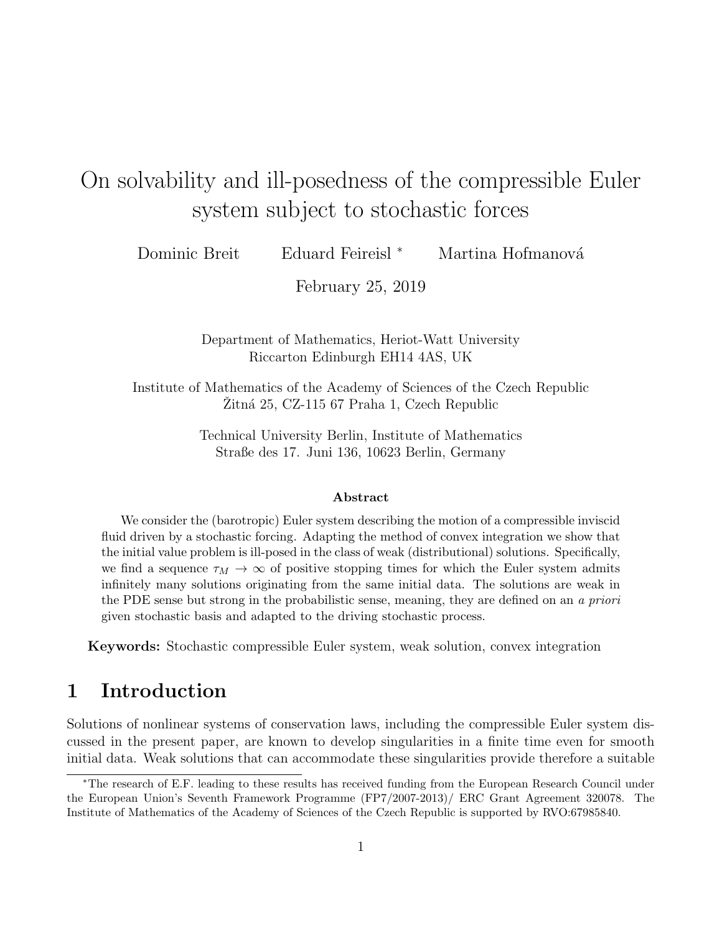# On solvability and ill-posedness of the compressible Euler system subject to stochastic forces

Dominic Breit ∴ Eduard Feireisl <sup>∗</sup> Martina Hofmanová

February 25, 2019

Department of Mathematics, Heriot-Watt University Riccarton Edinburgh EH14 4AS, UK

Institute of Mathematics of the Academy of Sciences of the Czech Republic  $Zitn\acute{a}$  25, CZ-115 67 Praha 1, Czech Republic

> Technical University Berlin, Institute of Mathematics Straße des 17. Juni 136, 10623 Berlin, Germany

#### Abstract

We consider the (barotropic) Euler system describing the motion of a compressible inviscid fluid driven by a stochastic forcing. Adapting the method of convex integration we show that the initial value problem is ill-posed in the class of weak (distributional) solutions. Specifically, we find a sequence  $\tau_M \to \infty$  of positive stopping times for which the Euler system admits infinitely many solutions originating from the same initial data. The solutions are weak in the PDE sense but strong in the probabilistic sense, meaning, they are defined on an a priori given stochastic basis and adapted to the driving stochastic process.

Keywords: Stochastic compressible Euler system, weak solution, convex integration

## 1 Introduction

Solutions of nonlinear systems of conservation laws, including the compressible Euler system discussed in the present paper, are known to develop singularities in a finite time even for smooth initial data. Weak solutions that can accommodate these singularities provide therefore a suitable

<sup>∗</sup>The research of E.F. leading to these results has received funding from the European Research Council under the European Union's Seventh Framework Programme (FP7/2007-2013)/ ERC Grant Agreement 320078. The Institute of Mathematics of the Academy of Sciences of the Czech Republic is supported by RVO:67985840.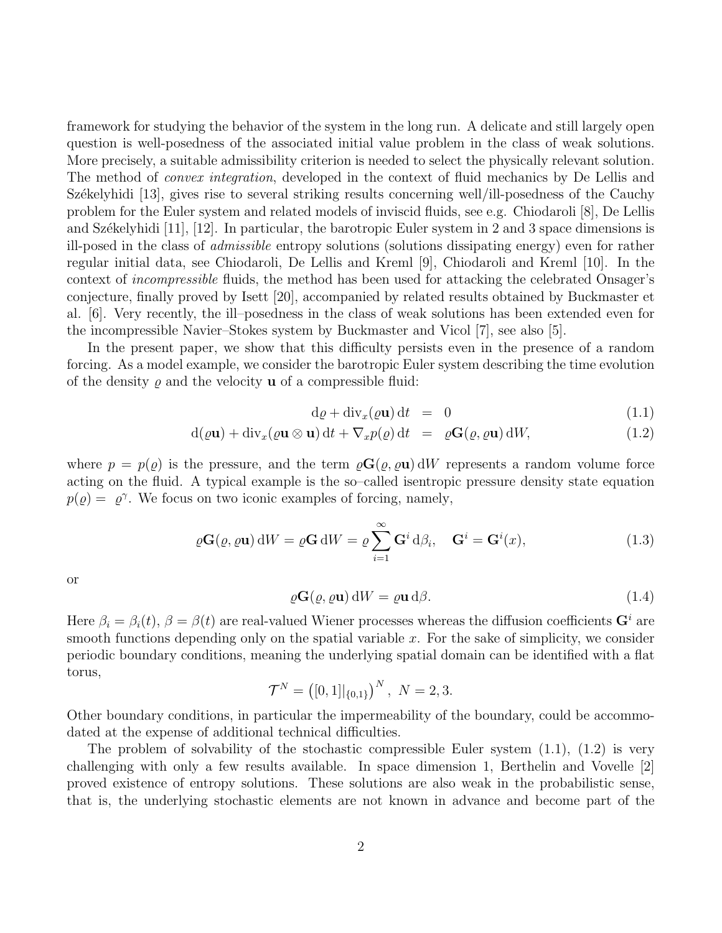framework for studying the behavior of the system in the long run. A delicate and still largely open question is well-posedness of the associated initial value problem in the class of weak solutions. More precisely, a suitable admissibility criterion is needed to select the physically relevant solution. The method of *convex integration*, developed in the context of fluid mechanics by De Lellis and Székelyhidi [13], gives rise to several striking results concerning well/ill-posedness of the Cauchy problem for the Euler system and related models of inviscid fluids, see e.g. Chiodaroli [8], De Lellis and Székelyhidi  $[11]$ ,  $[12]$ . In particular, the barotropic Euler system in 2 and 3 space dimensions is ill-posed in the class of admissible entropy solutions (solutions dissipating energy) even for rather regular initial data, see Chiodaroli, De Lellis and Kreml [9], Chiodaroli and Kreml [10]. In the context of incompressible fluids, the method has been used for attacking the celebrated Onsager's conjecture, finally proved by Isett [20], accompanied by related results obtained by Buckmaster et al. [6]. Very recently, the ill–posedness in the class of weak solutions has been extended even for the incompressible Navier–Stokes system by Buckmaster and Vicol [7], see also [5].

In the present paper, we show that this difficulty persists even in the presence of a random forcing. As a model example, we consider the barotropic Euler system describing the time evolution of the density  $\varrho$  and the velocity **u** of a compressible fluid:

$$
d\varrho + div_x(\varrho \mathbf{u}) dt = 0 \tag{1.1}
$$

$$
d(\varrho \mathbf{u}) + div_x(\varrho \mathbf{u} \otimes \mathbf{u}) dt + \nabla_x p(\varrho) dt = \varrho \mathbf{G}(\varrho, \varrho \mathbf{u}) dW,
$$
\n(1.2)

where  $p = p(\rho)$  is the pressure, and the term  $\rho G(\rho, \rho u)$  dW represents a random volume force acting on the fluid. A typical example is the so–called isentropic pressure density state equation  $p(\varrho) = \varrho^{\gamma}$ . We focus on two iconic examples of forcing, namely,

$$
\varrho \mathbf{G}(\varrho, \varrho \mathbf{u}) \, dW = \varrho \mathbf{G} \, dW = \varrho \sum_{i=1}^{\infty} \mathbf{G}^i \, d\beta_i, \quad \mathbf{G}^i = \mathbf{G}^i(x), \tag{1.3}
$$

or

$$
\varrho \mathbf{G}(\varrho, \varrho \mathbf{u}) \, \mathrm{d}W = \varrho \mathbf{u} \, \mathrm{d}\beta. \tag{1.4}
$$

Here  $\beta_i = \beta_i(t)$ ,  $\beta = \beta(t)$  are real-valued Wiener processes whereas the diffusion coefficients  $\mathbf{G}^i$  are smooth functions depending only on the spatial variable x. For the sake of simplicity, we consider periodic boundary conditions, meaning the underlying spatial domain can be identified with a flat torus,

$$
\mathcal{T}^N = ([0,1]|_{\{0,1\}})^N, \ N = 2,3.
$$

Other boundary conditions, in particular the impermeability of the boundary, could be accommodated at the expense of additional technical difficulties.

The problem of solvability of the stochastic compressible Euler system  $(1.1)$ ,  $(1.2)$  is very challenging with only a few results available. In space dimension 1, Berthelin and Vovelle [2] proved existence of entropy solutions. These solutions are also weak in the probabilistic sense, that is, the underlying stochastic elements are not known in advance and become part of the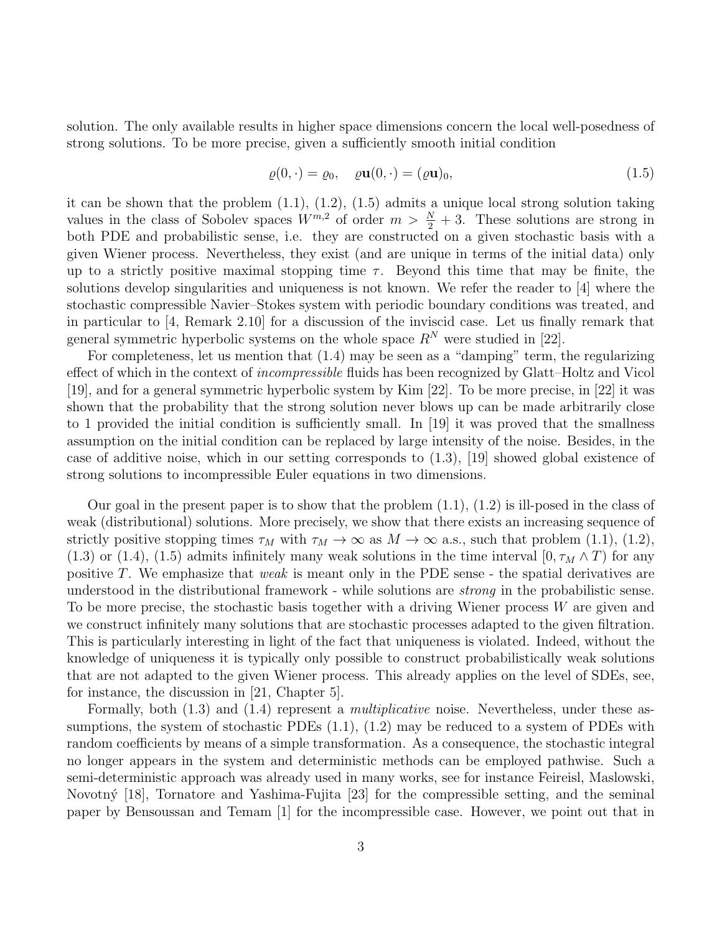solution. The only available results in higher space dimensions concern the local well-posedness of strong solutions. To be more precise, given a sufficiently smooth initial condition

$$
\varrho(0,\cdot) = \varrho_0, \quad \varrho \mathbf{u}(0,\cdot) = (\varrho \mathbf{u})_0,\tag{1.5}
$$

it can be shown that the problem (1.1), (1.2), (1.5) admits a unique local strong solution taking values in the class of Sobolev spaces  $W^{m,2}$  of order  $m > \frac{N}{2} + 3$ . These solutions are strong in both PDE and probabilistic sense, i.e. they are constructed on a given stochastic basis with a given Wiener process. Nevertheless, they exist (and are unique in terms of the initial data) only up to a strictly positive maximal stopping time  $\tau$ . Beyond this time that may be finite, the solutions develop singularities and uniqueness is not known. We refer the reader to [4] where the stochastic compressible Navier–Stokes system with periodic boundary conditions was treated, and in particular to [4, Remark 2.10] for a discussion of the inviscid case. Let us finally remark that general symmetric hyperbolic systems on the whole space  $R^N$  were studied in [22].

For completeness, let us mention that (1.4) may be seen as a "damping" term, the regularizing effect of which in the context of *incompressible* fluids has been recognized by Glatt–Holtz and Vicol [19], and for a general symmetric hyperbolic system by Kim [22]. To be more precise, in [22] it was shown that the probability that the strong solution never blows up can be made arbitrarily close to 1 provided the initial condition is sufficiently small. In [19] it was proved that the smallness assumption on the initial condition can be replaced by large intensity of the noise. Besides, in the case of additive noise, which in our setting corresponds to (1.3), [19] showed global existence of strong solutions to incompressible Euler equations in two dimensions.

Our goal in the present paper is to show that the problem  $(1.1)$ ,  $(1.2)$  is ill-posed in the class of weak (distributional) solutions. More precisely, we show that there exists an increasing sequence of strictly positive stopping times  $\tau_M$  with  $\tau_M \to \infty$  as  $M \to \infty$  a.s., such that problem (1.1), (1.2), (1.3) or (1.4), (1.5) admits infinitely many weak solutions in the time interval [0,  $\tau_M \wedge T$ ] for any positive T. We emphasize that weak is meant only in the PDE sense - the spatial derivatives are understood in the distributional framework - while solutions are strong in the probabilistic sense. To be more precise, the stochastic basis together with a driving Wiener process W are given and we construct infinitely many solutions that are stochastic processes adapted to the given filtration. This is particularly interesting in light of the fact that uniqueness is violated. Indeed, without the knowledge of uniqueness it is typically only possible to construct probabilistically weak solutions that are not adapted to the given Wiener process. This already applies on the level of SDEs, see, for instance, the discussion in [21, Chapter 5].

Formally, both  $(1.3)$  and  $(1.4)$  represent a *multiplicative* noise. Nevertheless, under these assumptions, the system of stochastic PDEs  $(1.1)$ ,  $(1.2)$  may be reduced to a system of PDEs with random coefficients by means of a simple transformation. As a consequence, the stochastic integral no longer appears in the system and deterministic methods can be employed pathwise. Such a semi-deterministic approach was already used in many works, see for instance Feireisl, Maslowski, Novotný [18], Tornatore and Yashima-Fujita [23] for the compressible setting, and the seminal paper by Bensoussan and Temam [1] for the incompressible case. However, we point out that in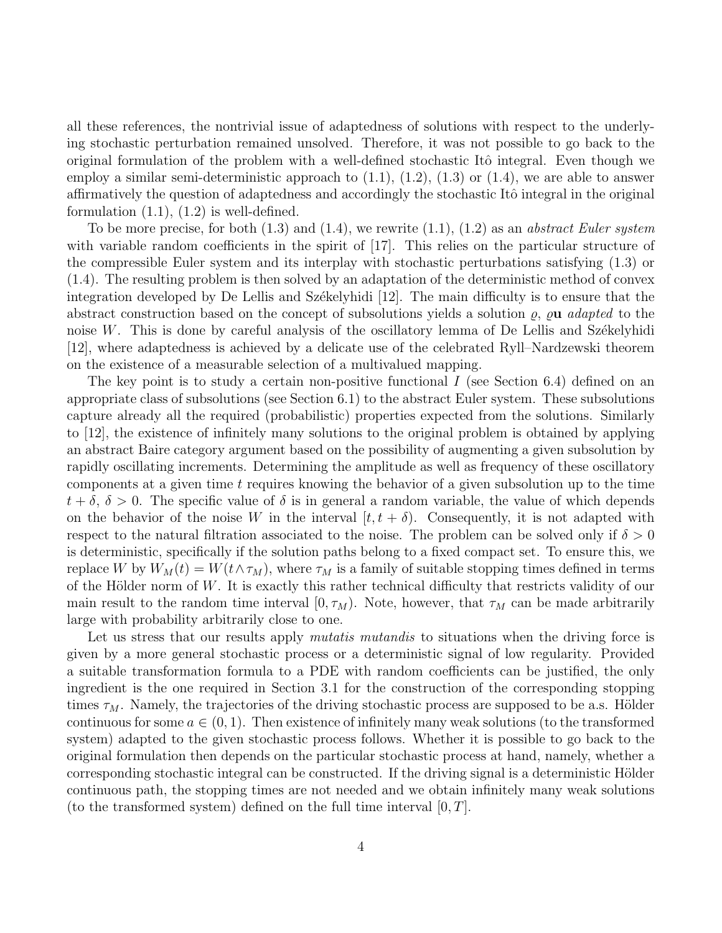all these references, the nontrivial issue of adaptedness of solutions with respect to the underlying stochastic perturbation remained unsolved. Therefore, it was not possible to go back to the original formulation of the problem with a well-defined stochastic Itô integral. Even though we employ a similar semi-deterministic approach to  $(1.1)$ ,  $(1.2)$ ,  $(1.3)$  or  $(1.4)$ , we are able to answer affirmatively the question of adaptedness and accordingly the stochastic Itô integral in the original formulation  $(1.1)$ ,  $(1.2)$  is well-defined.

To be more precise, for both  $(1.3)$  and  $(1.4)$ , we rewrite  $(1.1)$ ,  $(1.2)$  as an *abstract Euler system* with variable random coefficients in the spirit of [17]. This relies on the particular structure of the compressible Euler system and its interplay with stochastic perturbations satisfying (1.3) or (1.4). The resulting problem is then solved by an adaptation of the deterministic method of convex integration developed by De Lellis and Székelyhidi  $[12]$ . The main difficulty is to ensure that the abstract construction based on the concept of subsolutions yields a solution  $\rho$ ,  $\rho$ **u** adapted to the noise  $W$ . This is done by careful analysis of the oscillatory lemma of De Lellis and Székelyhidi [12], where adaptedness is achieved by a delicate use of the celebrated Ryll–Nardzewski theorem on the existence of a measurable selection of a multivalued mapping.

The key point is to study a certain non-positive functional  $I$  (see Section 6.4) defined on an appropriate class of subsolutions (see Section 6.1) to the abstract Euler system. These subsolutions capture already all the required (probabilistic) properties expected from the solutions. Similarly to [12], the existence of infinitely many solutions to the original problem is obtained by applying an abstract Baire category argument based on the possibility of augmenting a given subsolution by rapidly oscillating increments. Determining the amplitude as well as frequency of these oscillatory components at a given time  $t$  requires knowing the behavior of a given subsolution up to the time  $t + \delta$ ,  $\delta > 0$ . The specific value of  $\delta$  is in general a random variable, the value of which depends on the behavior of the noise W in the interval  $[t, t + \delta)$ . Consequently, it is not adapted with respect to the natural filtration associated to the noise. The problem can be solved only if  $\delta > 0$ is deterministic, specifically if the solution paths belong to a fixed compact set. To ensure this, we replace W by  $W_M(t) = W(t \wedge \tau_M)$ , where  $\tau_M$  is a family of suitable stopping times defined in terms of the Hölder norm of  $W$ . It is exactly this rather technical difficulty that restricts validity of our main result to the random time interval  $[0, \tau_M)$ . Note, however, that  $\tau_M$  can be made arbitrarily large with probability arbitrarily close to one.

Let us stress that our results apply *mutatis mutandis* to situations when the driving force is given by a more general stochastic process or a deterministic signal of low regularity. Provided a suitable transformation formula to a PDE with random coefficients can be justified, the only ingredient is the one required in Section 3.1 for the construction of the corresponding stopping times  $\tau_M$ . Namely, the trajectories of the driving stochastic process are supposed to be a.s. Hölder continuous for some  $a \in (0,1)$ . Then existence of infinitely many weak solutions (to the transformed system) adapted to the given stochastic process follows. Whether it is possible to go back to the original formulation then depends on the particular stochastic process at hand, namely, whether a corresponding stochastic integral can be constructed. If the driving signal is a deterministic Hölder continuous path, the stopping times are not needed and we obtain infinitely many weak solutions (to the transformed system) defined on the full time interval  $[0, T]$ .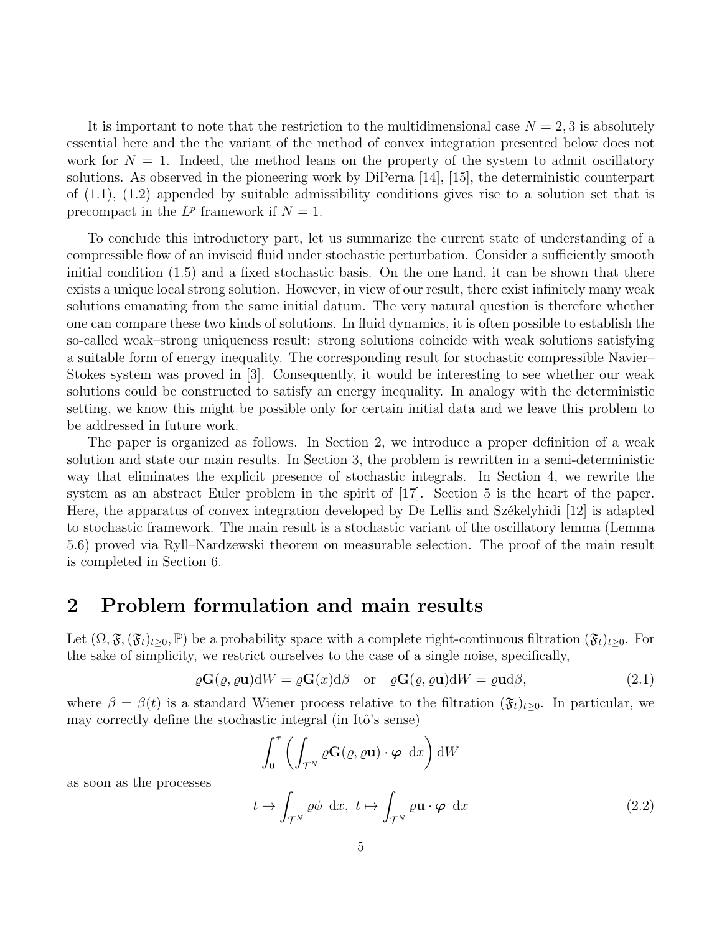It is important to note that the restriction to the multidimensional case  $N = 2, 3$  is absolutely essential here and the the variant of the method of convex integration presented below does not work for  $N = 1$ . Indeed, the method leans on the property of the system to admit oscillatory solutions. As observed in the pioneering work by DiPerna [14], [15], the deterministic counterpart of  $(1.1)$ ,  $(1.2)$  appended by suitable admissibility conditions gives rise to a solution set that is precompact in the  $L^p$  framework if  $N = 1$ .

To conclude this introductory part, let us summarize the current state of understanding of a compressible flow of an inviscid fluid under stochastic perturbation. Consider a sufficiently smooth initial condition (1.5) and a fixed stochastic basis. On the one hand, it can be shown that there exists a unique local strong solution. However, in view of our result, there exist infinitely many weak solutions emanating from the same initial datum. The very natural question is therefore whether one can compare these two kinds of solutions. In fluid dynamics, it is often possible to establish the so-called weak–strong uniqueness result: strong solutions coincide with weak solutions satisfying a suitable form of energy inequality. The corresponding result for stochastic compressible Navier– Stokes system was proved in [3]. Consequently, it would be interesting to see whether our weak solutions could be constructed to satisfy an energy inequality. In analogy with the deterministic setting, we know this might be possible only for certain initial data and we leave this problem to be addressed in future work.

The paper is organized as follows. In Section 2, we introduce a proper definition of a weak solution and state our main results. In Section 3, the problem is rewritten in a semi-deterministic way that eliminates the explicit presence of stochastic integrals. In Section 4, we rewrite the system as an abstract Euler problem in the spirit of [17]. Section 5 is the heart of the paper. Here, the apparatus of convex integration developed by De Lellis and Székelyhidi [12] is adapted to stochastic framework. The main result is a stochastic variant of the oscillatory lemma (Lemma 5.6) proved via Ryll–Nardzewski theorem on measurable selection. The proof of the main result is completed in Section 6.

## 2 Problem formulation and main results

Let  $(\Omega, \mathfrak{F},(\mathfrak{F}_t)_{t\geq0}, \mathbb{P})$  be a probability space with a complete right-continuous filtration  $(\mathfrak{F}_t)_{t\geq0}$ . For the sake of simplicity, we restrict ourselves to the case of a single noise, specifically,

$$
\rho \mathbf{G}(\varrho, \varrho \mathbf{u}) \mathrm{d}W = \rho \mathbf{G}(x) \mathrm{d}\beta \quad \text{or} \quad \varrho \mathbf{G}(\varrho, \varrho \mathbf{u}) \mathrm{d}W = \varrho \mathbf{u} \mathrm{d}\beta,\tag{2.1}
$$

where  $\beta = \beta(t)$  is a standard Wiener process relative to the filtration  $(\mathfrak{F}_t)_{t>0}$ . In particular, we may correctly define the stochastic integral (in Itô's sense)

$$
\int_0^{\tau} \left( \int_{\mathcal{T}^N} \varrho \mathbf{G}(\varrho, \varrho \mathbf{u}) \cdot \boldsymbol{\varphi} \, \mathrm{d}x \right) \mathrm{d}W
$$

as soon as the processes

$$
t \mapsto \int_{\mathcal{T}^N} \varrho \phi \, dx, \ t \mapsto \int_{\mathcal{T}^N} \varrho \mathbf{u} \cdot \boldsymbol{\varphi} \, dx \tag{2.2}
$$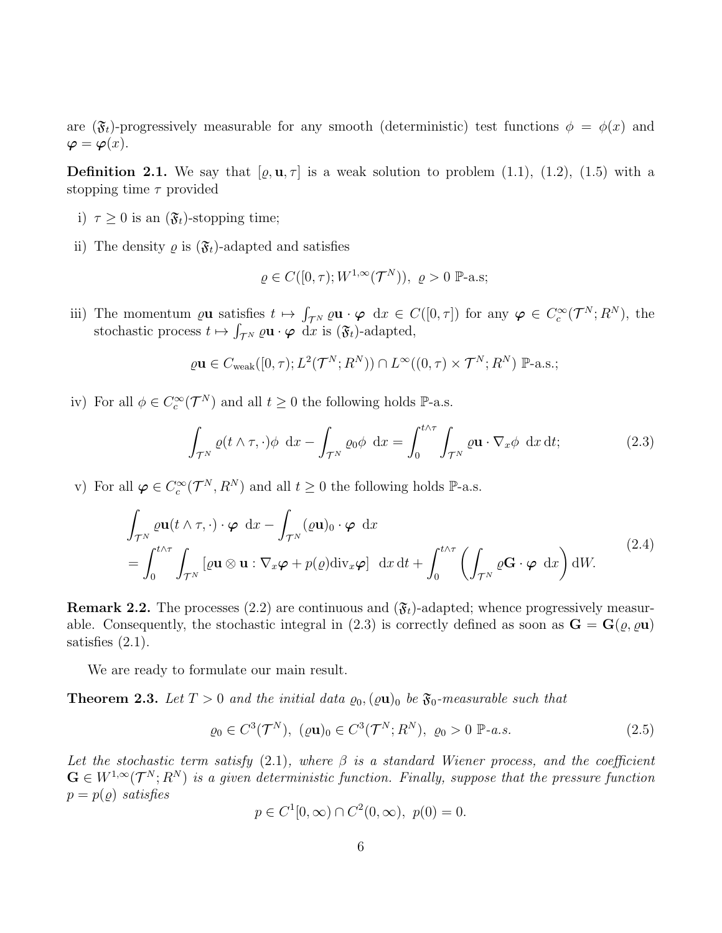are  $(\mathfrak{F}_t)$ -progressively measurable for any smooth (deterministic) test functions  $\phi = \phi(x)$  and  $\varphi = \varphi(x)$ .

**Definition 2.1.** We say that  $[\varrho, \mathbf{u}, \tau]$  is a weak solution to problem (1.1), (1.2), (1.5) with a stopping time  $\tau$  provided

- i)  $\tau \geq 0$  is an  $(\mathfrak{F}_t)$ -stopping time;
- ii) The density  $\varrho$  is  $(\mathfrak{F}_t)$ -adapted and satisfies

$$
\varrho\in C([0,\tau);W^{1,\infty}(\mathcal{T}^N)),\ \varrho>0\ \mathbb{P}\text{-a.s};
$$

iii) The momentum  $\varrho$ **u** satisfies  $t \mapsto \int_{\mathcal{T}^N} \varrho \mathbf{u} \cdot \boldsymbol{\varphi} \, dx \in C([0,\tau])$  for any  $\boldsymbol{\varphi} \in C_c^{\infty}(\mathcal{T}^N; R^N)$ , the stochastic process  $t \mapsto \int_{\mathcal{T}^N} \varrho \mathbf{u} \cdot \boldsymbol{\varphi} \, dx$  is  $(\mathfrak{F}_t)$ -adapted,

$$
\varrho \mathbf{u} \in C_{\text{weak}}([0,\tau); L^2(\mathcal{T}^N; R^N)) \cap L^{\infty}((0,\tau) \times \mathcal{T}^N; R^N) \mathbb{P}\text{-a.s.};
$$

iv) For all  $\phi \in C_c^{\infty}(\mathcal{T}^N)$  and all  $t \geq 0$  the following holds  $\mathbb{P}\text{-a.s.}$ 

$$
\int_{\mathcal{T}^N} \varrho(t \wedge \tau, \cdot) \phi \, dx - \int_{\mathcal{T}^N} \varrho_0 \phi \, dx = \int_0^{t \wedge \tau} \int_{\mathcal{T}^N} \varrho \mathbf{u} \cdot \nabla_x \phi \, dx \, dt; \tag{2.3}
$$

v) For all  $\varphi \in C_c^{\infty}(\mathcal{T}^N,R^N)$  and all  $t \geq 0$  the following holds  $\mathbb{P}\text{-a.s.}$ 

$$
\int_{\mathcal{T}^N} \varrho \mathbf{u}(t \wedge \tau, \cdot) \cdot \boldsymbol{\varphi} \, dx - \int_{\mathcal{T}^N} (\varrho \mathbf{u})_0 \cdot \boldsymbol{\varphi} \, dx \n= \int_0^{t \wedge \tau} \int_{\mathcal{T}^N} [\varrho \mathbf{u} \otimes \mathbf{u} : \nabla_x \boldsymbol{\varphi} + p(\varrho) \mathrm{div}_x \boldsymbol{\varphi}] \, dx \, dt + \int_0^{t \wedge \tau} \left( \int_{\mathcal{T}^N} \varrho \mathbf{G} \cdot \boldsymbol{\varphi} \, dx \right) dW.
$$
\n(2.4)

**Remark 2.2.** The processes (2.2) are continuous and  $(\mathfrak{F}_t)$ -adapted; whence progressively measurable. Consequently, the stochastic integral in (2.3) is correctly defined as soon as  $\mathbf{G} = \mathbf{G}(\varrho, \varrho \mathbf{u})$ satisfies (2.1).

We are ready to formulate our main result.

**Theorem 2.3.** Let  $T > 0$  and the initial data  $\varrho_0$ ,  $(\varrho \mathbf{u})_0$  be  $\mathfrak{F}_0$ -measurable such that

$$
\varrho_0 \in C^3(\mathcal{T}^N), \ (\varrho \mathbf{u})_0 \in C^3(\mathcal{T}^N; R^N), \ \varrho_0 > 0 \ \mathbb{P} \text{-} a.s. \tag{2.5}
$$

Let the stochastic term satisfy  $(2.1)$ , where  $\beta$  is a standard Wiener process, and the coefficient  $\mathbf{G} \in W^{1,\infty}(\mathcal{T}^N;R^N)$  is a given deterministic function. Finally, suppose that the pressure function  $p = p(\rho)$  satisfies

$$
p \in C^{1}[0, \infty) \cap C^{2}(0, \infty), \ p(0) = 0.
$$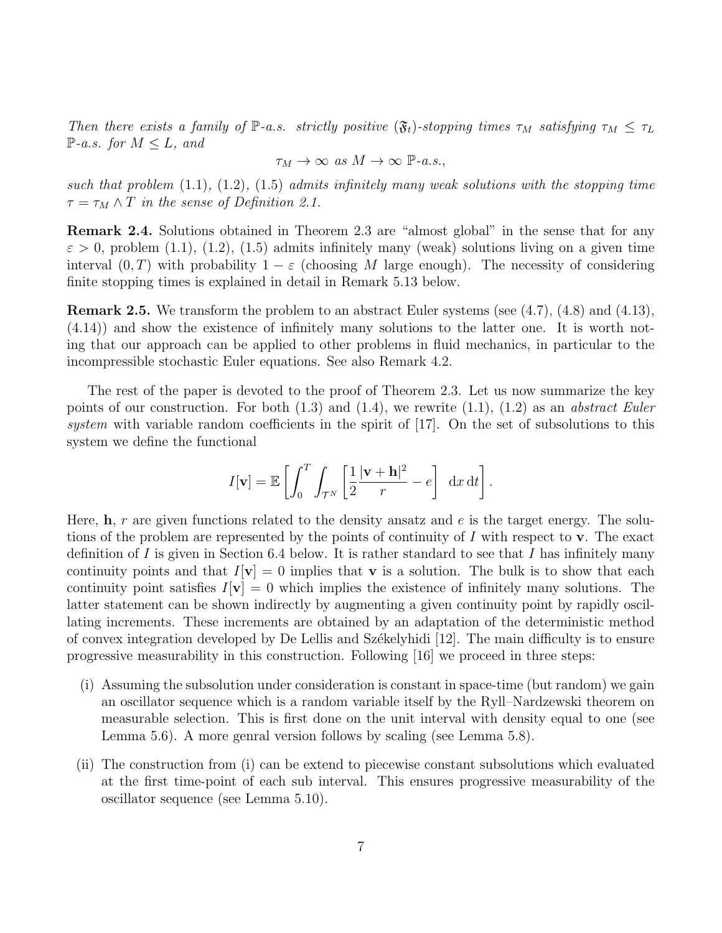Then there exists a family of  $\mathbb{P}\text{-}a.s.$  strictly positive  $(\mathfrak{F}_t)$ -stopping times  $\tau_M$  satisfying  $\tau_M \leq \tau_L$  $\mathbb{P}\text{-}a.s.$  for  $M \leq L$ , and

$$
\tau_M \to \infty \text{ as } M \to \infty \text{ } \mathbb{P}\text{-}a.s.,
$$

such that problem  $(1.1)$ ,  $(1.2)$ ,  $(1.5)$  admits infinitely many weak solutions with the stopping time  $\tau = \tau_M \wedge T$  in the sense of Definition 2.1.

Remark 2.4. Solutions obtained in Theorem 2.3 are "almost global" in the sense that for any  $\varepsilon > 0$ , problem (1.1), (1.2), (1.5) admits infinitely many (weak) solutions living on a given time interval  $(0, T)$  with probability  $1 - \varepsilon$  (choosing M large enough). The necessity of considering finite stopping times is explained in detail in Remark 5.13 below.

Remark 2.5. We transform the problem to an abstract Euler systems (see (4.7), (4.8) and (4.13), (4.14)) and show the existence of infinitely many solutions to the latter one. It is worth noting that our approach can be applied to other problems in fluid mechanics, in particular to the incompressible stochastic Euler equations. See also Remark 4.2.

The rest of the paper is devoted to the proof of Theorem 2.3. Let us now summarize the key points of our construction. For both  $(1.3)$  and  $(1.4)$ , we rewrite  $(1.1)$ ,  $(1.2)$  as an *abstract Euler* system with variable random coefficients in the spirit of [17]. On the set of subsolutions to this system we define the functional

$$
I[\mathbf{v}] = \mathbb{E}\left[\int_0^T \int_{\mathcal{T}^N} \left[\frac{1}{2} \frac{|\mathbf{v} + \mathbf{h}|^2}{r} - e\right] dx dt\right].
$$

Here,  $h, r$  are given functions related to the density ansatz and e is the target energy. The solutions of the problem are represented by the points of continuity of  $I$  with respect to v. The exact definition of I is given in Section 6.4 below. It is rather standard to see that I has infinitely many continuity points and that  $I[\mathbf{v}] = 0$  implies that **v** is a solution. The bulk is to show that each continuity point satisfies  $I[\mathbf{v}] = 0$  which implies the existence of infinitely many solutions. The latter statement can be shown indirectly by augmenting a given continuity point by rapidly oscillating increments. These increments are obtained by an adaptation of the deterministic method of convex integration developed by De Lellis and Székelyhidi  $[12]$ . The main difficulty is to ensure progressive measurability in this construction. Following [16] we proceed in three steps:

- (i) Assuming the subsolution under consideration is constant in space-time (but random) we gain an oscillator sequence which is a random variable itself by the Ryll–Nardzewski theorem on measurable selection. This is first done on the unit interval with density equal to one (see Lemma 5.6). A more genral version follows by scaling (see Lemma 5.8).
- (ii) The construction from (i) can be extend to piecewise constant subsolutions which evaluated at the first time-point of each sub interval. This ensures progressive measurability of the oscillator sequence (see Lemma 5.10).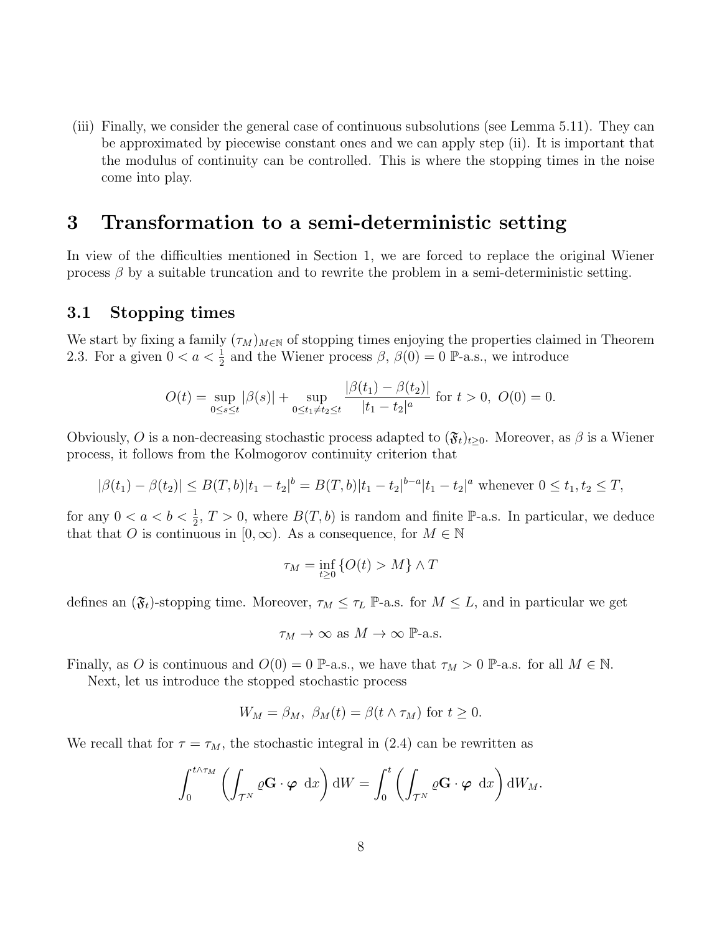(iii) Finally, we consider the general case of continuous subsolutions (see Lemma 5.11). They can be approximated by piecewise constant ones and we can apply step (ii). It is important that the modulus of continuity can be controlled. This is where the stopping times in the noise come into play.

## 3 Transformation to a semi-deterministic setting

In view of the difficulties mentioned in Section 1, we are forced to replace the original Wiener process  $\beta$  by a suitable truncation and to rewrite the problem in a semi-deterministic setting.

### 3.1 Stopping times

We start by fixing a family  $(\tau_M)_{M\in\mathbb{N}}$  of stopping times enjoying the properties claimed in Theorem 2.3. For a given  $0 < a < \frac{1}{2}$  and the Wiener process  $\beta$ ,  $\beta(0) = 0$  P-a.s., we introduce

$$
O(t) = \sup_{0 \le s \le t} |\beta(s)| + \sup_{0 \le t_1 \ne t_2 \le t} \frac{|\beta(t_1) - \beta(t_2)|}{|t_1 - t_2|^a} \text{ for } t > 0, \ O(0) = 0.
$$

Obviously, O is a non-decreasing stochastic process adapted to  $(\mathfrak{F}_t)_{t\geq0}$ . Moreover, as  $\beta$  is a Wiener process, it follows from the Kolmogorov continuity criterion that

$$
|\beta(t_1) - \beta(t_2)| \leq B(T, b)|t_1 - t_2|^b = B(T, b)|t_1 - t_2|^{b-a}|t_1 - t_2|^a
$$
 whenever  $0 \leq t_1, t_2 \leq T$ ,

for any  $0 < a < b < \frac{1}{2}$ ,  $T > 0$ , where  $B(T, b)$  is random and finite P-a.s. In particular, we deduce that that O is continuous in [0, ∞). As a consequence, for  $M \in \mathbb{N}$ 

$$
\tau_M = \inf_{t \ge 0} \{ O(t) > M \} \wedge T
$$

defines an  $(\mathfrak{F}_t)$ -stopping time. Moreover,  $\tau_M \leq \tau_L$  P-a.s. for  $M \leq L$ , and in particular we get

$$
\tau_M \to \infty \text{ as } M \to \infty \text{ P-a.s.}
$$

Finally, as O is continuous and  $O(0) = 0$  P-a.s., we have that  $\tau_M > 0$  P-a.s. for all  $M \in \mathbb{N}$ .

Next, let us introduce the stopped stochastic process

$$
W_M = \beta_M, \ \beta_M(t) = \beta(t \wedge \tau_M) \text{ for } t \ge 0.
$$

We recall that for  $\tau = \tau_M$ , the stochastic integral in (2.4) can be rewritten as

$$
\int_0^{t \wedge \tau_M} \left( \int_{\mathcal{T}^N} \varrho \mathbf{G} \cdot \boldsymbol{\varphi} \, dx \right) dW = \int_0^t \left( \int_{\mathcal{T}^N} \varrho \mathbf{G} \cdot \boldsymbol{\varphi} \, dx \right) dW_M.
$$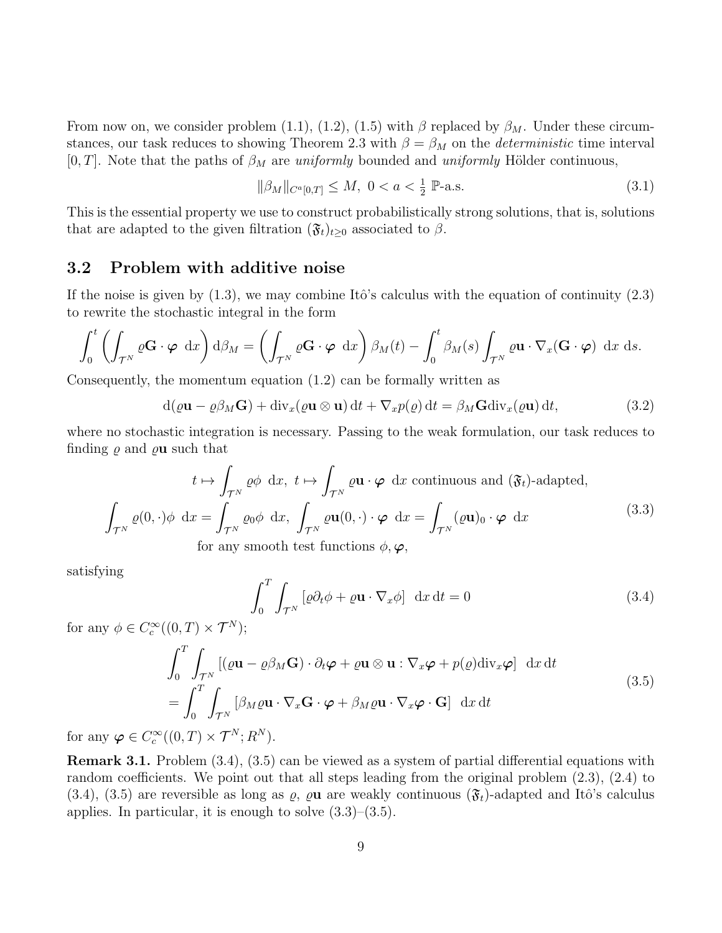From now on, we consider problem (1.1), (1.2), (1.5) with  $\beta$  replaced by  $\beta_M$ . Under these circumstances, our task reduces to showing Theorem 2.3 with  $\beta = \beta_M$  on the *deterministic* time interval [0, T]. Note that the paths of  $\beta_M$  are uniformly bounded and uniformly Hölder continuous,

$$
\|\beta_M\|_{C^a[0,T]} \le M, \ 0 < a < \frac{1}{2} \ \mathbb{P}\text{-a.s.} \tag{3.1}
$$

This is the essential property we use to construct probabilistically strong solutions, that is, solutions that are adapted to the given filtration  $(\mathfrak{F}_t)_{t\geq 0}$  associated to  $\beta$ .

### 3.2 Problem with additive noise

If the noise is given by  $(1.3)$ , we may combine Itô's calculus with the equation of continuity  $(2.3)$ to rewrite the stochastic integral in the form

$$
\int_0^t \left( \int_{\mathcal{T}^N} \varrho \mathbf{G} \cdot \boldsymbol{\varphi} \, dx \right) d\beta_M = \left( \int_{\mathcal{T}^N} \varrho \mathbf{G} \cdot \boldsymbol{\varphi} \, dx \right) \beta_M(t) - \int_0^t \beta_M(s) \int_{\mathcal{T}^N} \varrho \mathbf{u} \cdot \nabla_x (\mathbf{G} \cdot \boldsymbol{\varphi}) \, dx \, ds.
$$

Consequently, the momentum equation (1.2) can be formally written as

$$
d(\varrho \mathbf{u} - \varrho \beta_M \mathbf{G}) + div_x(\varrho \mathbf{u} \otimes \mathbf{u}) dt + \nabla_x p(\varrho) dt = \beta_M \mathbf{G} div_x(\varrho \mathbf{u}) dt,
$$
\n(3.2)

where no stochastic integration is necessary. Passing to the weak formulation, our task reduces to finding  $\rho$  and  $\rho$ **u** such that

$$
t \mapsto \int_{\mathcal{T}^N} \varrho \phi \, dx, \ t \mapsto \int_{\mathcal{T}^N} \varrho \mathbf{u} \cdot \boldsymbol{\varphi} \, dx \text{ continuous and } (\mathfrak{F}_t)\text{-adapted},
$$

$$
\int_{\mathcal{T}^N} \varrho(0, \cdot) \phi \, dx = \int_{\mathcal{T}^N} \varrho_0 \phi \, dx, \ \int_{\mathcal{T}^N} \varrho \mathbf{u}(0, \cdot) \cdot \boldsymbol{\varphi} \, dx = \int_{\mathcal{T}^N} (\varrho \mathbf{u})_0 \cdot \boldsymbol{\varphi} \, dx \tag{3.3}
$$
for any smooth test functions  $\phi, \varphi$ ,

satisfying

$$
\int_{0}^{T} \int_{\mathcal{T}^{N}} \left[ \varrho \partial_{t} \phi + \varrho \mathbf{u} \cdot \nabla_{x} \phi \right] dx dt = 0
$$
 (3.4)

for any  $\phi \in C_c^{\infty}((0,T) \times \mathcal{T}^N);$ 

$$
\int_{0}^{T} \int_{\mathcal{T}^{N}} \left[ (\varrho \mathbf{u} - \varrho \beta_{M} \mathbf{G}) \cdot \partial_{t} \boldsymbol{\varphi} + \varrho \mathbf{u} \otimes \mathbf{u} : \nabla_{x} \boldsymbol{\varphi} + p(\varrho) \text{div}_{x} \boldsymbol{\varphi} \right] dx dt
$$
\n
$$
= \int_{0}^{T} \int_{\mathcal{T}^{N}} \left[ \beta_{M} \varrho \mathbf{u} \cdot \nabla_{x} \mathbf{G} \cdot \boldsymbol{\varphi} + \beta_{M} \varrho \mathbf{u} \cdot \nabla_{x} \boldsymbol{\varphi} \cdot \mathbf{G} \right] dx dt
$$
\n(3.5)

for any  $\varphi \in C_c^{\infty}((0,T) \times \mathcal{T}^N; R^N)$ .

Remark 3.1. Problem  $(3.4)$ ,  $(3.5)$  can be viewed as a system of partial differential equations with random coefficients. We point out that all steps leading from the original problem (2.3), (2.4) to  $(3.4)$ ,  $(3.5)$  are reversible as long as  $\varrho$ ,  $\varrho$ **u** are weakly continuous  $(\mathfrak{F}_t)$ -adapted and Itô's calculus applies. In particular, it is enough to solve  $(3.3)$ – $(3.5)$ .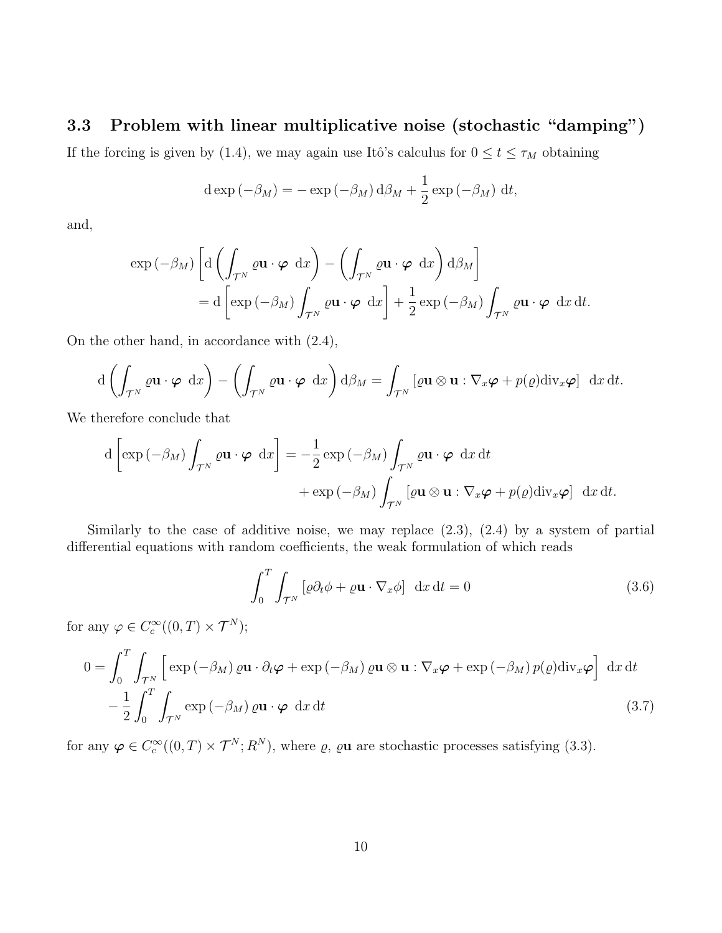### 3.3 Problem with linear multiplicative noise (stochastic "damping")

If the forcing is given by (1.4), we may again use Itô's calculus for  $0 \le t \le \tau_M$  obtaining

$$
d \exp(-\beta_M) = -\exp(-\beta_M) d\beta_M + \frac{1}{2} \exp(-\beta_M) dt,
$$

and,

$$
\exp(-\beta_M) \left[ d \left( \int_{\mathcal{T}^N} \varrho \mathbf{u} \cdot \boldsymbol{\varphi} \, dx \right) - \left( \int_{\mathcal{T}^N} \varrho \mathbf{u} \cdot \boldsymbol{\varphi} \, dx \right) d\beta_M \right]
$$
  
=  $d \left[ \exp(-\beta_M) \int_{\mathcal{T}^N} \varrho \mathbf{u} \cdot \boldsymbol{\varphi} \, dx \right] + \frac{1}{2} \exp(-\beta_M) \int_{\mathcal{T}^N} \varrho \mathbf{u} \cdot \boldsymbol{\varphi} \, dx \, dt.$ 

On the other hand, in accordance with (2.4),

$$
d\left(\int_{\mathcal{T}^N} \varrho \mathbf{u} \cdot \boldsymbol{\varphi} \, dx\right) - \left(\int_{\mathcal{T}^N} \varrho \mathbf{u} \cdot \boldsymbol{\varphi} \, dx\right) d\beta_M = \int_{\mathcal{T}^N} \left[\varrho \mathbf{u} \otimes \mathbf{u} : \nabla_x \boldsymbol{\varphi} + p(\varrho) \mathrm{div}_x \boldsymbol{\varphi}\right] \, dx \, dt.
$$

We therefore conclude that

$$
d\left[\exp\left(-\beta_M\right)\int_{\mathcal{T}^N}\varrho\mathbf{u}\cdot\boldsymbol{\varphi}\,dx\right] = -\frac{1}{2}\exp\left(-\beta_M\right)\int_{\mathcal{T}^N}\varrho\mathbf{u}\cdot\boldsymbol{\varphi}\,dx\,dt
$$

$$
+\exp\left(-\beta_M\right)\int_{\mathcal{T}^N}\left[\varrho\mathbf{u}\otimes\mathbf{u}:\nabla_x\boldsymbol{\varphi}+p(\varrho)\mathrm{div}_x\boldsymbol{\varphi}\right]\,dx\,dt.
$$

Similarly to the case of additive noise, we may replace (2.3), (2.4) by a system of partial differential equations with random coefficients, the weak formulation of which reads

$$
\int_{0}^{T} \int_{\mathcal{T}^{N}} \left[ \varrho \partial_{t} \phi + \varrho \mathbf{u} \cdot \nabla_{x} \phi \right] dx dt = 0
$$
\n(3.6)

for any  $\varphi \in C_c^{\infty}((0,T) \times \mathcal{T}^N);$ 

$$
0 = \int_0^T \int_{\mathcal{T}^N} \left[ \exp\left(-\beta_M\right) \varrho \mathbf{u} \cdot \partial_t \boldsymbol{\varphi} + \exp\left(-\beta_M\right) \varrho \mathbf{u} \otimes \mathbf{u} : \nabla_x \boldsymbol{\varphi} + \exp\left(-\beta_M\right) p(\varrho) \operatorname{div}_x \boldsymbol{\varphi} \right] dx dt - \frac{1}{2} \int_0^T \int_{\mathcal{T}^N} \exp\left(-\beta_M\right) \varrho \mathbf{u} \cdot \boldsymbol{\varphi} dx dt
$$
 (3.7)

for any  $\varphi \in C_c^{\infty}((0,T) \times \mathcal{T}^N; R^N)$ , where  $\varrho$ ,  $\varrho$ **u** are stochastic processes satisfying (3.3).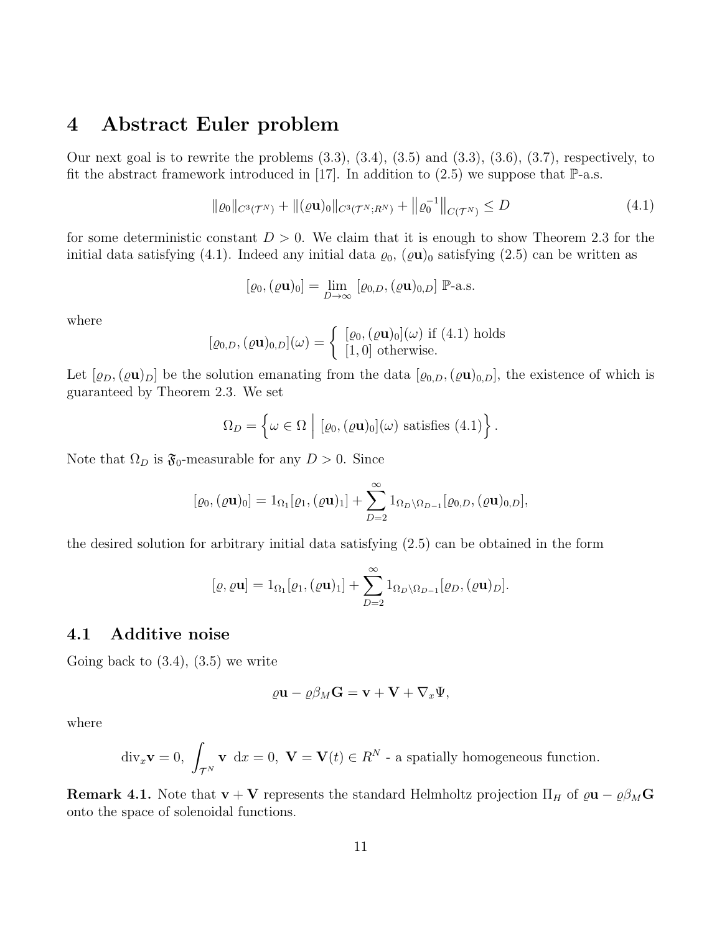## 4 Abstract Euler problem

Our next goal is to rewrite the problems  $(3.3)$ ,  $(3.4)$ ,  $(3.5)$  and  $(3.3)$ ,  $(3.6)$ ,  $(3.7)$ , respectively, to fit the abstract framework introduced in [17]. In addition to  $(2.5)$  we suppose that  $\mathbb{P}\text{-a.s.}$ 

$$
\|\varrho_0\|_{C^3(\mathcal{T}^N)} + \|(\varrho \mathbf{u})_0\|_{C^3(\mathcal{T}^N;R^N)} + \|\varrho_0^{-1}\|_{C(\mathcal{T}^N)} \le D \tag{4.1}
$$

for some deterministic constant  $D > 0$ . We claim that it is enough to show Theorem 2.3 for the initial data satisfying (4.1). Indeed any initial data  $\varrho_0$ ,  $(\varrho \mathbf{u})_0$  satisfying (2.5) can be written as

$$
[\varrho_0, (\varrho \mathbf{u})_0] = \lim_{D \to \infty} [\varrho_{0,D}, (\varrho \mathbf{u})_{0,D}] \; \mathbb{P}\text{-a.s.}
$$

where

$$
[\varrho_{0,D},(\varrho \mathbf{u})_{0,D}](\omega) = \begin{cases} [\varrho_0,(\varrho \mathbf{u})_0](\omega) \text{ if (4.1) holds} \\ [1,0] \text{ otherwise.} \end{cases}
$$

Let  $[\varrho_D,(\varrho \mathbf{u})_D]$  be the solution emanating from the data  $[\varrho_{0,D},(\varrho \mathbf{u})_{0,D}]$ , the existence of which is guaranteed by Theorem 2.3. We set

$$
\Omega_D = \left\{ \omega \in \Omega \, \middle| \, [\varrho_0, (\varrho \mathbf{u})_0](\omega) \text{ satisfies (4.1)} \right\}.
$$

Note that  $\Omega_D$  is  $\mathfrak{F}_0$ -measurable for any  $D > 0$ . Since

$$
[\varrho_0, (\varrho \mathbf{u})_0] = 1_{\Omega_1} [\varrho_1, (\varrho \mathbf{u})_1] + \sum_{D=2}^{\infty} 1_{\Omega_D \setminus \Omega_{D-1}} [\varrho_{0,D}, (\varrho \mathbf{u})_{0,D}],
$$

the desired solution for arbitrary initial data satisfying (2.5) can be obtained in the form

$$
[\varrho, \varrho \mathbf{u}] = 1_{\Omega_1}[\varrho_1, (\varrho \mathbf{u})_1] + \sum_{D=2}^{\infty} 1_{\Omega_D \setminus \Omega_{D-1}}[\varrho_D, (\varrho \mathbf{u})_D].
$$

### 4.1 Additive noise

Going back to  $(3.4)$ ,  $(3.5)$  we write

$$
\varrho \mathbf{u} - \varrho \beta_M \mathbf{G} = \mathbf{v} + \mathbf{V} + \nabla_x \Psi,
$$

where

$$
\text{div}_x \mathbf{v} = 0, \int_{\mathcal{T}^N} \mathbf{v} \, dx = 0, \ \mathbf{V} = \mathbf{V}(t) \in R^N \text{ - a spatially homogeneous function.}
$$

**Remark 4.1.** Note that  $\mathbf{v} + \mathbf{V}$  represents the standard Helmholtz projection  $\Pi_H$  of  $\varrho \mathbf{u} - \varrho \beta_M \mathbf{G}$ onto the space of solenoidal functions.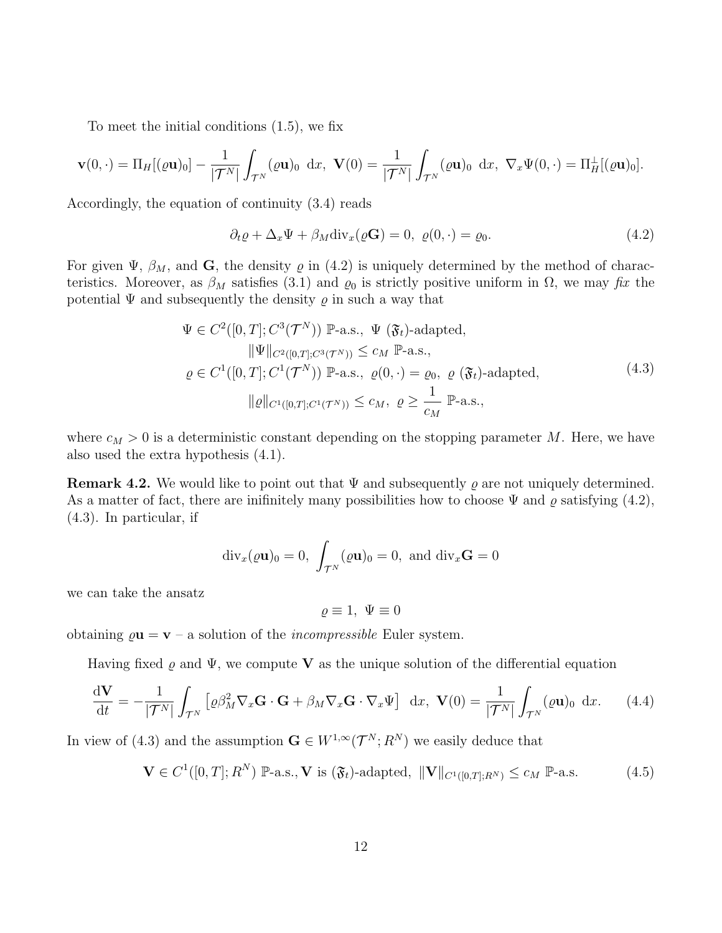To meet the initial conditions (1.5), we fix

$$
\mathbf{v}(0,\cdot)=\Pi_H[(\varrho\mathbf{u})_0]-\frac{1}{|\mathcal{T}^N|}\int_{\mathcal{T}^N}(\varrho\mathbf{u})_0\,\mathrm{d}x,\,\,\mathbf{V}(0)=\frac{1}{|\mathcal{T}^N|}\int_{\mathcal{T}^N}(\varrho\mathbf{u})_0\,\mathrm{d}x,\,\,\nabla_x\Psi(0,\cdot)=\Pi_H^{\perp}[(\varrho\mathbf{u})_0].
$$

Accordingly, the equation of continuity (3.4) reads

$$
\partial_t \varrho + \Delta_x \Psi + \beta_M \text{div}_x(\varrho \mathbf{G}) = 0, \ \varrho(0, \cdot) = \varrho_0. \tag{4.2}
$$

For given  $\Psi$ ,  $\beta_M$ , and G, the density  $\varrho$  in (4.2) is uniquely determined by the method of characteristics. Moreover, as  $\beta_M$  satisfies (3.1) and  $\varrho_0$  is strictly positive uniform in  $\Omega$ , we may fix the potential  $\Psi$  and subsequently the density  $\rho$  in such a way that

$$
\Psi \in C^{2}([0, T]; C^{3}(\mathcal{T}^{N})) \mathbb{P}\text{-a.s., } \Psi (\mathfrak{F}_{t})\text{-adapted},
$$
  
\n
$$
\|\Psi\|_{C^{2}([0, T]; C^{3}(\mathcal{T}^{N}))} \leq c_{M} \mathbb{P}\text{-a.s.,}
$$
  
\n
$$
\varrho \in C^{1}([0, T]; C^{1}(\mathcal{T}^{N})) \mathbb{P}\text{-a.s., } \varrho(0, \cdot) = \varrho_{0}, \varrho (\mathfrak{F}_{t})\text{-adapted},
$$
  
\n
$$
\|\varrho\|_{C^{1}([0, T]; C^{1}(\mathcal{T}^{N}))} \leq c_{M}, \varrho \geq \frac{1}{c_{M}} \mathbb{P}\text{-a.s.,}
$$
  
\n(4.3)

where  $c_M > 0$  is a deterministic constant depending on the stopping parameter M. Here, we have also used the extra hypothesis (4.1).

**Remark 4.2.** We would like to point out that  $\Psi$  and subsequently  $\rho$  are not uniquely determined. As a matter of fact, there are inifinitely many possibilities how to choose  $\Psi$  and  $\rho$  satisfying (4.2), (4.3). In particular, if

$$
\mathrm{div}_x(\varrho \mathbf{u})_0 = 0, \ \int_{\mathcal{T}^N} (\varrho \mathbf{u})_0 = 0, \text{ and } \mathrm{div}_x \mathbf{G} = 0
$$

we can take the ansatz

$$
\varrho \equiv 1, \ \Psi \equiv 0
$$

obtaining  $\rho \mathbf{u} = \mathbf{v} - a$  solution of the *incompressible* Euler system.

Having fixed  $\rho$  and  $\Psi$ , we compute V as the unique solution of the differential equation

$$
\frac{\mathrm{d}\mathbf{V}}{\mathrm{d}t} = -\frac{1}{|\mathcal{T}^N|} \int_{\mathcal{T}^N} \left[ \varrho \beta_M^2 \nabla_x \mathbf{G} \cdot \mathbf{G} + \beta_M \nabla_x \mathbf{G} \cdot \nabla_x \Psi \right] \, \mathrm{d}x, \quad \mathbf{V}(0) = \frac{1}{|\mathcal{T}^N|} \int_{\mathcal{T}^N} (\varrho \mathbf{u})_0 \, \mathrm{d}x. \tag{4.4}
$$

In view of (4.3) and the assumption  $\mathbf{G} \in W^{1,\infty}(\mathcal{T}^N;R^N)$  we easily deduce that

$$
\mathbf{V} \in C^1([0,T];R^N) \; \mathbb{P}\text{-a.s.,} \, \mathbf{V} \, \text{is } (\mathfrak{F}_t)\text{-adapted}, \; \|\mathbf{V}\|_{C^1([0,T];R^N)} \le c_M \; \mathbb{P}\text{-a.s.} \tag{4.5}
$$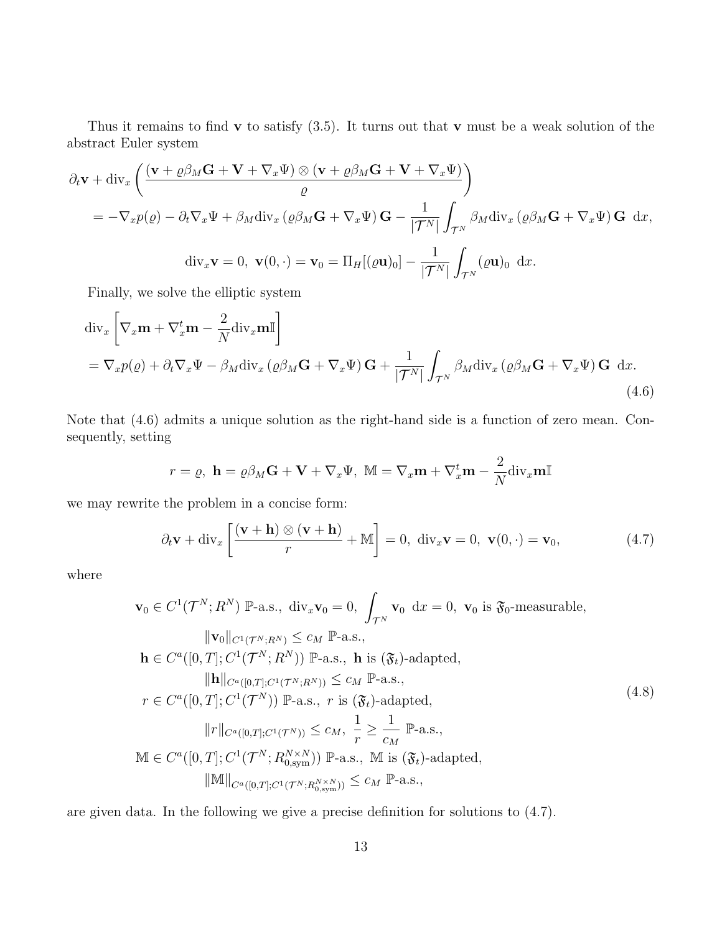Thus it remains to find  $\bf{v}$  to satisfy (3.5). It turns out that  $\bf{v}$  must be a weak solution of the abstract Euler system

$$
\partial_t \mathbf{v} + \text{div}_x \left( \frac{(\mathbf{v} + \varrho \beta_M \mathbf{G} + \mathbf{V} + \nabla_x \Psi) \otimes (\mathbf{v} + \varrho \beta_M \mathbf{G} + \mathbf{V} + \nabla_x \Psi)}{\varrho} \right)
$$
  
=  $-\nabla_x p(\varrho) - \partial_t \nabla_x \Psi + \beta_M \text{div}_x (\varrho \beta_M \mathbf{G} + \nabla_x \Psi) \mathbf{G} - \frac{1}{|\mathcal{T}^N|} \int_{\mathcal{T}^N} \beta_M \text{div}_x (\varrho \beta_M \mathbf{G} + \nabla_x \Psi) \mathbf{G} \ dx,$   

$$
\text{div}_x \mathbf{v} = 0, \ \mathbf{v}(0, \cdot) = \mathbf{v}_0 = \Pi_H[(\varrho \mathbf{u})_0] - \frac{1}{|\mathcal{T}^N|} \int_{\mathcal{T}^N} (\varrho \mathbf{u})_0 \ dx.
$$

Finally, we solve the elliptic system

$$
\operatorname{div}_{x}\left[\nabla_{x}\mathbf{m}+\nabla_{x}^{t}\mathbf{m}-\frac{2}{N}\operatorname{div}_{x}\mathbf{m}\mathbb{I}\right]
$$
  
= $\nabla_{x}p(\varrho)+\partial_{t}\nabla_{x}\Psi-\beta_{M}\operatorname{div}_{x}(\varrho\beta_{M}\mathbf{G}+\nabla_{x}\Psi)\mathbf{G}+\frac{1}{|\mathcal{T}^{N}|}\int_{\mathcal{T}^{N}}\beta_{M}\operatorname{div}_{x}(\varrho\beta_{M}\mathbf{G}+\nabla_{x}\Psi)\mathbf{G} d x.$  (4.6)

Note that (4.6) admits a unique solution as the right-hand side is a function of zero mean. Consequently, setting

$$
r = \varrho, \ \mathbf{h} = \varrho \beta_M \mathbf{G} + \mathbf{V} + \nabla_x \Psi, \ \mathbb{M} = \nabla_x \mathbf{m} + \nabla_x^t \mathbf{m} - \frac{2}{N} \text{div}_x \mathbf{m} \mathbb{I}
$$

we may rewrite the problem in a concise form:

$$
\partial_t \mathbf{v} + \text{div}_x \left[ \frac{(\mathbf{v} + \mathbf{h}) \otimes (\mathbf{v} + \mathbf{h})}{r} + \mathbb{M} \right] = 0, \text{ div}_x \mathbf{v} = 0, \mathbf{v}(0, \cdot) = \mathbf{v}_0,
$$
\n(4.7)

where

$$
\mathbf{v}_{0} \in C^{1}(\mathcal{T}^{N}; R^{N}) \mathbb{P}\text{-a.s., div}_{x}\mathbf{v}_{0} = 0, \int_{\mathcal{T}^{N}} \mathbf{v}_{0} dx = 0, \mathbf{v}_{0} \text{ is } \mathfrak{F}_{0}\text{-measurable},
$$
  
\n
$$
\|\mathbf{v}_{0}\|_{C^{1}(\mathcal{T}^{N}; R^{N})} \leq c_{M} \mathbb{P}\text{-a.s.,}
$$
  
\n
$$
\mathbf{h} \in C^{a}([0, T]; C^{1}(\mathcal{T}^{N}; R^{N})) \mathbb{P}\text{-a.s., } \mathbf{h} \text{ is } (\mathfrak{F}_{t})\text{-adapted},
$$
  
\n
$$
\|\mathbf{h}\|_{C^{a}([0, T]; C^{1}(\mathcal{T}^{N}; R^{N}))} \leq c_{M} \mathbb{P}\text{-a.s.,}
$$
  
\n
$$
r \in C^{a}([0, T]; C^{1}(\mathcal{T}^{N})) \mathbb{P}\text{-a.s., } r \text{ is } (\mathfrak{F}_{t})\text{-adapted},
$$
  
\n
$$
\|r\|_{C^{a}([0, T]; C^{1}(\mathcal{T}^{N}))} \leq c_{M}, \frac{1}{r} \geq \frac{1}{c_{M}} \mathbb{P}\text{-a.s.,}
$$
  
\n
$$
\mathbb{M} \in C^{a}([0, T]; C^{1}(\mathcal{T}^{N}; R_{0, sym}^{N \times N})) \mathbb{P}\text{-a.s., } \mathbb{M} \text{ is } (\mathfrak{F}_{t})\text{-adapted},
$$
  
\n
$$
\|\mathbb{M}\|_{C^{a}([0, T]; C^{1}(\mathcal{T}^{N}; R_{0, sym}^{N \times N}))} \leq c_{M} \mathbb{P}\text{-a.s.,}
$$

are given data. In the following we give a precise definition for solutions to (4.7).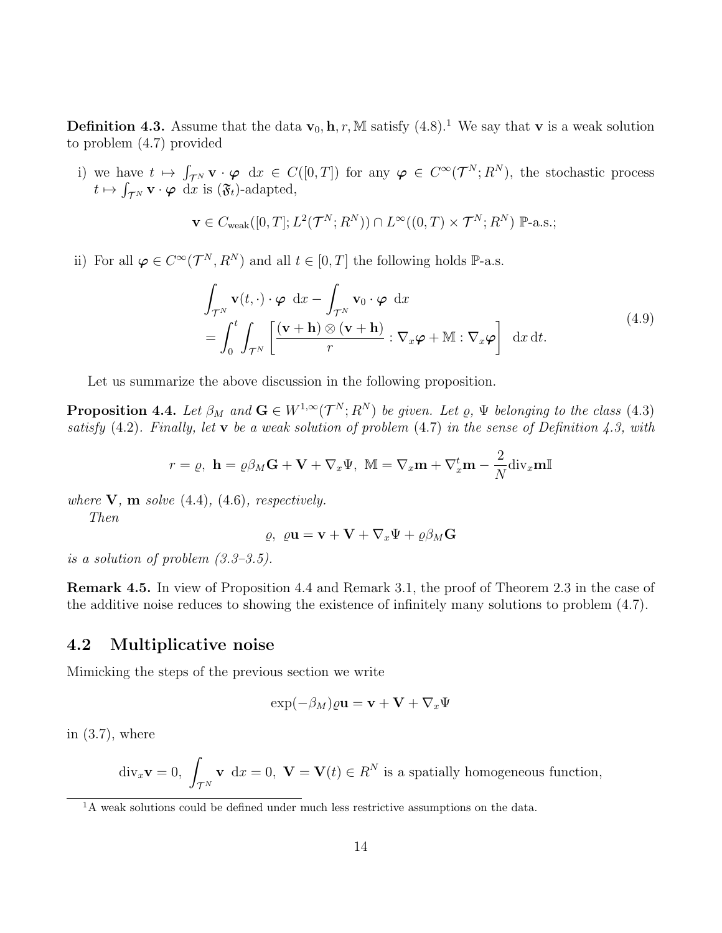**Definition 4.3.** Assume that the data  $\mathbf{v}_0$ , **h**, *r*, M satisfy (4.8).<sup>1</sup> We say that **v** is a weak solution to problem (4.7) provided

i) we have  $t \mapsto \int_{\mathcal{T}^N} \mathbf{v} \cdot \boldsymbol{\varphi} \, dx \in C([0,T])$  for any  $\boldsymbol{\varphi} \in C^{\infty}(\mathcal{T}^N; R^N)$ , the stochastic process  $t \mapsto \int_{\mathcal{T}^N} \mathbf{v} \cdot \boldsymbol{\varphi} \, dx$  is  $(\mathfrak{F}_t)$ -adapted,

$$
\mathbf{v} \in C_{\text{weak}}([0,T]; L^2(\mathcal{T}^N; R^N)) \cap L^{\infty}((0,T) \times \mathcal{T}^N; R^N) \mathbb{P}\text{-a.s.};
$$

ii) For all  $\varphi \in C^{\infty}(\mathcal{T}^N,R^N)$  and all  $t \in [0,T]$  the following holds  $\mathbb{P}\text{-a.s.}$ 

$$
\int_{\mathcal{T}^N} \mathbf{v}(t, \cdot) \cdot \boldsymbol{\varphi} \, dx - \int_{\mathcal{T}^N} \mathbf{v}_0 \cdot \boldsymbol{\varphi} \, dx \n= \int_0^t \int_{\mathcal{T}^N} \left[ \frac{(\mathbf{v} + \mathbf{h}) \otimes (\mathbf{v} + \mathbf{h})}{r} : \nabla_x \boldsymbol{\varphi} + \mathbb{M} : \nabla_x \boldsymbol{\varphi} \right] dx dt.
$$
\n(4.9)

Let us summarize the above discussion in the following proposition.

**Proposition 4.4.** Let  $\beta_M$  and  $\mathbf{G} \in W^{1,\infty}(\mathcal{T}^N; R^N)$  be given. Let  $\varrho$ ,  $\Psi$  belonging to the class (4.3) satisfy  $(4.2)$ . Finally, let v be a weak solution of problem  $(4.7)$  in the sense of Definition 4.3, with

$$
r = \varrho, \ \mathbf{h} = \varrho \beta_M \mathbf{G} + \mathbf{V} + \nabla_x \Psi, \ \mathbb{M} = \nabla_x \mathbf{m} + \nabla_x^t \mathbf{m} - \frac{2}{N} \text{div}_x \mathbf{m} \mathbb{I}
$$

where  $V$ ,  $m$  solve (4.4), (4.6), respectively.

Then

$$
\varrho, \ \varrho \mathbf{u} = \mathbf{v} + \mathbf{V} + \nabla_x \Psi + \varrho \beta_M \mathbf{G}
$$

is a solution of problem  $(3.3-3.5)$ .

Remark 4.5. In view of Proposition 4.4 and Remark 3.1, the proof of Theorem 2.3 in the case of the additive noise reduces to showing the existence of infinitely many solutions to problem (4.7).

### 4.2 Multiplicative noise

Mimicking the steps of the previous section we write

$$
\exp(-\beta_M)\varrho \mathbf{u} = \mathbf{v} + \mathbf{V} + \nabla_x \Psi
$$

in  $(3.7)$ , where

$$
\text{div}_x \mathbf{v} = 0, \int_{\mathcal{T}^N} \mathbf{v} \, dx = 0, \ \mathbf{V} = \mathbf{V}(t) \in R^N \text{ is a spatially homogeneous function,}
$$

<sup>&</sup>lt;sup>1</sup>A weak solutions could be defined under much less restrictive assumptions on the data.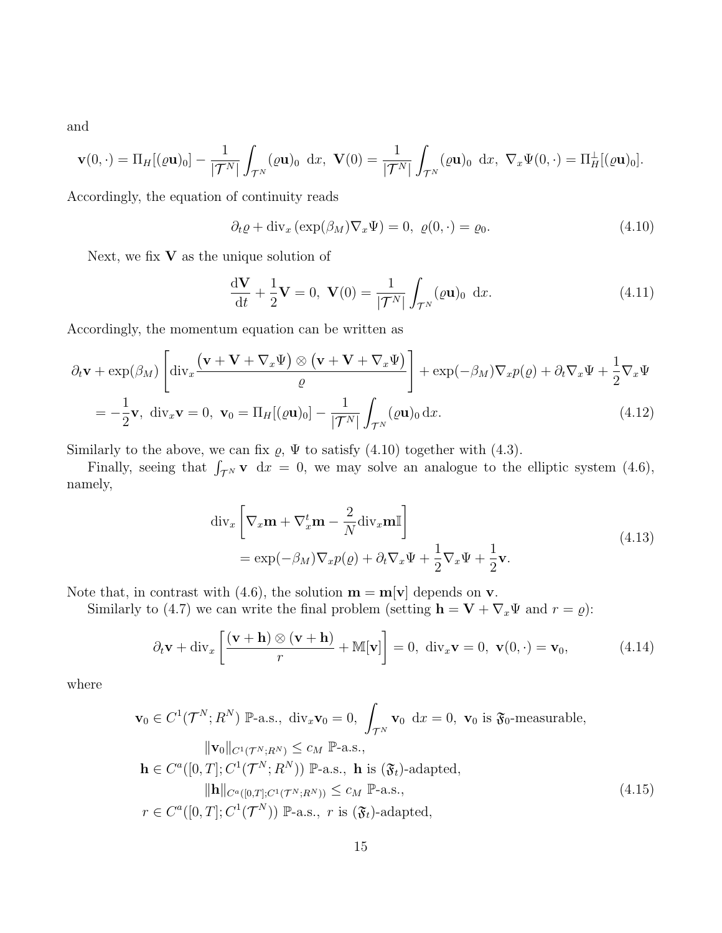and

$$
\mathbf{v}(0,\cdot)=\Pi_H[(\varrho\mathbf{u})_0]-\frac{1}{|\mathcal{T}^N|}\int_{\mathcal{T}^N}(\varrho\mathbf{u})_0\,\mathrm{d}x,\,\,\mathbf{V}(0)=\frac{1}{|\mathcal{T}^N|}\int_{\mathcal{T}^N}(\varrho\mathbf{u})_0\,\mathrm{d}x,\,\,\nabla_x\Psi(0,\cdot)=\Pi_H^{\perp}[(\varrho\mathbf{u})_0].
$$

Accordingly, the equation of continuity reads

$$
\partial_t \varrho + \text{div}_x \left( \exp(\beta_M) \nabla_x \Psi \right) = 0, \ \varrho(0, \cdot) = \varrho_0. \tag{4.10}
$$

Next, we fix  $V$  as the unique solution of

$$
\frac{\mathrm{d}\mathbf{V}}{\mathrm{d}t} + \frac{1}{2}\mathbf{V} = 0, \ \mathbf{V}(0) = \frac{1}{|\mathcal{T}^N|} \int_{\mathcal{T}^N} (\varrho \mathbf{u})_0 \ \mathrm{d}x. \tag{4.11}
$$

Accordingly, the momentum equation can be written as

$$
\partial_t \mathbf{v} + \exp(\beta_M) \left[ \operatorname{div}_x \frac{(\mathbf{v} + \mathbf{V} + \nabla_x \Psi) \otimes (\mathbf{v} + \mathbf{V} + \nabla_x \Psi)}{\varrho} \right] + \exp(-\beta_M) \nabla_x p(\varrho) + \partial_t \nabla_x \Psi + \frac{1}{2} \nabla_x \Psi
$$
  
=  $-\frac{1}{2} \mathbf{v}$ ,  $\operatorname{div}_x \mathbf{v} = 0$ ,  $\mathbf{v}_0 = \Pi_H [(\varrho \mathbf{u})_0] - \frac{1}{|\mathcal{T}^N|} \int_{\mathcal{T}^N} (\varrho \mathbf{u})_0 \, dx.$  (4.12)

Similarly to the above, we can fix  $\varrho$ ,  $\Psi$  to satisfy (4.10) together with (4.3).

Finally, seeing that  $\int_{\mathcal{T}^N} \mathbf{v} \, dx = 0$ , we may solve an analogue to the elliptic system (4.6), namely,

$$
\operatorname{div}_{x} \left[ \nabla_{x} \mathbf{m} + \nabla_{x}^{t} \mathbf{m} - \frac{2}{N} \operatorname{div}_{x} \mathbf{m} \mathbb{I} \right]
$$
\n
$$
= \exp(-\beta_{M}) \nabla_{x} p(\varrho) + \partial_{t} \nabla_{x} \Psi + \frac{1}{2} \nabla_{x} \Psi + \frac{1}{2} \mathbf{v}.
$$
\n(4.13)

Note that, in contrast with (4.6), the solution  $\mathbf{m} = \mathbf{m}[\mathbf{v}]$  depends on **v**.

Similarly to (4.7) we can write the final problem (setting  $\mathbf{h} = \mathbf{V} + \nabla_x \Psi$  and  $r = \varrho$ ):

$$
\partial_t \mathbf{v} + \text{div}_x \left[ \frac{(\mathbf{v} + \mathbf{h}) \otimes (\mathbf{v} + \mathbf{h})}{r} + \mathbb{M}[\mathbf{v}] \right] = 0, \text{ div}_x \mathbf{v} = 0, \ \mathbf{v}(0, \cdot) = \mathbf{v}_0,
$$
 (4.14)

where

$$
\mathbf{v}_0 \in C^1(\mathcal{T}^N; R^N) \; \mathbb{P}\text{-a.s., div}_x \mathbf{v}_0 = 0, \; \int_{\mathcal{T}^N} \mathbf{v}_0 \; dx = 0, \; \mathbf{v}_0 \; \text{is } \mathfrak{F}_0\text{-measurable},
$$
\n
$$
\|\mathbf{v}_0\|_{C^1(\mathcal{T}^N; R^N)} \le c_M \; \mathbb{P}\text{-a.s.,}
$$
\n
$$
\mathbf{h} \in C^a([0, T]; C^1(\mathcal{T}^N; R^N)) \; \mathbb{P}\text{-a.s.,} \quad \mathbf{h} \; \text{is } (\mathfrak{F}_t)\text{-adapted},
$$
\n
$$
\|\mathbf{h}\|_{C^a([0, T]; C^1(\mathcal{T}^N; R^N))} \le c_M \; \mathbb{P}\text{-a.s.,}
$$
\n
$$
r \in C^a([0, T]; C^1(\mathcal{T}^N)) \; \mathbb{P}\text{-a.s.,} \; r \; \text{is } (\mathfrak{F}_t)\text{-adapted},
$$
\n
$$
(4.15)
$$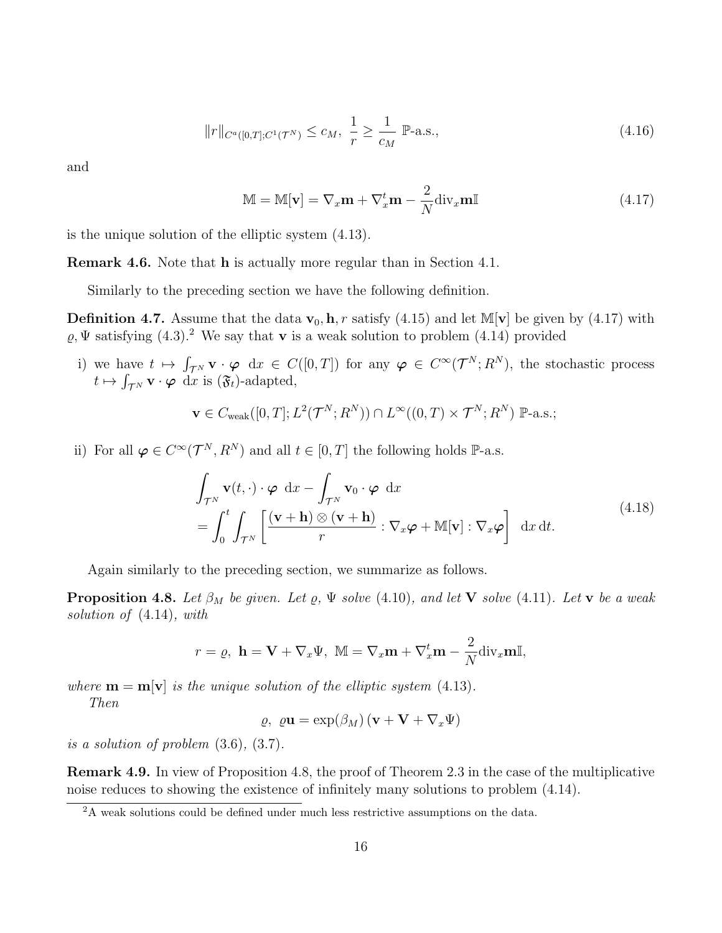$$
||r||_{C^a([0,T];C^1(\mathcal{T}^N)} \le c_M, \ \frac{1}{r} \ge \frac{1}{c_M} \ \mathbb{P}\text{-a.s.},\tag{4.16}
$$

and

$$
\mathbb{M} = \mathbb{M}[\mathbf{v}] = \nabla_x \mathbf{m} + \nabla_x^t \mathbf{m} - \frac{2}{N} \text{div}_x \mathbf{m} \mathbb{I}
$$
(4.17)

is the unique solution of the elliptic system (4.13).

Remark 4.6. Note that h is actually more regular than in Section 4.1.

Similarly to the preceding section we have the following definition.

**Definition 4.7.** Assume that the data  $\mathbf{v}_0$ , **h**, *r* satisfy (4.15) and let M[**v**] be given by (4.17) with  $\rho$ ,  $\Psi$  satisfying (4.3).<sup>2</sup> We say that **v** is a weak solution to problem (4.14) provided

i) we have  $t \mapsto \int_{\mathcal{T}^N} \mathbf{v} \cdot \boldsymbol{\varphi} \, dx \in C([0,T])$  for any  $\boldsymbol{\varphi} \in C^{\infty}(\mathcal{T}^N; R^N)$ , the stochastic process  $t \mapsto \int_{\mathcal{T}^N} \mathbf{v} \cdot \boldsymbol{\varphi} \, dx$  is  $(\mathfrak{F}_t)$ -adapted,

$$
\mathbf{v} \in C_{\text{weak}}([0,T]; L^2(\mathcal{T}^N; R^N)) \cap L^{\infty}((0,T) \times \mathcal{T}^N; R^N) \mathbb{P}\text{-a.s.};
$$

ii) For all  $\varphi \in C^{\infty}(\mathcal{T}^N,R^N)$  and all  $t \in [0,T]$  the following holds  $\mathbb{P}\text{-a.s.}$ 

$$
\int_{\mathcal{T}^N} \mathbf{v}(t, \cdot) \cdot \boldsymbol{\varphi} \, dx - \int_{\mathcal{T}^N} \mathbf{v}_0 \cdot \boldsymbol{\varphi} \, dx \n= \int_0^t \int_{\mathcal{T}^N} \left[ \frac{(\mathbf{v} + \mathbf{h}) \otimes (\mathbf{v} + \mathbf{h})}{r} : \nabla_x \boldsymbol{\varphi} + \mathbb{M}[\mathbf{v}] : \nabla_x \boldsymbol{\varphi} \right] \, dx \, dt.
$$
\n(4.18)

Again similarly to the preceding section, we summarize as follows.

**Proposition 4.8.** Let  $\beta_M$  be given. Let  $\varrho$ ,  $\Psi$  solve (4.10), and let **V** solve (4.11). Let **v** be a weak solution of (4.14), with

$$
r = \varrho, \ \mathbf{h} = \mathbf{V} + \nabla_x \Psi, \ \mathbb{M} = \nabla_x \mathbf{m} + \nabla_x^t \mathbf{m} - \frac{2}{N} \text{div}_x \mathbf{m} \mathbb{I},
$$

where  $\mathbf{m} = \mathbf{m}[\mathbf{v}]$  is the unique solution of the elliptic system (4.13).

Then

 $ρ, ρ**u** = exp(β<sub>M</sub>) (**v** + **V** + ∇<sub>x</sub>Ψ)$ 

is a solution of problem (3.6), (3.7).

Remark 4.9. In view of Proposition 4.8, the proof of Theorem 2.3 in the case of the multiplicative noise reduces to showing the existence of infinitely many solutions to problem (4.14).

<sup>&</sup>lt;sup>2</sup>A weak solutions could be defined under much less restrictive assumptions on the data.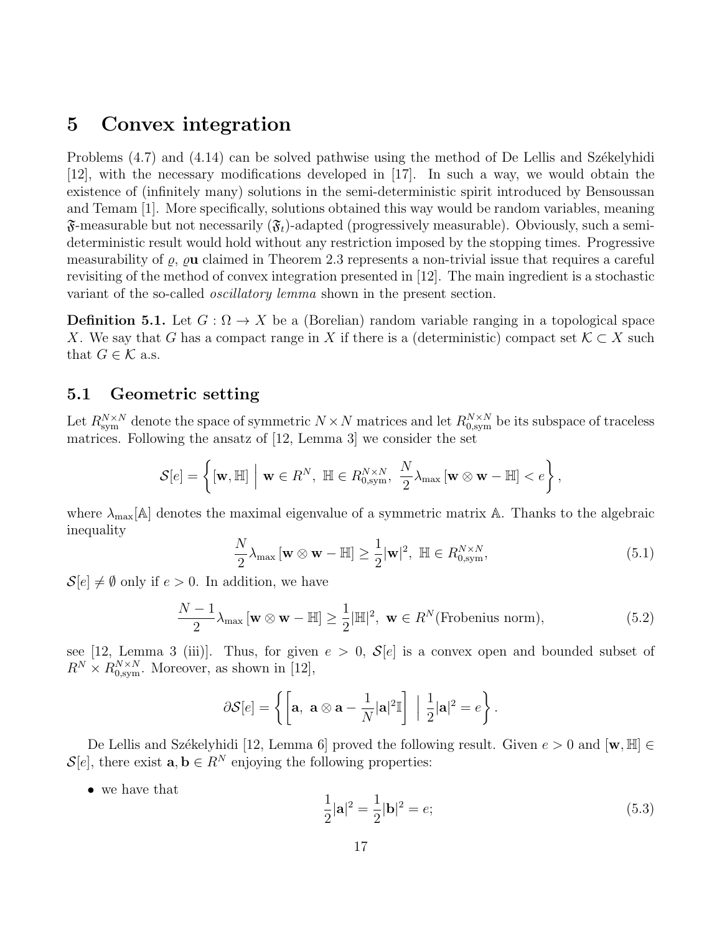## 5 Convex integration

Problems  $(4.7)$  and  $(4.14)$  can be solved pathwise using the method of De Lellis and Székelyhidi [12], with the necessary modifications developed in [17]. In such a way, we would obtain the existence of (infinitely many) solutions in the semi-deterministic spirit introduced by Bensoussan and Temam [1]. More specifically, solutions obtained this way would be random variables, meaning  $\mathfrak{F}\text{-measurable but not necessarily } (\mathfrak{F}_t)\text{-adapted (progressively measurable). Obviously, such a semi$ deterministic result would hold without any restriction imposed by the stopping times. Progressive measurability of  $\rho$ ,  $\rho$ **u** claimed in Theorem 2.3 represents a non-trivial issue that requires a careful revisiting of the method of convex integration presented in [12]. The main ingredient is a stochastic variant of the so-called *oscillatory lemma* shown in the present section.

**Definition 5.1.** Let  $G: \Omega \to X$  be a (Borelian) random variable ranging in a topological space X. We say that G has a compact range in X if there is a (deterministic) compact set  $\mathcal{K} \subset X$  such that  $G \in \mathcal{K}$  a.s.

### 5.1 Geometric setting

Let  $R_{\text{sym}}^{N\times N}$  denote the space of symmetric  $N\times N$  matrices and let  $R_{0,\text{sym}}^{N\times N}$  be its subspace of traceless matrices. Following the ansatz of [12, Lemma 3] we consider the set

$$
\mathcal{S}[e] = \left\{ [\mathbf{w}, \mathbb{H}] \middle| \mathbf{w} \in R^N, \ \mathbb{H} \in R_{0,\text{sym}}^{N \times N}, \ \frac{N}{2} \lambda_{\text{max}} \left[ \mathbf{w} \otimes \mathbf{w} - \mathbb{H} \right] < e \right\},\
$$

where  $\lambda_{\text{max}}[\mathbb{A}]$  denotes the maximal eigenvalue of a symmetric matrix  $\mathbb{A}$ . Thanks to the algebraic inequality

$$
\frac{N}{2}\lambda_{\max} \left[\mathbf{w} \otimes \mathbf{w} - \mathbb{H}\right] \ge \frac{1}{2}|\mathbf{w}|^2, \ \mathbb{H} \in R_{0,\text{sym}}^{N \times N},\tag{5.1}
$$

 $\mathcal{S}[e] \neq \emptyset$  only if  $e > 0$ . In addition, we have

$$
\frac{N-1}{2}\lambda_{\max}[\mathbf{w} \otimes \mathbf{w} - \mathbb{H}] \ge \frac{1}{2}|\mathbb{H}|^2, \ \mathbf{w} \in R^N(\text{Frobenius norm}),\tag{5.2}
$$

see [12, Lemma 3 (iii)]. Thus, for given  $e > 0$ ,  $\mathcal{S}[e]$  is a convex open and bounded subset of  $R^N \times R_{0,\text{sym}}^{N \times N}$ . Moreover, as shown in [12],

$$
\partial \mathcal{S}[e] = \left\{ \left[ \mathbf{a}, \ \mathbf{a} \otimes \mathbf{a} - \frac{1}{N} |\mathbf{a}|^2 \mathbb{I} \right] \ \Big| \ \frac{1}{2} |\mathbf{a}|^2 = e \right\}.
$$

De Lellis and Székelyhidi [12, Lemma 6] proved the following result. Given  $e > 0$  and  $[\mathbf{w}, \mathbb{H}] \in$  $\mathcal{S}[e]$ , there exist  $\mathbf{a}, \mathbf{b} \in R^N$  enjoying the following properties:

• we have that

$$
\frac{1}{2}|\mathbf{a}|^2 = \frac{1}{2}|\mathbf{b}|^2 = e;
$$
\n(5.3)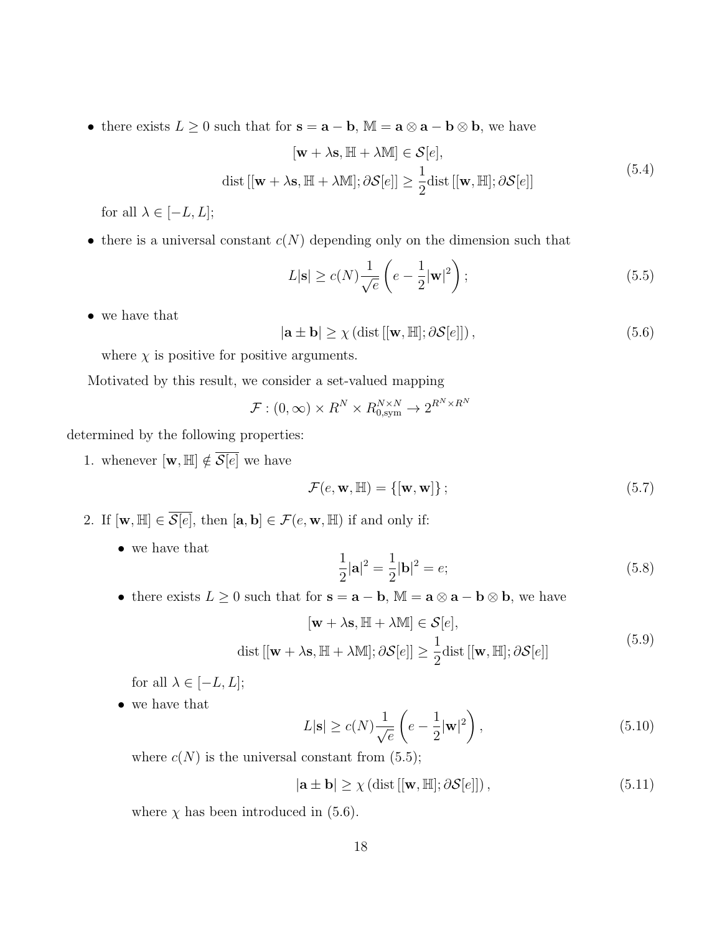• there exists  $L \geq 0$  such that for  $\mathbf{s} = \mathbf{a} - \mathbf{b}$ ,  $\mathbb{M} = \mathbf{a} \otimes \mathbf{a} - \mathbf{b} \otimes \mathbf{b}$ , we have

$$
[\mathbf{w} + \lambda \mathbf{s}, \mathbb{H} + \lambda \mathbb{M}] \in \mathcal{S}[e],
$$
  
dist 
$$
[[\mathbf{w} + \lambda \mathbf{s}, \mathbb{H} + \lambda \mathbb{M}]; \partial \mathcal{S}[e]] \ge \frac{1}{2} \text{dist }[[\mathbf{w}, \mathbb{H}]; \partial \mathcal{S}[e]]
$$
(5.4)

for all  $\lambda \in [-L, L];$ 

• there is a universal constant  $c(N)$  depending only on the dimension such that

$$
L|\mathbf{s}| \ge c(N)\frac{1}{\sqrt{e}}\left(e - \frac{1}{2}|\mathbf{w}|^2\right);
$$
\n(5.5)

• we have that

$$
|\mathbf{a} \pm \mathbf{b}| \ge \chi \left( \text{dist} \left[ [\mathbf{w}, \mathbb{H}]; \partial \mathcal{S}[e] \right] \right),\tag{5.6}
$$

where  $\chi$  is positive for positive arguments.

Motivated by this result, we consider a set-valued mapping

$$
\mathcal{F}: (0, \infty) \times R^N \times R_{0, \text{sym}}^{N \times N} \to 2^{R^N \times R^N}
$$

determined by the following properties:

1. whenever  $[\mathbf{w}, \mathbb{H}] \notin \overline{\mathcal{S}[e]}$  we have

$$
\mathcal{F}(e, \mathbf{w}, \mathbb{H}) = \{ [\mathbf{w}, \mathbf{w}] \};
$$
\n(5.7)

- 2. If  $[\mathbf{w}, \mathbb{H}] \in \overline{\mathcal{S}[e]}$ , then  $[\mathbf{a}, \mathbf{b}] \in \mathcal{F}(e, \mathbf{w}, \mathbb{H})$  if and only if:
	- we have that

$$
\frac{1}{2}|\mathbf{a}|^2 = \frac{1}{2}|\mathbf{b}|^2 = e;
$$
\n(5.8)

• there exists  $L \geq 0$  such that for  $\mathbf{s} = \mathbf{a} - \mathbf{b}$ ,  $\mathbb{M} = \mathbf{a} \otimes \mathbf{a} - \mathbf{b} \otimes \mathbf{b}$ , we have

$$
[\mathbf{w} + \lambda \mathbf{s}, \mathbb{H} + \lambda \mathbb{M}] \in \mathcal{S}[e],
$$
  
dist 
$$
[[\mathbf{w} + \lambda \mathbf{s}, \mathbb{H} + \lambda \mathbb{M}]; \partial \mathcal{S}[e]] \ge \frac{1}{2} \text{dist }[[\mathbf{w}, \mathbb{H}]; \partial \mathcal{S}[e]]
$$
(5.9)

for all  $\lambda \in [-L, L];$ 

• we have that

$$
L|\mathbf{s}| \ge c(N)\frac{1}{\sqrt{e}}\left(e - \frac{1}{2}|\mathbf{w}|^2\right),\tag{5.10}
$$

where  $c(N)$  is the universal constant from (5.5);

$$
|\mathbf{a} \pm \mathbf{b}| \ge \chi \left( \text{dist} \left[ [\mathbf{w}, \mathbb{H}]; \partial \mathcal{S}[e] \right] \right),\tag{5.11}
$$

where  $\chi$  has been introduced in (5.6).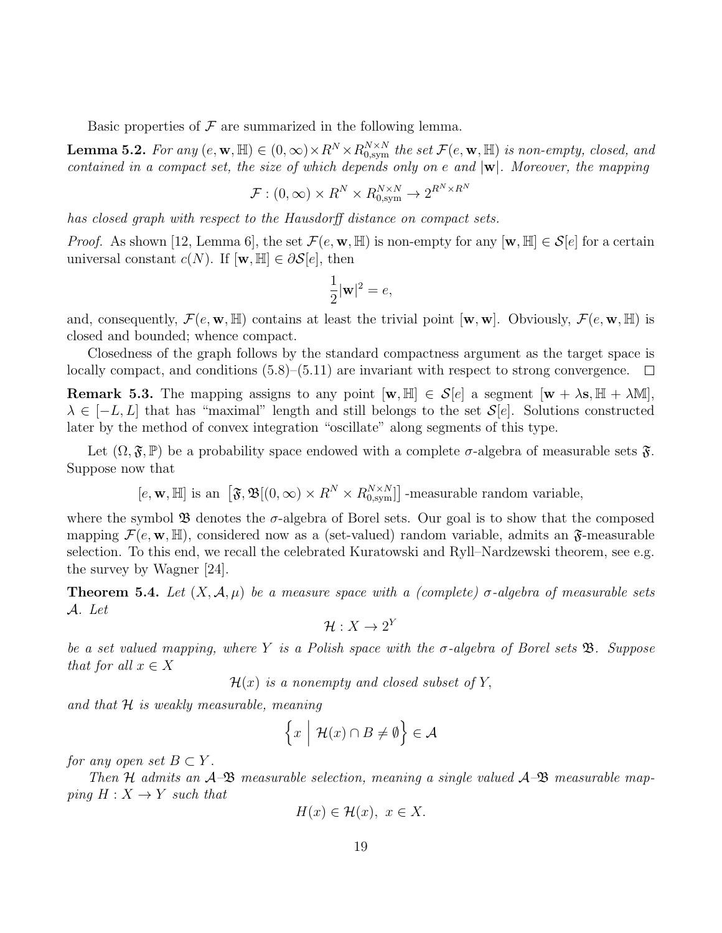Basic properties of  $\mathcal F$  are summarized in the following lemma.

**Lemma 5.2.** For any  $(e, \mathbf{w}, \mathbb{H}) \in (0, \infty) \times R^N \times R_{0, \text{sym}}^{N \times N}$  the set  $\mathcal{F}(e, \mathbf{w}, \mathbb{H})$  is non-empty, closed, and contained in a compact set, the size of which depends only on e and  $|\mathbf{w}|$ . Moreover, the mapping

$$
\mathcal{F}: (0, \infty) \times R^N \times R_{0, \text{sym}}^{N \times N} \to 2^{R^N \times R^N}
$$

has closed graph with respect to the Hausdorff distance on compact sets.

*Proof.* As shown [12, Lemma 6], the set  $\mathcal{F}(e, \mathbf{w}, \mathbb{H})$  is non-empty for any  $[\mathbf{w}, \mathbb{H}] \in \mathcal{S}[e]$  for a certain universal constant  $c(N)$ . If  $[\mathbf{w}, \mathbb{H}] \in \partial \mathcal{S}[e]$ , then

$$
\frac{1}{2}|\mathbf{w}|^2 = e,
$$

and, consequently,  $\mathcal{F}(e, \mathbf{w}, \mathbb{H})$  contains at least the trivial point  $[\mathbf{w}, \mathbf{w}]$ . Obviously,  $\mathcal{F}(e, \mathbf{w}, \mathbb{H})$  is closed and bounded; whence compact.

Closedness of the graph follows by the standard compactness argument as the target space is locally compact, and conditions (5.8)–(5.11) are invariant with respect to strong convergence.  $\Box$ 

**Remark 5.3.** The mapping assigns to any point  $[\mathbf{w}, \mathbb{H}] \in \mathcal{S}[e]$  a segment  $[\mathbf{w} + \lambda \mathbf{s}, \mathbb{H} + \lambda \mathbb{M}],$  $\lambda \in [-L, L]$  that has "maximal" length and still belongs to the set  $\mathcal{S}[e]$ . Solutions constructed later by the method of convex integration "oscillate" along segments of this type.

Let  $(\Omega, \mathfrak{F}, \mathbb{P})$  be a probability space endowed with a complete  $\sigma$ -algebra of measurable sets  $\mathfrak{F}$ . Suppose now that

$$
[e, \mathbf{w}, \mathbb{H}]
$$
 is an  $[\mathfrak{F}, \mathfrak{B}[(0, \infty) \times R^N \times R_{0, \text{sym}}^{N \times N}]]$ -measurable random variable,

where the symbol  $\mathfrak B$  denotes the  $\sigma$ -algebra of Borel sets. Our goal is to show that the composed mapping  $\mathcal{F}(e, \mathbf{w}, \mathbb{H})$ , considered now as a (set-valued) random variable, admits an  $\mathfrak{F}$ -measurable selection. To this end, we recall the celebrated Kuratowski and Ryll–Nardzewski theorem, see e.g. the survey by Wagner [24].

**Theorem 5.4.** Let  $(X, \mathcal{A}, \mu)$  be a measure space with a (complete)  $\sigma$ -algebra of measurable sets A. Let

$$
\mathcal{H}: X \to 2^Y
$$

be a set valued mapping, where Y is a Polish space with the  $\sigma$ -algebra of Borel sets  $\mathfrak{B}$ . Suppose that for all  $x \in X$ 

 $\mathcal{H}(x)$  is a nonempty and closed subset of Y,

and that  $H$  is weakly measurable, meaning

$$
\left\{x \mid \mathcal{H}(x) \cap B \neq \emptyset\right\} \in \mathcal{A}
$$

for any open set  $B \subset Y$ .

Then H admits an  $\mathcal{A}-\mathfrak{B}$  measurable selection, meaning a single valued  $\mathcal{A}-\mathfrak{B}$  measurable mapping  $H: X \rightarrow Y$  such that

$$
H(x) \in \mathcal{H}(x), \ x \in X.
$$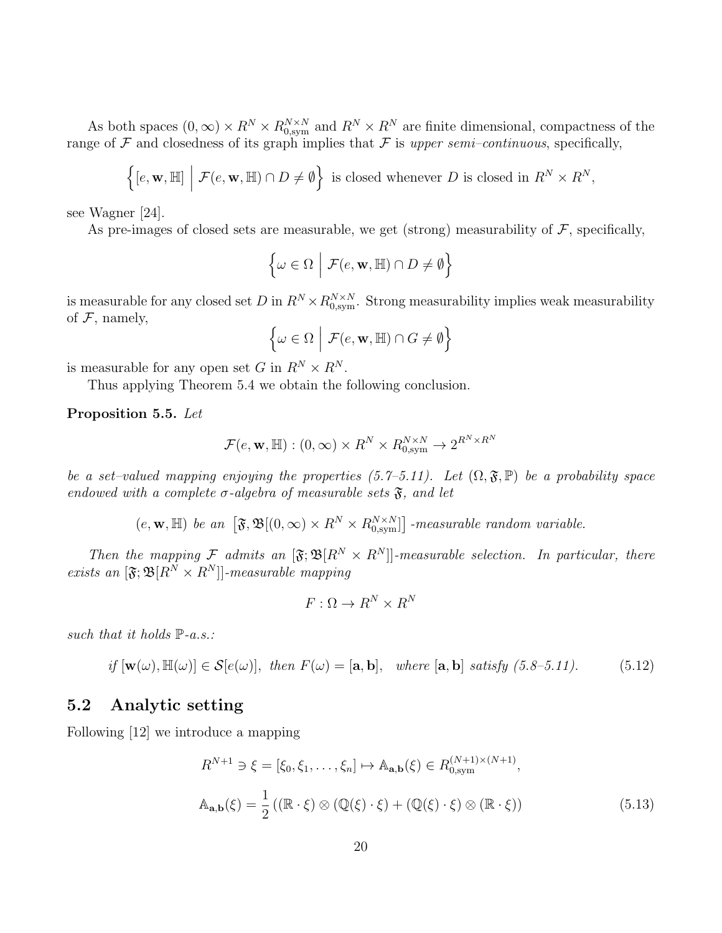As both spaces  $(0, \infty) \times R^N \times R_{0, sym}^{N \times N}$  and  $R^N \times R^N$  are finite dimensional, compactness of the range of F and closedness of its graph implies that F is upper semi-continuous, specifically,

$$
\left\{ [e, \mathbf{w}, \mathbb{H}] \middle| \mathcal{F}(e, \mathbf{w}, \mathbb{H}) \cap D \neq \emptyset \right\} \text{ is closed whenever } D \text{ is closed in } R^N \times R^N,
$$

see Wagner [24].

As pre-images of closed sets are measurable, we get (strong) measurability of  $\mathcal{F}$ , specifically,

$$
\left\{\omega \in \Omega \, \Big| \, \mathcal{F}(e, \mathbf{w}, \mathbb{H}) \cap D \neq \emptyset \right\}
$$

is measurable for any closed set D in  $R^N \times R_{0,\text{sym}}^{N \times N}$ . Strong measurability implies weak measurability of  $F$ , namely,

$$
\Big\{\omega\in\Omega~\Big|~\mathcal{F}(e,\mathbf{w},\mathbb{H})\cap G\neq\emptyset\Big\}
$$

is measurable for any open set G in  $R^N \times R^N$ .

Thus applying Theorem 5.4 we obtain the following conclusion.

Proposition 5.5. Let

$$
\mathcal{F}(e, \mathbf{w}, \mathbb{H}) : (0, \infty) \times R^N \times R_{0, \text{sym}}^{N \times N} \to 2^{R^N \times R^N}
$$

be a set–valued mapping enjoying the properties (5.7–5.11). Let  $(\Omega, \mathfrak{F}, \mathbb{P})$  be a probability space endowed with a complete  $\sigma$ -algebra of measurable sets  $\mathfrak{F}$ , and let

 $(e, \mathbf{w}, \mathbb{H})$  be an  $\left[\mathfrak{F}, \mathfrak{B}[(0,\infty) \times R^N \times R_{0,\text{sym}}^{N \times N}]\right]$ -measurable random variable.

Then the mapping F admits an  $[\mathfrak{F}; \mathfrak{B}[R^N \times R^N]]$ -measurable selection. In particular, there exists an  $[\mathfrak{F};\mathfrak{B}[R^N\times R^N]]$ -measurable mapping

$$
F: \Omega \to R^N \times R^N
$$

such that it holds  $\mathbb{P}\text{-}a.s.$ :

if 
$$
[\mathbf{w}(\omega), \mathbb{H}(\omega)] \in \mathcal{S}[e(\omega)],
$$
 then  $F(\omega) = [\mathbf{a}, \mathbf{b}],$  where  $[\mathbf{a}, \mathbf{b}]$  satisfy (5.8-5.11). (5.12)

### 5.2 Analytic setting

Following [12] we introduce a mapping

$$
R^{N+1} \ni \xi = [\xi_0, \xi_1, \dots, \xi_n] \mapsto \mathbb{A}_{\mathbf{a},\mathbf{b}}(\xi) \in R_{0,\text{sym}}^{(N+1)\times(N+1)},
$$
  

$$
\mathbb{A}_{\mathbf{a},\mathbf{b}}(\xi) = \frac{1}{2} ((\mathbb{R} \cdot \xi) \otimes (\mathbb{Q}(\xi) \cdot \xi) + (\mathbb{Q}(\xi) \cdot \xi) \otimes (\mathbb{R} \cdot \xi))
$$
(5.13)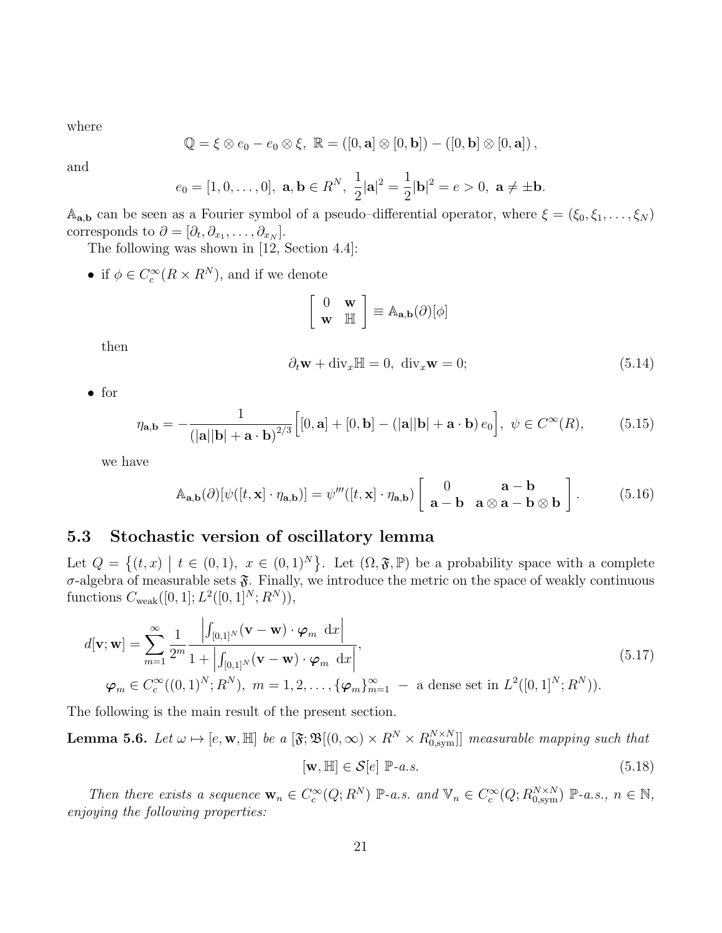where

$$
\mathbb{Q} = \xi \otimes e_0 - e_0 \otimes \xi, \ \mathbb{R} = ([0, \mathbf{a}] \otimes [0, \mathbf{b}]) - ([0, \mathbf{b}] \otimes [0, \mathbf{a}]),
$$

and

$$
e_0=[1,0,\ldots,0], \mathbf{a}, \mathbf{b} \in R^N, \frac{1}{2}|\mathbf{a}|^2=\frac{1}{2}|\mathbf{b}|^2=e>0, \mathbf{a} \neq \pm \mathbf{b}.
$$

 $A_{a,b}$  can be seen as a Fourier symbol of a pseudo–differential operator, where  $\xi = (\xi_0, \xi_1, \dots, \xi_N)$ corresponds to  $\partial = [\partial_t, \partial_{x_1}, \dots, \partial_{x_N}].$ 

The following was shown in [12, Section 4.4]:

• if  $\phi \in C_c^{\infty}(R \times R^N)$ , and if we denote

$$
\left[\begin{array}{cc} 0 & \mathbf{w} \\ \mathbf{w} & \mathbb{H} \end{array}\right] \equiv \mathbb{A}_{\mathbf{a},\mathbf{b}}(\partial)[\phi]
$$

then

$$
\partial_t \mathbf{w} + \text{div}_x \mathbb{H} = 0, \quad \text{div}_x \mathbf{w} = 0; \tag{5.14}
$$

• for

$$
\eta_{\mathbf{a},\mathbf{b}} = -\frac{1}{\left(|\mathbf{a}||\mathbf{b}| + \mathbf{a} \cdot \mathbf{b}\right)^{2/3}} \Big[ [0,\mathbf{a}] + [0,\mathbf{b}] - \left(|\mathbf{a}||\mathbf{b}| + \mathbf{a} \cdot \mathbf{b}\right) e_0 \Big], \ \psi \in C^{\infty}(R),\tag{5.15}
$$

we have

$$
\mathbb{A}_{\mathbf{a},\mathbf{b}}(\partial)[\psi([t,\mathbf{x}]\cdot\eta_{\mathbf{a},\mathbf{b}})] = \psi'''([t,\mathbf{x}]\cdot\eta_{\mathbf{a},\mathbf{b}}) \left[\begin{array}{cc} 0 & \mathbf{a}-\mathbf{b} \\ \mathbf{a}-\mathbf{b} & \mathbf{a}\otimes\mathbf{a}-\mathbf{b}\otimes\mathbf{b} \end{array}\right].
$$
 (5.16)

### 5.3 Stochastic version of oscillatory lemma

Let  $Q = \{(t, x) \mid t \in (0, 1), x \in (0, 1)^N\}$ . Let  $(\Omega, \mathfrak{F}, \mathbb{P})$  be a probability space with a complete  $\sigma$ -algebra of measurable sets  $\mathfrak{F}$ . Finally, we introduce the metric on the space of weakly continuous functions  $C_{\text{weak}}([0,1];L^2([0,1]^N;R^N)),$ 

$$
d[\mathbf{v}; \mathbf{w}] = \sum_{m=1}^{\infty} \frac{1}{2^m} \frac{\left| \int_{[0,1]^N} (\mathbf{v} - \mathbf{w}) \cdot \boldsymbol{\varphi}_m \, dx \right|}{1 + \left| \int_{[0,1]^N} (\mathbf{v} - \mathbf{w}) \cdot \boldsymbol{\varphi}_m \, dx \right|},
$$
\n
$$
\boldsymbol{\varphi}_m \in C_c^{\infty}((0,1)^N; R^N), \ m = 1, 2, \dots, \{\boldsymbol{\varphi}_m\}_{m=1}^{\infty} - \text{ a dense set in } L^2([0,1]^N; R^N)).
$$
\n(5.17)

The following is the main result of the present section.

**Lemma 5.6.** Let  $\omega \mapsto [e, \mathbf{w}, \mathbb{H}]$  be a  $[\mathfrak{F}; \mathfrak{B}](0, \infty) \times R^N \times R_{0, \text{sym}}^{N \times N}]$  measurable mapping such that

$$
[\mathbf{w}, \mathbb{H}] \in \mathcal{S}[e] \; \mathbb{P}\text{-}a.s. \tag{5.18}
$$

Then there exists a sequence  $\mathbf{w}_n \in C_c^{\infty}(Q; R^N)$   $\mathbb{P}\text{-}a.s.$  and  $\mathbb{V}_n \in C_c^{\infty}(Q; R_{0,\text{sym}}^{N \times N})$   $\mathbb{P}\text{-}a.s., n \in \mathbb{N},$ enjoying the following properties: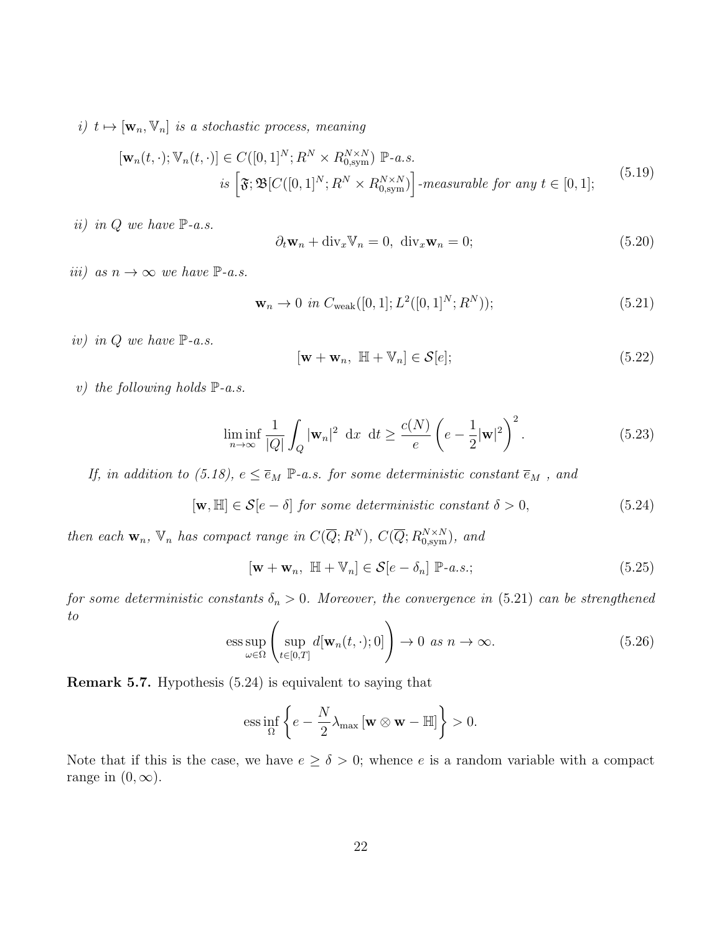i)  $t \mapsto [\mathbf{w}_n, \mathbb{V}_n]$  is a stochastic process, meaning

$$
[\mathbf{w}_n(t,\cdot);\mathbb{V}_n(t,\cdot)] \in C([0,1]^N; R^N \times R_{0,\text{sym}}^{N \times N}) \mathbb{P}\text{-}a.s.
$$
  
is 
$$
[\mathfrak{F}; \mathfrak{B}[C([0,1]^N; R^N \times R_{0,\text{sym}}^{N \times N})] \text{-}measurable for any  $t \in [0,1]$ ;\n
$$
(5.19)
$$
$$

ii) in  $Q$  we have  $\mathbb{P}\text{-}a.s.$ 

$$
\partial_t \mathbf{w}_n + \text{div}_x \mathbb{V}_n = 0, \quad \text{div}_x \mathbf{w}_n = 0; \tag{5.20}
$$

iii) as  $n \to \infty$  we have  $\mathbb{P}\text{-}a.s.$ 

$$
\mathbf{w}_n \to 0 \text{ in } C_{\text{weak}}([0,1]; L^2([0,1]^N; R^N)); \tag{5.21}
$$

iv) in  $Q$  we have  $\mathbb{P}\text{-}a.s.$ 

$$
[\mathbf{w} + \mathbf{w}_n, \ \mathbb{H} + \mathbb{V}_n] \in \mathcal{S}[e];\tag{5.22}
$$

v) the following holds  $\mathbb{P}\text{-}a.s.$ 

$$
\liminf_{n \to \infty} \frac{1}{|Q|} \int_Q |\mathbf{w}_n|^2 \, \mathrm{d}x \, \mathrm{d}t \ge \frac{c(N)}{e} \left( e - \frac{1}{2} |\mathbf{w}|^2 \right)^2. \tag{5.23}
$$

If, in addition to (5.18),  $e \le \overline{e}_M$   $\mathbb{P}\text{-}a.s.$  for some deterministic constant  $\overline{e}_M$ , and

$$
[\mathbf{w}, \mathbb{H}] \in \mathcal{S}[e - \delta] \text{ for some deterministic constant } \delta > 0,
$$
\n
$$
(5.24)
$$

then each  $\mathbf{w}_n$ ,  $\mathbb{V}_n$  has compact range in  $C(\overline{Q}; R^N)$ ,  $C(\overline{Q}; R_{0,\text{sym}}^{N \times N})$ , and

$$
[\mathbf{w} + \mathbf{w}_n, \ \mathbb{H} + \mathbb{V}_n] \in \mathcal{S}[e - \delta_n] \ \mathbb{P}\text{-}a.s.;\tag{5.25}
$$

for some deterministic constants  $\delta_n > 0$ . Moreover, the convergence in (5.21) can be strengthened to

$$
\underset{\omega \in \Omega}{\text{ess sup}} \left( \underset{t \in [0,T]}{\text{sup}} d[\mathbf{w}_n(t,\cdot);0] \right) \to 0 \text{ as } n \to \infty. \tag{5.26}
$$

Remark 5.7. Hypothesis (5.24) is equivalent to saying that

$$
\text{ess}\inf_{\Omega}\left\{e-\frac{N}{2}\lambda_{\max}\left[\mathbf{w}\otimes\mathbf{w}-\mathbb{H}\right]\right\}>0.
$$

Note that if this is the case, we have  $e \ge \delta > 0$ ; whence e is a random variable with a compact range in  $(0, \infty)$ .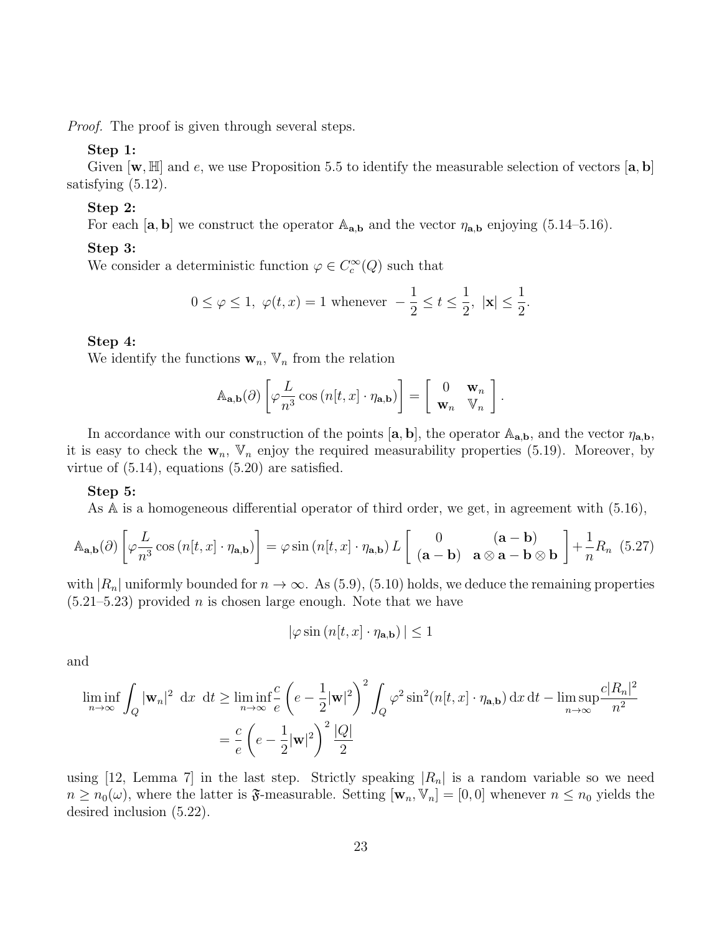*Proof.* The proof is given through several steps.

#### Step 1:

Given  $[\mathbf{w}, \mathbb{H}]$  and e, we use Proposition 5.5 to identify the measurable selection of vectors  $[\mathbf{a}, \mathbf{b}]$ satisfying (5.12).

### Step 2:

For each  $[\mathbf{a}, \mathbf{b}]$  we construct the operator  $\mathbb{A}_{\mathbf{a},\mathbf{b}}$  and the vector  $\eta_{\mathbf{a},\mathbf{b}}$  enjoying (5.14–5.16).

#### Step 3:

We consider a deterministic function  $\varphi \in C_c^{\infty}(Q)$  such that

$$
0 \le \varphi \le 1, \ \varphi(t, x) = 1 \text{ whenever } -\frac{1}{2} \le t \le \frac{1}{2}, \ |\mathbf{x}| \le \frac{1}{2}.
$$

### Step 4:

We identify the functions  $\mathbf{w}_n$ ,  $\mathbb{V}_n$  from the relation

$$
\mathbb{A}_{\mathbf{a},\mathbf{b}}(\partial)\left[\varphi\frac{L}{n^3}\cos\left(n[t,x]\cdot\eta_{\mathbf{a},\mathbf{b}}\right)\right]=\left[\begin{array}{cc}0&\mathbf{w}_n\\ \mathbf{w}_n&\mathbb{V}_n\end{array}\right].
$$

In accordance with our construction of the points  $[\mathbf{a}, \mathbf{b}]$ , the operator  $\mathbb{A}_{\mathbf{a}, \mathbf{b}}$ , and the vector  $\eta_{\mathbf{a}, \mathbf{b}}$ , it is easy to check the  $w_n$ ,  $V_n$  enjoy the required measurability properties (5.19). Moreover, by virtue of (5.14), equations (5.20) are satisfied.

#### Step 5:

As A is a homogeneous differential operator of third order, we get, in agreement with (5.16),

$$
\mathbb{A}_{\mathbf{a},\mathbf{b}}(\partial)\left[\varphi\frac{L}{n^3}\cos\left(n[t,x]\cdot\eta_{\mathbf{a},\mathbf{b}}\right)\right] = \varphi\sin\left(n[t,x]\cdot\eta_{\mathbf{a},\mathbf{b}}\right)L\left[\begin{array}{cc} 0 & (\mathbf{a}-\mathbf{b}) \\ (\mathbf{a}-\mathbf{b}) & \mathbf{a}\otimes\mathbf{a}-\mathbf{b}\otimes\mathbf{b} \end{array}\right] + \frac{1}{n}R_n\tag{5.27}
$$

with  $|R_n|$  uniformly bounded for  $n \to \infty$ . As (5.9), (5.10) holds, we deduce the remaining properties  $(5.21-5.23)$  provided *n* is chosen large enough. Note that we have

$$
|\varphi \sin(n[t, x] \cdot \eta_{\mathbf{a}, \mathbf{b}})| \le 1
$$

and

$$
\liminf_{n \to \infty} \int_{Q} |\mathbf{w}_{n}|^{2} dx dt \ge \liminf_{n \to \infty} \frac{c}{e} \left( e - \frac{1}{2} |\mathbf{w}|^{2} \right)^{2} \int_{Q} \varphi^{2} \sin^{2}(n[t, x] \cdot \eta_{\mathbf{a}, \mathbf{b}}) dx dt - \limsup_{n \to \infty} \frac{c|R_{n}|^{2}}{n^{2}}
$$

$$
= \frac{c}{e} \left( e - \frac{1}{2} |\mathbf{w}|^{2} \right)^{2} \frac{|Q|}{2}
$$

using [12, Lemma 7] in the last step. Strictly speaking  $|R_n|$  is a random variable so we need  $n \geq n_0(\omega)$ , where the latter is  $\mathfrak{F}$ -measurable. Setting  $[\mathbf{w}_n, \mathbb{V}_n] = [0,0]$  whenever  $n \leq n_0$  yields the desired inclusion (5.22).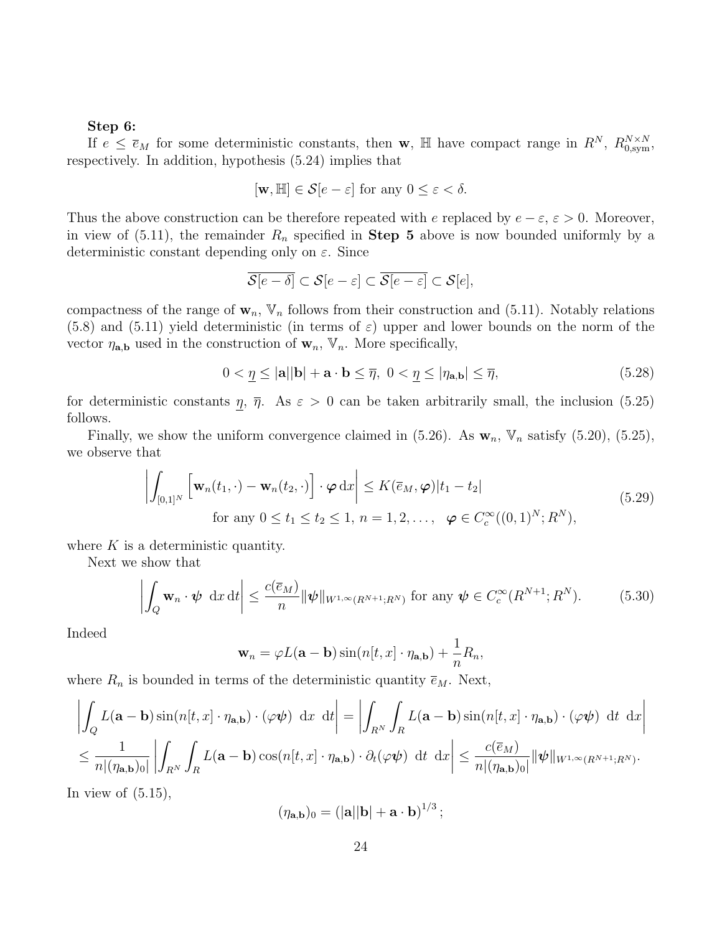#### Step 6:

If  $e \leq \bar{e}_M$  for some deterministic constants, then w, H have compact range in  $R^N$ ,  $R_{0,\text{sym}}^{N\times N}$ , respectively. In addition, hypothesis (5.24) implies that

$$
[\mathbf{w}, \mathbb{H}] \in \mathcal{S}[e - \varepsilon] \text{ for any } 0 \le \varepsilon < \delta.
$$

Thus the above construction can be therefore repeated with e replaced by  $e - \varepsilon$ ,  $\varepsilon > 0$ . Moreover, in view of (5.11), the remainder  $R_n$  specified in **Step 5** above is now bounded uniformly by a deterministic constant depending only on  $\varepsilon$ . Since

$$
\overline{\mathcal{S}[e-\delta]} \subset \mathcal{S}[e-\varepsilon] \subset \overline{\mathcal{S}[e-\varepsilon]} \subset \mathcal{S}[e],
$$

compactness of the range of  $\mathbf{w}_n$ ,  $\mathbb{V}_n$  follows from their construction and (5.11). Notably relations  $(5.8)$  and  $(5.11)$  yield deterministic (in terms of  $\varepsilon$ ) upper and lower bounds on the norm of the vector  $\eta_{\mathbf{a},\mathbf{b}}$  used in the construction of  $\mathbf{w}_n$ ,  $\mathbb{V}_n$ . More specifically,

$$
0 < \underline{\eta} \le |\mathbf{a}||\mathbf{b}| + \mathbf{a} \cdot \mathbf{b} \le \overline{\eta}, \ 0 < \underline{\eta} \le |\eta_{\mathbf{a},\mathbf{b}}| \le \overline{\eta},\tag{5.28}
$$

for deterministic constants  $\eta$ ,  $\overline{\eta}$ . As  $\varepsilon > 0$  can be taken arbitrarily small, the inclusion (5.25) follows.

Finally, we show the uniform convergence claimed in  $(5.26)$ . As  $w_n$ ,  $V_n$  satisfy  $(5.20)$ ,  $(5.25)$ , we observe that

$$
\left| \int_{[0,1]^N} \left[ \mathbf{w}_n(t_1, \cdot) - \mathbf{w}_n(t_2, \cdot) \right] \cdot \boldsymbol{\varphi} \, dx \right| \le K(\overline{e}_M, \boldsymbol{\varphi}) |t_1 - t_2|
$$
\n
$$
\text{for any } 0 \le t_1 \le t_2 \le 1, n = 1, 2, \dots, \ \boldsymbol{\varphi} \in C_c^{\infty}((0,1)^N; R^N), \tag{5.29}
$$

where  $K$  is a deterministic quantity.

Next we show that

$$
\left| \int_{Q} \mathbf{w}_{n} \cdot \boldsymbol{\psi} \, dx \, dt \right| \leq \frac{c(\overline{e}_{M})}{n} \|\boldsymbol{\psi}\|_{W^{1,\infty}(R^{N+1};R^{N})} \text{ for any } \boldsymbol{\psi} \in C_{c}^{\infty}(R^{N+1};R^{N}). \tag{5.30}
$$

Indeed

$$
\mathbf{w}_n = \varphi L(\mathbf{a} - \mathbf{b}) \sin(n[t, x] \cdot \eta_{\mathbf{a}, \mathbf{b}}) + \frac{1}{n} R_n,
$$

where  $R_n$  is bounded in terms of the deterministic quantity  $\overline{e}_M$ . Next,

$$
\left| \int_{Q} L(\mathbf{a} - \mathbf{b}) \sin(n[t, x] \cdot \eta_{\mathbf{a}, \mathbf{b}}) \cdot (\varphi \psi) \, dx \, dt \right| = \left| \int_{R^{N}} \int_{R} L(\mathbf{a} - \mathbf{b}) \sin(n[t, x] \cdot \eta_{\mathbf{a}, \mathbf{b}}) \cdot (\varphi \psi) \, dt \, dx \right|
$$
  

$$
\leq \frac{1}{n |(\eta_{\mathbf{a}, \mathbf{b}})_{0}|} \left| \int_{R^{N}} \int_{R} L(\mathbf{a} - \mathbf{b}) \cos(n[t, x] \cdot \eta_{\mathbf{a}, \mathbf{b}}) \cdot \partial_{t}(\varphi \psi) \, dt \, dx \right| \leq \frac{c(\overline{e}_{M})}{n |(\eta_{\mathbf{a}, \mathbf{b}})_{0}|} \|\psi\|_{W^{1, \infty}(R^{N+1}; R^{N})}.
$$

In view of  $(5.15)$ ,

$$
(\eta_{\mathbf{a},\mathbf{b}})_0 = (|\mathbf{a}||\mathbf{b}| + \mathbf{a} \cdot \mathbf{b})^{1/3};
$$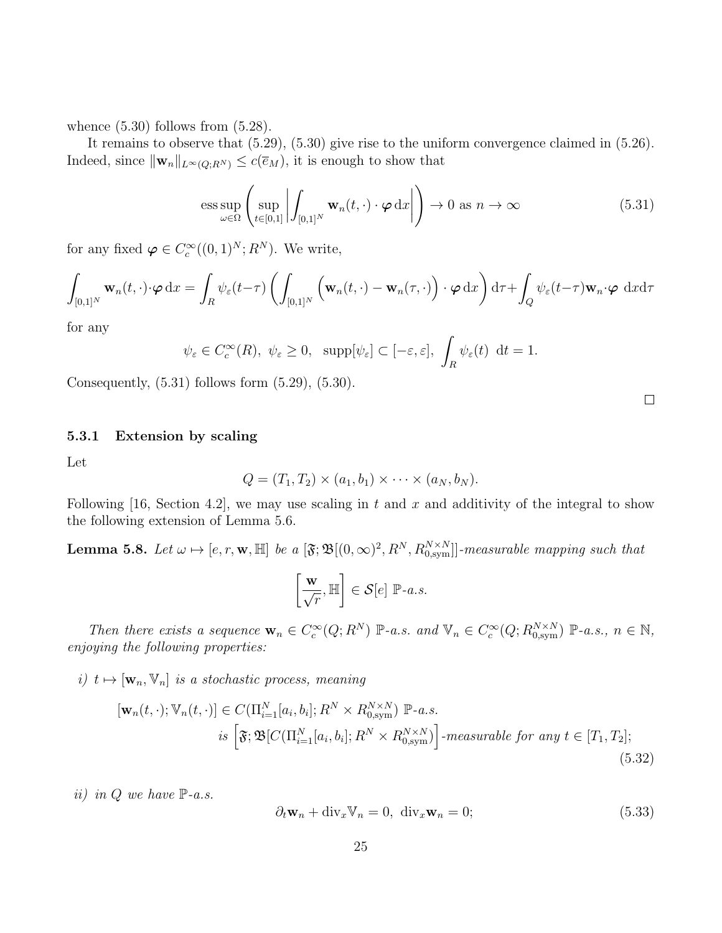whence  $(5.30)$  follows from  $(5.28)$ .

It remains to observe that (5.29), (5.30) give rise to the uniform convergence claimed in (5.26). Indeed, since  $\|\mathbf{w}_n\|_{L^{\infty}(Q;R^N)} \leq c(\overline{e}_M)$ , it is enough to show that

$$
\underset{\omega \in \Omega}{\text{ess sup}} \left( \underset{t \in [0,1]}{\text{sup}} \left| \int_{[0,1]^N} \mathbf{w}_n(t,\cdot) \cdot \boldsymbol{\varphi} \, dx \right| \right) \to 0 \text{ as } n \to \infty \tag{5.31}
$$

for any fixed  $\boldsymbol{\varphi} \in C_c^{\infty}((0,1)^N; R^N)$ . We write,

$$
\int_{[0,1]^N} \mathbf{w}_n(t,\cdot) \cdot \boldsymbol{\varphi} \,dx = \int_R \psi_{\varepsilon}(t-\tau) \left( \int_{[0,1]^N} \left( \mathbf{w}_n(t,\cdot) - \mathbf{w}_n(\tau,\cdot) \right) \cdot \boldsymbol{\varphi} \,dx \right) d\tau + \int_Q \psi_{\varepsilon}(t-\tau) \mathbf{w}_n \cdot \boldsymbol{\varphi} \,dx d\tau
$$

for any

$$
\psi_{\varepsilon} \in C_c^{\infty}(R), \ \psi_{\varepsilon} \ge 0, \ \ \supp[\psi_{\varepsilon}] \subset [-\varepsilon, \varepsilon], \ \int_R \psi_{\varepsilon}(t) \ dt = 1.
$$

Consequently,  $(5.31)$  follows form  $(5.29)$ ,  $(5.30)$ .

### 5.3.1 Extension by scaling

Let

$$
Q = (T_1, T_2) \times (a_1, b_1) \times \cdots \times (a_N, b_N).
$$

Following [16, Section 4.2], we may use scaling in t and x and additivity of the integral to show the following extension of Lemma 5.6.

**Lemma 5.8.** Let  $\omega \mapsto [e, r, \mathbf{w}, \mathbb{H}]$  be a  $[\mathfrak{F}; \mathfrak{B}[(0,\infty)^2, R^N, R_{0,\text{sym}}^{N \times N}]]$ -measurable mapping such that

$$
\left[\frac{\mathbf{w}}{\sqrt{r}}, \mathbb{H}\right] \in \mathcal{S}[e] \; \mathbb{P}\text{-}a.s.
$$

Then there exists a sequence  $\mathbf{w}_n \in C_c^{\infty}(Q; R^N)$   $\mathbb{P}\text{-}a.s.$  and  $\mathbb{V}_n \in C_c^{\infty}(Q; R_{0,\text{sym}}^{N \times N})$   $\mathbb{P}\text{-}a.s., n \in \mathbb{N},$ enjoying the following properties:

i)  $t \mapsto [\mathbf{w}_n, \mathbf{V}_n]$  is a stochastic process, meaning

$$
[\mathbf{w}_n(t,\cdot);\mathbb{V}_n(t,\cdot)] \in C(\Pi_{i=1}^N[a_i,b_i];R^N \times R_{0,\text{sym}}^{N \times N}) \mathbb{P}\text{-}a.s.
$$
  
is 
$$
[\mathfrak{F};\mathfrak{B}[C(\Pi_{i=1}^N[a_i,b_i];R^N \times R_{0,\text{sym}}^{N \times N})] \text{-}measurable for any } t \in [T_1,T_2];
$$
  
(5.32)

ii) in  $Q$  we have  $\mathbb{P}\text{-}a.s.$ 

$$
\partial_t \mathbf{w}_n + \text{div}_x \mathbb{V}_n = 0, \ \text{div}_x \mathbf{w}_n = 0; \tag{5.33}
$$

 $\Box$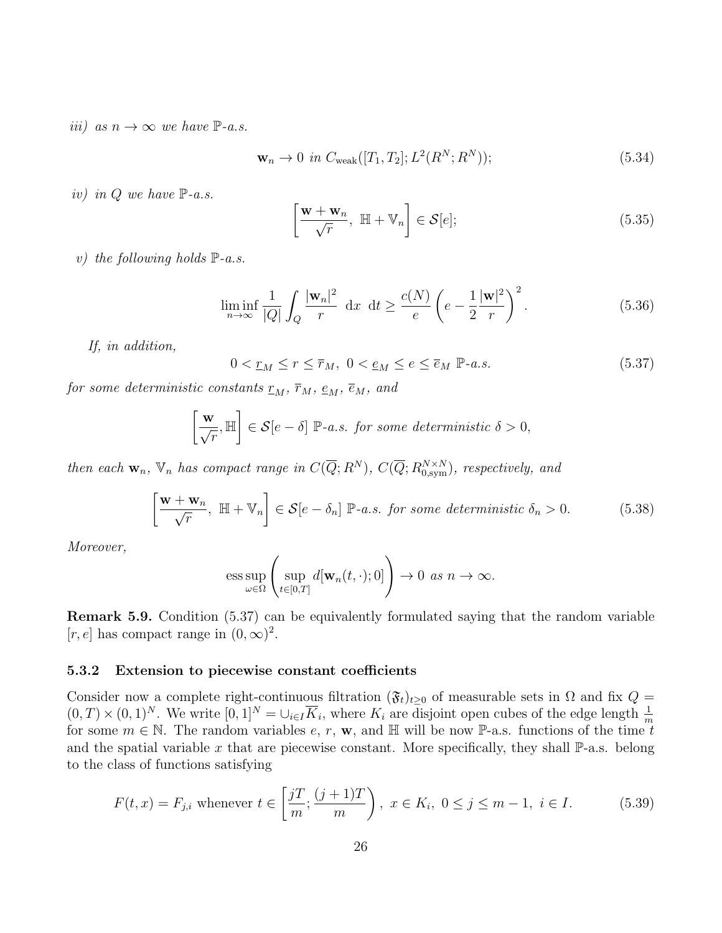iii) as  $n \to \infty$  we have  $\mathbb{P}\text{-}a.s.$ 

$$
\mathbf{w}_n \to 0 \text{ in } C_{\text{weak}}([T_1, T_2]; L^2(R^N; R^N)); \tag{5.34}
$$

iv) in  $Q$  we have  $\mathbb{P}\text{-}a.s.$ 

$$
\left[\frac{\mathbf{w} + \mathbf{w}_n}{\sqrt{r}}, \ \mathbb{H} + \mathbb{V}_n\right] \in \mathcal{S}[e];\tag{5.35}
$$

v) the following holds  $\mathbb{P}\text{-}a.s.$ 

$$
\liminf_{n \to \infty} \frac{1}{|Q|} \int_Q \frac{|\mathbf{w}_n|^2}{r} dx dt \ge \frac{c(N)}{e} \left( e - \frac{1}{2} \frac{|\mathbf{w}|^2}{r} \right)^2.
$$
 (5.36)

If, in addition,

$$
0 < \underline{r}_M \le r \le \overline{r}_M, \ 0 < \underline{e}_M \le e \le \overline{e}_M \ \mathbb{P}\text{-}a.s. \tag{5.37}
$$

for some deterministic constants  $r_M$ ,  $\bar{r}_M$ ,  $\epsilon_M$ ,  $\bar{\epsilon}_M$ , and

$$
\left[\frac{\mathbf{w}}{\sqrt{r}}, \mathbb{H}\right] \in \mathcal{S}[e-\delta] \; \mathbb{P}\text{-}a.s. \text{ for some deterministic } \delta > 0,
$$

then each  $\mathbf{w}_n$ ,  $\mathbb{V}_n$  has compact range in  $C(\overline{Q};R^N)$ ,  $C(\overline{Q};R^{N\times N}_{0,\text{sym}})$ , respectively, and

$$
\left[\frac{\mathbf{w} + \mathbf{w}_n}{\sqrt{r}}, \ \mathbb{H} + \mathbb{V}_n\right] \in \mathcal{S}[e - \delta_n] \ \mathbb{P}\text{-}a.s. \ \text{for some deterministic } \delta_n > 0. \tag{5.38}
$$

Moreover,

$$
\mathrm{ess} \sup_{\omega \in \Omega} \left( \sup_{t \in [0,T]} d[\mathbf{w}_n(t,\cdot);0] \right) \to 0 \text{ as } n \to \infty.
$$

Remark 5.9. Condition (5.37) can be equivalently formulated saying that the random variable [r, e] has compact range in  $(0, \infty)^2$ .

#### 5.3.2 Extension to piecewise constant coefficients

Consider now a complete right-continuous filtration  $(\mathfrak{F}_t)_{t\geq0}$  of measurable sets in  $\Omega$  and fix  $Q =$  $(0,T) \times (0,1)^N$ . We write  $[0,1]^N = \bigcup_{i \in I} \overline{K}_i$ , where  $K_i$  are disjoint open cubes of the edge length  $\frac{1}{m}$ for some  $m \in \mathbb{N}$ . The random variables  $e, r, w$ , and H will be now P-a.s. functions of the time t and the spatial variable x that are piecewise constant. More specifically, they shall  $\mathbb{P}\text{-a.s.}$  belong to the class of functions satisfying

$$
F(t, x) = F_{j,i} \text{ whenever } t \in \left[\frac{j}{m}; \frac{(j+1)T}{m}\right), \ x \in K_i, \ 0 \le j \le m-1, \ i \in I. \tag{5.39}
$$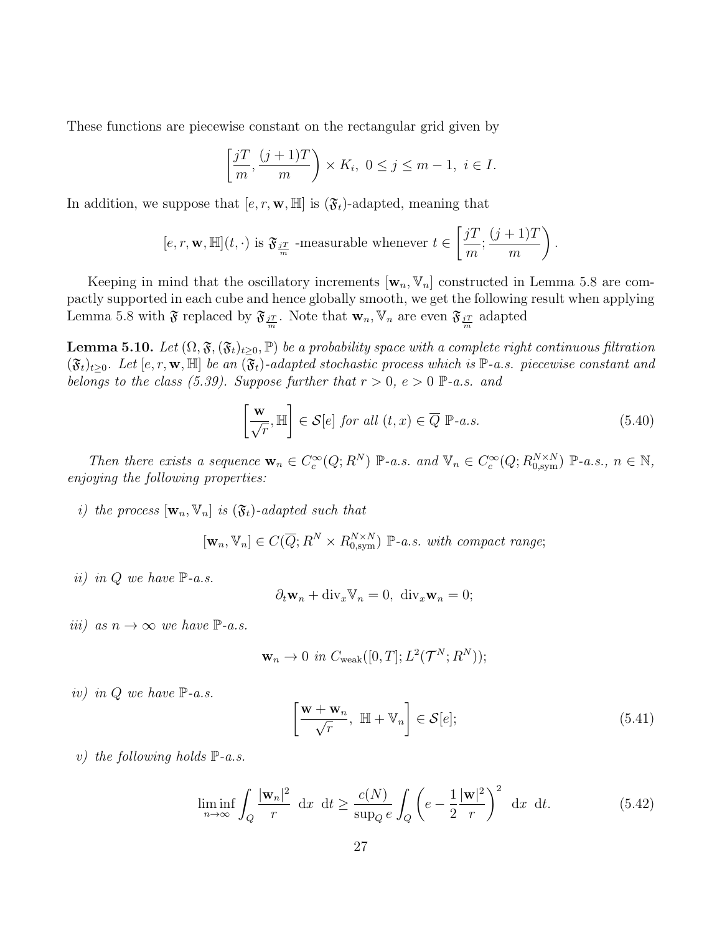These functions are piecewise constant on the rectangular grid given by

$$
\left[\frac{jT}{m}, \frac{(j+1)T}{m}\right) \times K_i, \ 0 \le j \le m-1, \ i \in I.
$$

In addition, we suppose that  $[e, r, \mathbf{w}, \mathbb{H}]$  is  $(\mathfrak{F}_t)$ -adapted, meaning that

$$
[e,r,\mathbf{w},\mathbb{H}](t,\cdot)\text{ is }\mathfrak{F}_{\frac{jT}{m}}\text{ -measurable whenever }t\in\left[\frac{jT}{m};\frac{(j+1)T}{m}\right).
$$

Keeping in mind that the oscillatory increments  $[\mathbf{w}_n, \mathbf{V}_n]$  constructed in Lemma 5.8 are compactly supported in each cube and hence globally smooth, we get the following result when applying Lemma 5.8 with  $\mathfrak{F}$  replaced by  $\mathfrak{F}_{\frac{jT}{m}}$ . Note that  $\mathbf{w}_n, \mathbb{V}_n$  are even  $\mathfrak{F}_{\frac{jT}{m}}$  adapted

**Lemma 5.10.** Let  $(\Omega, \mathfrak{F},(\mathfrak{F}_t)_{t\geq0}, \mathbb{P})$  be a probability space with a complete right continuous filtration  $(\mathfrak{F}_t)_{t>0}$ . Let  $[e, r, \mathbf{w}, \mathbb{H}]$  be an  $(\mathfrak{F}_t)$ -adapted stochastic process which is  $\mathbb{P}\text{-}a.s.$  piecewise constant and belongs to the class (5.39). Suppose further that  $r > 0$ ,  $e > 0$   $\mathbb{P}\text{-}a.s.$  and

$$
\left[\frac{\mathbf{w}}{\sqrt{r}}, \mathbb{H}\right] \in \mathcal{S}[e] \text{ for all } (t, x) \in \overline{Q} \; \mathbb{P}\text{-}a.s. \tag{5.40}
$$

Then there exists a sequence  $\mathbf{w}_n \in C_c^{\infty}(Q; R^N)$   $\mathbb{P}\text{-}a.s.$  and  $\mathbb{V}_n \in C_c^{\infty}(Q; R_{0,\text{sym}}^{N \times N})$   $\mathbb{P}\text{-}a.s., n \in \mathbb{N},$ enjoying the following properties:

i) the process  $[\mathbf{w}_n, \mathbf{V}_n]$  is  $(\mathfrak{F}_t)$ -adapted such that

 $[\mathbf{w}_n, \mathbb{V}_n] \in C(\overline{Q}; R^N \times R_{0, \text{sym}}^{N \times N}) \mathbb{P}$ -a.s. with compact range;

ii) in Q we have  $\mathbb{P}\text{-}a.s.$ 

$$
\partial_t \mathbf{w}_n + \text{div}_x \mathbb{V}_n = 0, \ \text{div}_x \mathbf{w}_n = 0;
$$

iii) as  $n \to \infty$  we have  $\mathbb{P}\text{-}a.s.$ 

$$
\mathbf{w}_n \to 0 \text{ in } C_{\text{weak}}([0,T]; L^2(\mathcal{T}^N; R^N));
$$

iv) in Q we have  $\mathbb{P}\text{-}a.s.$ 

$$
\left[\frac{\mathbf{w} + \mathbf{w}_n}{\sqrt{r}}, \ \mathbb{H} + \mathbb{V}_n\right] \in \mathcal{S}[e];\tag{5.41}
$$

v) the following holds  $\mathbb{P}\text{-}a.s.$ 

$$
\liminf_{n \to \infty} \int_{Q} \frac{|\mathbf{w}_{n}|^{2}}{r} dx dt \ge \frac{c(N)}{\sup_{Q} e} \int_{Q} \left( e - \frac{1}{2} \frac{|\mathbf{w}|^{2}}{r} \right)^{2} dx dt.
$$
 (5.42)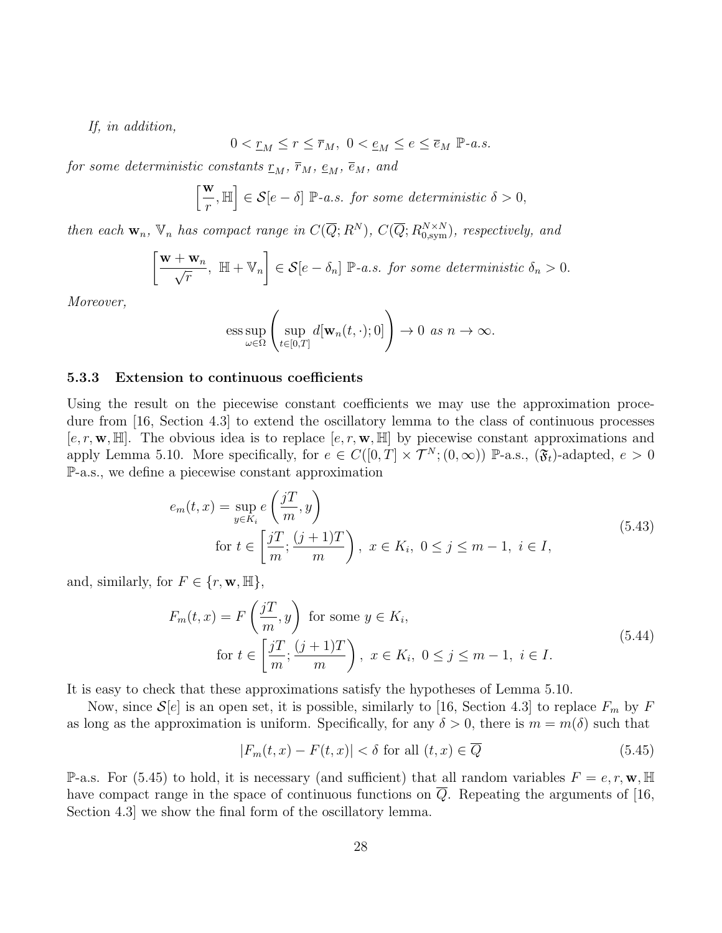If, in addition,

$$
0 < \underline{r}_M \le r \le \overline{r}_M, \ 0 < \underline{e}_M \le e \le \overline{e}_M \ \mathbb{P}\text{-}a.s.
$$

for some deterministic constants  $r_M$ ,  $\bar{r}_M$ ,  $\epsilon_M$ ,  $\bar{\epsilon}_M$ , and

$$
\left[\frac{\mathbf{w}}{r},\mathbb{H}\right]\in\mathcal{S}[e-\delta]\ \mathbb{P}\text{-}a.s.\ \ for\ some\ deterministic\ \delta>0,
$$

then each  $\mathbf{w}_n$ ,  $\mathbb{V}_n$  has compact range in  $C(\overline{Q};R^N)$ ,  $C(\overline{Q};R^{N\times N}_{0,\text{sym}})$ , respectively, and

$$
\left[\frac{\mathbf{w}+\mathbf{w}_n}{\sqrt{r}}, \ \mathbb{H}+\mathbb{V}_n\right] \in \mathcal{S}[e-\delta_n] \ \mathbb{P}\text{-}a.s. \ \text{for some deterministic } \delta_n > 0.
$$

Moreover,

ess sup<sub>$$
\omega \in \Omega
$$</sub>  $\left( \sup_{t \in [0,T]} d[\mathbf{w}_n(t,\cdot);0] \right) \to 0 \text{ as } n \to \infty.$ 

#### 5.3.3 Extension to continuous coefficients

Using the result on the piecewise constant coefficients we may use the approximation procedure from [16, Section 4.3] to extend the oscillatory lemma to the class of continuous processes  $[e, r, \mathbf{w}, \mathbb{H}]$ . The obvious idea is to replace  $[e, r, \mathbf{w}, \mathbb{H}]$  by piecewise constant approximations and apply Lemma 5.10. More specifically, for  $e \in C([0,T] \times \mathcal{T}^{N};(0,\infty))$  P-a.s.,  $(\mathfrak{F}_{t})$ -adapted,  $e > 0$ P-a.s., we define a piecewise constant approximation

$$
e_m(t,x) = \sup_{y \in K_i} e\left(\frac{jT}{m}, y\right)
$$
  
for  $t \in \left[\frac{jT}{m}; \frac{(j+1)T}{m}\right), x \in K_i, 0 \le j \le m-1, i \in I,$  (5.43)

and, similarly, for  $F \in \{r, \mathbf{w}, \mathbb{H}\},\$ 

$$
F_m(t, x) = F\left(\frac{jT}{m}, y\right) \text{ for some } y \in K_i,
$$
  
for  $t \in \left[\frac{jT}{m}; \frac{(j+1)T}{m}\right), x \in K_i, 0 \le j \le m-1, i \in I.$  (5.44)

It is easy to check that these approximations satisfy the hypotheses of Lemma 5.10.

Now, since  $\mathcal{S}[e]$  is an open set, it is possible, similarly to [16, Section 4.3] to replace  $F_m$  by F as long as the approximation is uniform. Specifically, for any  $\delta > 0$ , there is  $m = m(\delta)$  such that

$$
|F_m(t,x) - F(t,x)| < \delta \text{ for all } (t,x) \in \overline{Q}
$$
\n(5.45)

P-a.s. For (5.45) to hold, it is necessary (and sufficient) that all random variables  $F = e, r, \mathbf{w}, \mathbb{H}$ have compact range in the space of continuous functions on  $\overline{Q}$ . Repeating the arguments of [16, Section 4.3] we show the final form of the oscillatory lemma.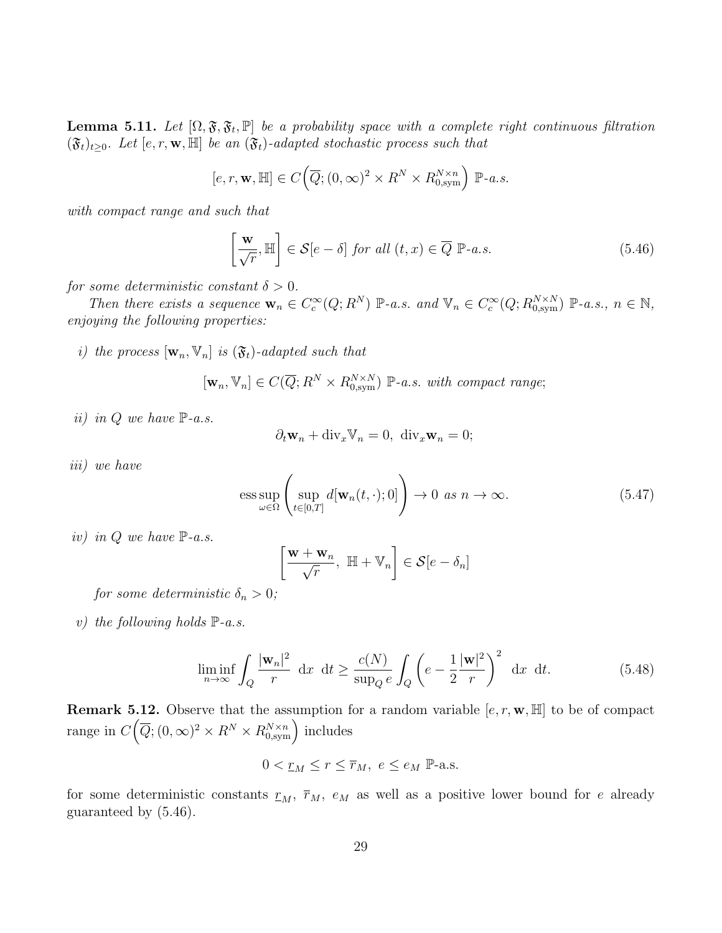**Lemma 5.11.** Let  $[\Omega, \mathfrak{F}, \mathfrak{F}_t, \mathbb{P}]$  be a probability space with a complete right continuous filtration  $(\mathfrak{F}_t)_{t\geq0}$ . Let  $[e, r, \mathbf{w}, \mathbb{H}]$  be an  $(\mathfrak{F}_t)$ -adapted stochastic process such that

$$
[e, r, \mathbf{w}, \mathbb{H}] \in C\Big(\overline{Q}; (0, \infty)^2 \times R^N \times R_{0, \text{sym}}^{N \times n}\Big) \; \mathbb{P}\text{-}a.s.
$$

with compact range and such that

$$
\left[\frac{\mathbf{w}}{\sqrt{r}}, \mathbb{H}\right] \in \mathcal{S}[e-\delta] \text{ for all } (t, x) \in \overline{Q} \; \mathbb{P}\text{-}a.s. \tag{5.46}
$$

for some deterministic constant  $\delta > 0$ .

Then there exists a sequence  $\mathbf{w}_n \in C_c^{\infty}(Q; R^N)$   $\mathbb{P}\text{-}a.s.$  and  $\mathbb{V}_n \in C_c^{\infty}(Q; R_{0,\text{sym}}^{N \times N})$   $\mathbb{P}\text{-}a.s., n \in \mathbb{N},$ enjoying the following properties:

i) the process  $[\mathbf{w}_n, \mathbf{V}_n]$  is  $(\mathfrak{F}_t)$ -adapted such that

$$
[\mathbf{w}_n, \mathbb{V}_n] \in C(\overline{Q}; R^N \times R_{0,\text{sym}}^{N \times N}) \; \mathbb{P}\text{-}a.s. \; with \; compact \; range;
$$

ii) in  $Q$  we have  $\mathbb{P}\text{-}a.s.$ 

$$
\partial_t \mathbf{w}_n + \text{div}_x \mathbb{V}_n = 0, \ \text{div}_x \mathbf{w}_n = 0;
$$

iii) we have

$$
\underset{\omega \in \Omega}{\text{ess sup}} \left( \underset{t \in [0,T]}{\text{sup }} d[\mathbf{w}_n(t,\cdot);0] \right) \to 0 \text{ as } n \to \infty. \tag{5.47}
$$

iv) in  $Q$  we have  $\mathbb{P}\text{-}a.s.$ 

$$
\left[\frac{\mathbf{w} + \mathbf{w}_n}{\sqrt{r}}, \ \mathbb{H} + \mathbb{V}_n\right] \in \mathcal{S}[e - \delta_n]
$$

for some deterministic  $\delta_n > 0$ ;

v) the following holds  $\mathbb{P}\text{-}a.s.$ 

$$
\liminf_{n \to \infty} \int_{Q} \frac{|\mathbf{w}_{n}|^{2}}{r} dx dt \ge \frac{c(N)}{\sup_{Q} e} \int_{Q} \left( e - \frac{1}{2} \frac{|\mathbf{w}|^{2}}{r} \right)^{2} dx dt.
$$
 (5.48)

**Remark 5.12.** Observe that the assumption for a random variable  $[e, r, \mathbf{w}, \mathbb{H}]$  to be of compact range in  $C(\overline{Q};(0,\infty)^2\times R^N\times R_{0,\text{sym}}^{N\times n})$  includes

$$
0<\underline{r}_M\leq r\leq \overline{r}_M,\ e\leq e_M\ \mathbb{P}\text{-a.s.}
$$

for some deterministic constants  $r_M$ ,  $\bar{r}_M$ ,  $e_M$  as well as a positive lower bound for e already guaranteed by (5.46).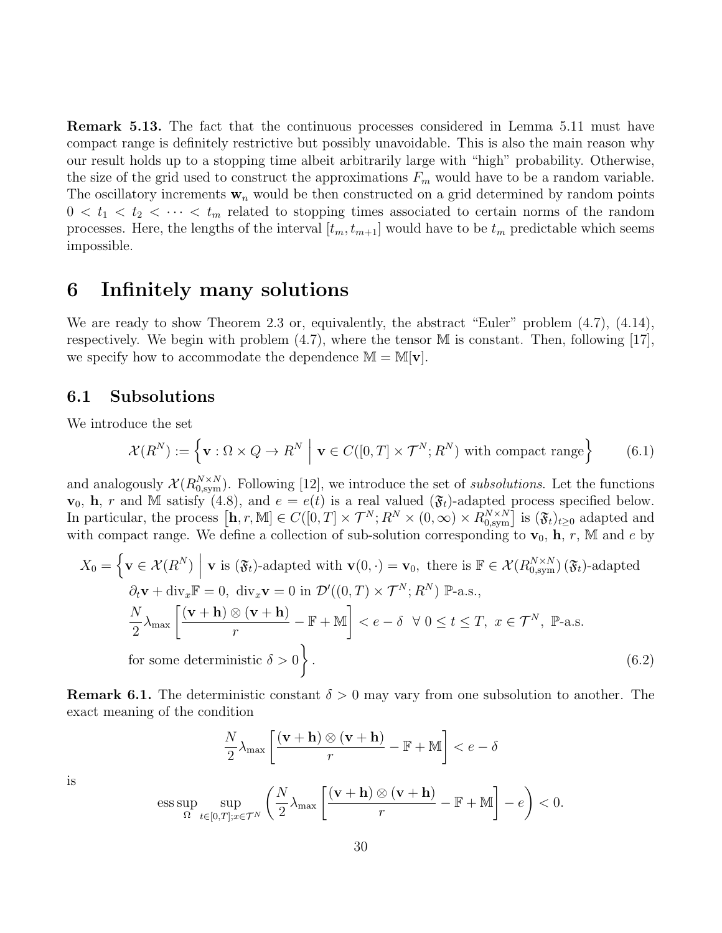Remark 5.13. The fact that the continuous processes considered in Lemma 5.11 must have compact range is definitely restrictive but possibly unavoidable. This is also the main reason why our result holds up to a stopping time albeit arbitrarily large with "high" probability. Otherwise, the size of the grid used to construct the approximations  $F_m$  would have to be a random variable. The oscillatory increments  $w_n$  would be then constructed on a grid determined by random points  $0 < t_1 < t_2 < \cdots < t_m$  related to stopping times associated to certain norms of the random processes. Here, the lengths of the interval  $[t_m, t_{m+1}]$  would have to be  $t_m$  predictable which seems impossible.

## 6 Infinitely many solutions

We are ready to show Theorem 2.3 or, equivalently, the abstract "Euler" problem  $(4.7)$ ,  $(4.14)$ , respectively. We begin with problem  $(4.7)$ , where the tensor M is constant. Then, following [17], we specify how to accommodate the dependence  $\mathbb{M} = \mathbb{M}[\mathbf{v}]$ .

### 6.1 Subsolutions

We introduce the set

$$
\mathcal{X}(R^N) := \left\{ \mathbf{v} : \Omega \times Q \to R^N \; \middle| \; \mathbf{v} \in C([0, T] \times \mathcal{T}^N; R^N) \text{ with compact range} \right\} \tag{6.1}
$$

and analogously  $\mathcal{X}(R_{0,\mathrm{sym}}^{N\times N})$ . Following [12], we introduce the set of subsolutions. Let the functions  $\mathbf{v}_0$ , **h**, r and M satisfy (4.8), and  $e = e(t)$  is a real valued ( $\mathfrak{F}_t$ )-adapted process specified below. In particular, the process  $[\mathbf{h}, r, \mathbb{M}] \in C([0, T] \times \mathcal{T}^N; R^N \times (0, \infty) \times R_{0, sym}^{N \times N}]$  is  $(\mathfrak{F}_t)_{t \geq 0}$  adapted and with compact range. We define a collection of sub-solution corresponding to  $\mathbf{v}_0$ ,  $\mathbf{h}, r$ , M and e by

$$
X_0 = \left\{ \mathbf{v} \in \mathcal{X}(R^N) \; \middle| \; \mathbf{v} \text{ is } (\mathfrak{F}_t)\text{-adapted with } \mathbf{v}(0, \cdot) = \mathbf{v}_0, \text{ there is } \mathbb{F} \in \mathcal{X}(R_{0,\text{sym}}^{N \times N}) \, (\mathfrak{F}_t)\text{-adapted}
$$
\n
$$
\partial_t \mathbf{v} + \text{div}_x \mathbb{F} = 0, \text{ div}_x \mathbf{v} = 0 \text{ in } \mathcal{D}'((0, T) \times \mathcal{T}^N; R^N) \; \mathbb{P}\text{-a.s.},
$$
\n
$$
\frac{N}{2} \lambda_{\text{max}} \left[ \frac{(\mathbf{v} + \mathbf{h}) \otimes (\mathbf{v} + \mathbf{h})}{r} - \mathbb{F} + \mathbb{M} \right] < e - \delta \; \forall \; 0 \le t \le T, \; x \in \mathcal{T}^N, \; \mathbb{P}\text{-a.s.}
$$
\nfor some deterministic  $\delta > 0$ 

\n(6.2)

**Remark 6.1.** The deterministic constant  $\delta > 0$  may vary from one subsolution to another. The exact meaning of the condition

$$
\frac{N}{2}\lambda_{\max}\left[\frac{(\mathbf{v}+\mathbf{h})\otimes(\mathbf{v}+\mathbf{h})}{r}-\mathbb{F}+\mathbb{M}\right]\n
$$
\underset{\Omega}{\mathrm{ess}}\sup\sup_{t\in[0,T];x\in\mathcal{T}^N}\left(\frac{N}{2}\lambda_{\max}\left[\frac{(\mathbf{v}+\mathbf{h})\otimes(\mathbf{v}+\mathbf{h})}{r}-\mathbb{F}+\mathbb{M}\right]-e\right)<0.
$$
$$

is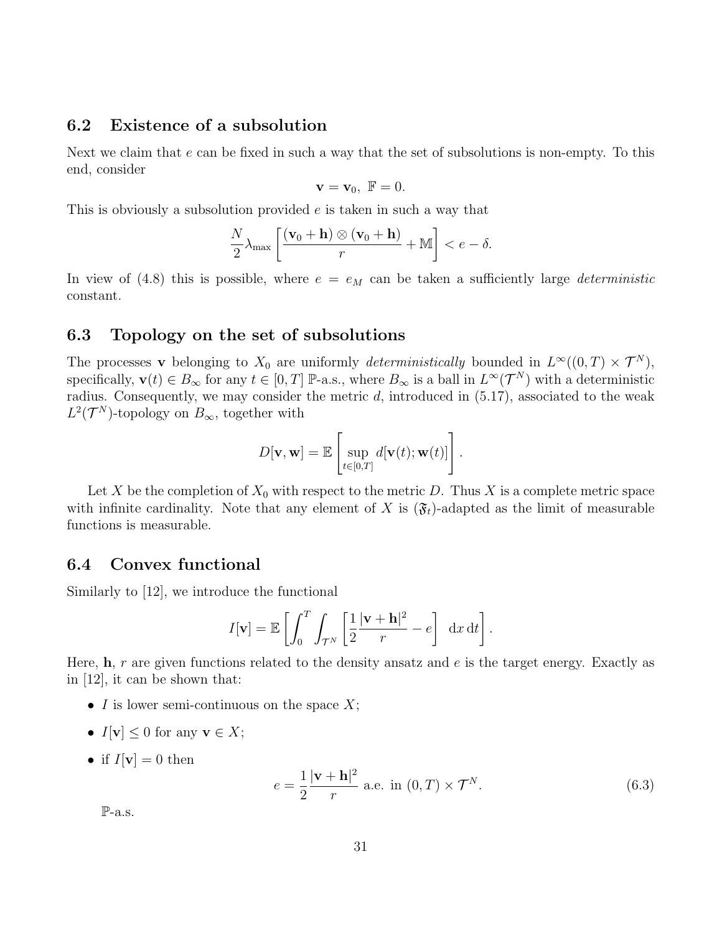### 6.2 Existence of a subsolution

Next we claim that e can be fixed in such a way that the set of subsolutions is non-empty. To this end, consider

$$
\mathbf{v} = \mathbf{v}_0, \ \mathbb{F} = 0.
$$

This is obviously a subsolution provided e is taken in such a way that

$$
\frac{N}{2}\lambda_{\max}\left[\frac{(\mathbf{v}_0+\mathbf{h})\otimes(\mathbf{v}_0+\mathbf{h})}{r}+\mathbb{M}\right]
$$

In view of (4.8) this is possible, where  $e = e_M$  can be taken a sufficiently large *deterministic* constant.

### 6.3 Topology on the set of subsolutions

The processes v belonging to  $X_0$  are uniformly *deterministically* bounded in  $L^{\infty}((0,T) \times T^N)$ , specifically,  $\mathbf{v}(t) \in B_{\infty}$  for any  $t \in [0, T]$  P-a.s., where  $B_{\infty}$  is a ball in  $L^{\infty}(\mathcal{T}^N)$  with a deterministic radius. Consequently, we may consider the metric  $d$ , introduced in  $(5.17)$ , associated to the weak  $L^2(\mathcal{T}^N)$ -topology on  $B_{\infty}$ , together with

$$
D[\mathbf{v},\mathbf{w}] = \mathbb{E}\left[\sup_{t\in[0,T]} d[\mathbf{v}(t); \mathbf{w}(t)]\right].
$$

Let X be the completion of  $X_0$  with respect to the metric D. Thus X is a complete metric space with infinite cardinality. Note that any element of X is  $(\mathfrak{F}_t)$ -adapted as the limit of measurable functions is measurable.

### 6.4 Convex functional

Similarly to [12], we introduce the functional

$$
I[\mathbf{v}] = \mathbb{E}\left[\int_0^T \int_{\mathcal{T}^N} \left[\frac{1}{2}\frac{|\mathbf{v} + \mathbf{h}|^2}{r} - e\right] dx dt\right].
$$

Here,  $\bf{h}$ , r are given functions related to the density ansatz and e is the target energy. Exactly as in [12], it can be shown that:

- I is lower semi-continuous on the space  $X$ ;
- $I[\mathbf{v}] \leq 0$  for any  $\mathbf{v} \in X$ ;
- if  $I[\mathbf{v}] = 0$  then

$$
e = \frac{1}{2} \frac{|\mathbf{v} + \mathbf{h}|^2}{r}
$$
 a.e. in  $(0, T) \times T^N$ . (6.3)

 $P-a.s.$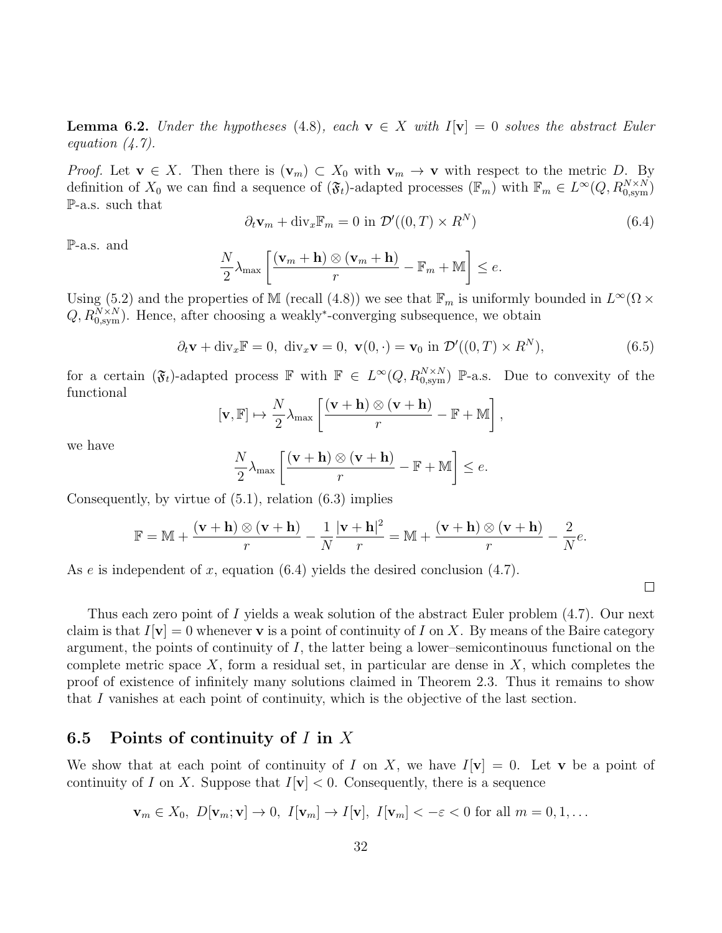**Lemma 6.2.** Under the hypotheses (4.8), each  $\mathbf{v} \in X$  with  $I[\mathbf{v}] = 0$  solves the abstract Euler equation  $(4.7)$ .

*Proof.* Let  $\mathbf{v} \in X$ . Then there is  $(\mathbf{v}_m) \subset X_0$  with  $\mathbf{v}_m \to \mathbf{v}$  with respect to the metric D. By definition of  $X_0$  we can find a sequence of  $(\mathfrak{F}_t)$ -adapted processes  $(\mathbb{F}_m)$  with  $\mathbb{F}_m \in L^{\infty}(Q, R_{0,\text{sym}}^{N \times N})$ P-a.s. such that

$$
\partial_t \mathbf{v}_m + \text{div}_x \mathbb{F}_m = 0 \text{ in } \mathcal{D}'((0, T) \times R^N)
$$
\n(6.4)

P-a.s. and

$$
\frac{N}{2}\lambda_{\max}\left[\frac{(\mathbf{v}_m+\mathbf{h})\otimes(\mathbf{v}_m+\mathbf{h})}{r}-\mathbb{F}_m+\mathbb{M}\right]\leq e.
$$

Using (5.2) and the properties of M (recall (4.8)) we see that  $\mathbb{F}_m$  is uniformly bounded in  $L^{\infty}(\Omega \times$  $Q, R_{0,\text{sym}}^{N\times N}$ . Hence, after choosing a weakly<sup>\*</sup>-converging subsequence, we obtain

$$
\partial_t \mathbf{v} + \text{div}_x \mathbb{F} = 0, \ \text{div}_x \mathbf{v} = 0, \ \mathbf{v}(0, \cdot) = \mathbf{v}_0 \text{ in } \mathcal{D}'((0, T) \times R^N), \tag{6.5}
$$

for a certain  $(\mathfrak{F}_t)$ -adapted process F with  $\mathbb{F} \in L^{\infty}(Q, R_{0,\text{sym}}^{N \times N})$  P-a.s. Due to convexity of the functional

$$
[\mathbf{v}, \mathbb{F}] \mapsto \frac{N}{2} \lambda_{\max} \left[ \frac{(\mathbf{v} + \mathbf{h}) \otimes (\mathbf{v} + \mathbf{h})}{r} - \mathbb{F} + \mathbb{M} \right],
$$

we have

$$
\frac{N}{2}\lambda_{\max}\left[\frac{(\mathbf{v}+\mathbf{h})\otimes(\mathbf{v}+\mathbf{h})}{r}-\mathbb{F}+\mathbb{M}\right]\leq e.
$$

Consequently, by virtue of (5.1), relation (6.3) implies

$$
\mathbb{F} = \mathbb{M} + \frac{(\mathbf{v} + \mathbf{h}) \otimes (\mathbf{v} + \mathbf{h})}{r} - \frac{1}{N} \frac{|\mathbf{v} + \mathbf{h}|^2}{r} = \mathbb{M} + \frac{(\mathbf{v} + \mathbf{h}) \otimes (\mathbf{v} + \mathbf{h})}{r} - \frac{2}{N}e.
$$

As e is independent of x, equation  $(6.4)$  yields the desired conclusion  $(4.7)$ .

Thus each zero point of I yields a weak solution of the abstract Euler problem  $(4.7)$ . Our next claim is that  $I[\mathbf{v}] = 0$  whenever **v** is a point of continuity of I on X. By means of the Baire category argument, the points of continuity of  $I$ , the latter being a lower–semicontinouus functional on the complete metric space  $X$ , form a residual set, in particular are dense in  $X$ , which completes the proof of existence of infinitely many solutions claimed in Theorem 2.3. Thus it remains to show that I vanishes at each point of continuity, which is the objective of the last section.

### 6.5 Points of continuity of  $I$  in  $X$

We show that at each point of continuity of I on X, we have  $I[\mathbf{v}] = 0$ . Let **v** be a point of continuity of I on X. Suppose that  $I[\mathbf{v}] < 0$ . Consequently, there is a sequence

$$
\mathbf{v}_m \in X_0, \ D[\mathbf{v}_m; \mathbf{v}] \to 0, \ I[\mathbf{v}_m] \to I[\mathbf{v}], \ I[\mathbf{v}_m] < -\varepsilon < 0 \text{ for all } m = 0, 1, \dots
$$

 $\Box$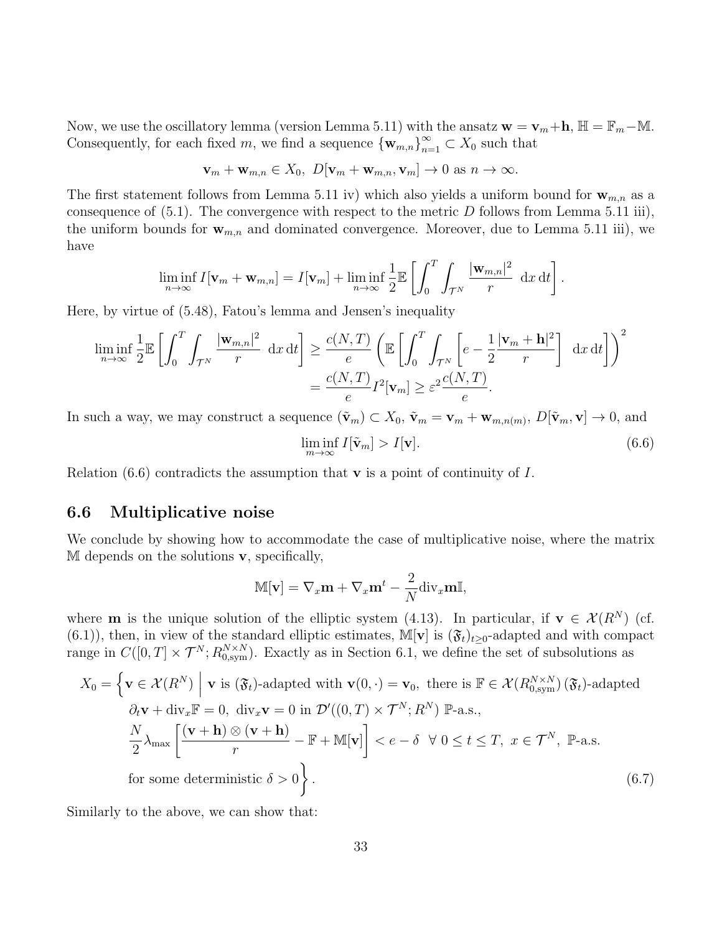Now, we use the oscillatory lemma (version Lemma 5.11) with the ansatz  $\mathbf{w} = \mathbf{v}_m + \mathbf{h}$ ,  $\mathbb{H} = \mathbb{F}_m - \mathbb{M}$ . Consequently, for each fixed m, we find a sequence  ${\{\mathbf w}_{m,n}\}_{n=1}^\infty\subset X_0$  such that

$$
\mathbf{v}_m + \mathbf{w}_{m,n} \in X_0, \ D[\mathbf{v}_m + \mathbf{w}_{m,n}, \mathbf{v}_m] \to 0 \text{ as } n \to \infty.
$$

The first statement follows from Lemma 5.11 iv) which also yields a uniform bound for  $w_{m,n}$  as a consequence of  $(5.1)$ . The convergence with respect to the metric D follows from Lemma 5.11 iii), the uniform bounds for  $\mathbf{w}_{m,n}$  and dominated convergence. Moreover, due to Lemma 5.11 iii), we have

$$
\liminf_{n\to\infty} I[\mathbf{v}_m + \mathbf{w}_{m,n}] = I[\mathbf{v}_m] + \liminf_{n\to\infty} \frac{1}{2} \mathbb{E}\left[\int_0^T \int_{\mathcal{T}^N} \frac{|\mathbf{w}_{m,n}|^2}{r} dx dt\right].
$$

Here, by virtue of (5.48), Fatou's lemma and Jensen's inequality

$$
\liminf_{n \to \infty} \frac{1}{2} \mathbb{E} \left[ \int_0^T \int_{\mathcal{T}^N} \frac{|\mathbf{w}_{m,n}|^2}{r} dx dt \right] \ge \frac{c(N,T)}{e} \left( \mathbb{E} \left[ \int_0^T \int_{\mathcal{T}^N} \left[ e - \frac{1}{2} \frac{|\mathbf{v}_m + \mathbf{h}|^2}{r} \right] dx dt \right] \right)^2
$$

$$
= \frac{c(N,T)}{e} I^2[\mathbf{v}_m] \ge \varepsilon^2 \frac{c(N,T)}{e}.
$$

In such a way, we may construct a sequence  $(\tilde{\mathbf{v}}_m) \subset X_0$ ,  $\tilde{\mathbf{v}}_m = \mathbf{v}_m + \mathbf{w}_{m,n(m)}$ ,  $D[\tilde{\mathbf{v}}_m, \mathbf{v}] \to 0$ , and

$$
\liminf_{m \to \infty} I[\tilde{\mathbf{v}}_m] > I[\mathbf{v}]. \tag{6.6}
$$

Relation  $(6.6)$  contradicts the assumption that **v** is a point of continuity of I.

### 6.6 Multiplicative noise

We conclude by showing how to accommodate the case of multiplicative noise, where the matrix  $M$  depends on the solutions  $v$ , specifically,

$$
\mathbb{M}[\mathbf{v}] = \nabla_x \mathbf{m} + \nabla_x \mathbf{m}^t - \frac{2}{N} \text{div}_x \mathbf{m} \mathbb{I},
$$

where **m** is the unique solution of the elliptic system (4.13). In particular, if  $\mathbf{v} \in \mathcal{X}(R^N)$  (cf. (6.1)), then, in view of the standard elliptic estimates, M[**v**] is  $(\mathfrak{F}_t)_{t>0}$ -adapted and with compact range in  $C([0,T] \times \mathcal{T}^N; R_{0,\text{sym}}^{N \times N})$ . Exactly as in Section 6.1, we define the set of subsolutions as

$$
X_0 = \left\{ \mathbf{v} \in \mathcal{X}(R^N) \middle| \mathbf{v} \text{ is } (\mathfrak{F}_t)\text{-adapted with } \mathbf{v}(0, \cdot) = \mathbf{v}_0, \text{ there is } \mathbb{F} \in \mathcal{X}(R_{0,\text{sym}}^{N \times N}) \ (\mathfrak{F}_t)\text{-adapted} \right\}
$$
  
\n
$$
\partial_t \mathbf{v} + \text{div}_x \mathbb{F} = 0, \ \text{div}_x \mathbf{v} = 0 \text{ in } \mathcal{D}'((0, T) \times \mathcal{T}^N; R^N) \ \mathbb{P}\text{-a.s.},
$$
  
\n
$$
\frac{N}{2} \lambda_{\text{max}} \left[ \frac{(\mathbf{v} + \mathbf{h}) \otimes (\mathbf{v} + \mathbf{h})}{r} - \mathbb{F} + \mathbb{M}[\mathbf{v}] \right] < e - \delta \ \ \forall \ 0 \le t \le T, \ x \in \mathcal{T}^N, \ \mathbb{P}\text{-a.s.}
$$
  
\nfor some deterministic  $\delta > 0$  }. (6.7)

Similarly to the above, we can show that: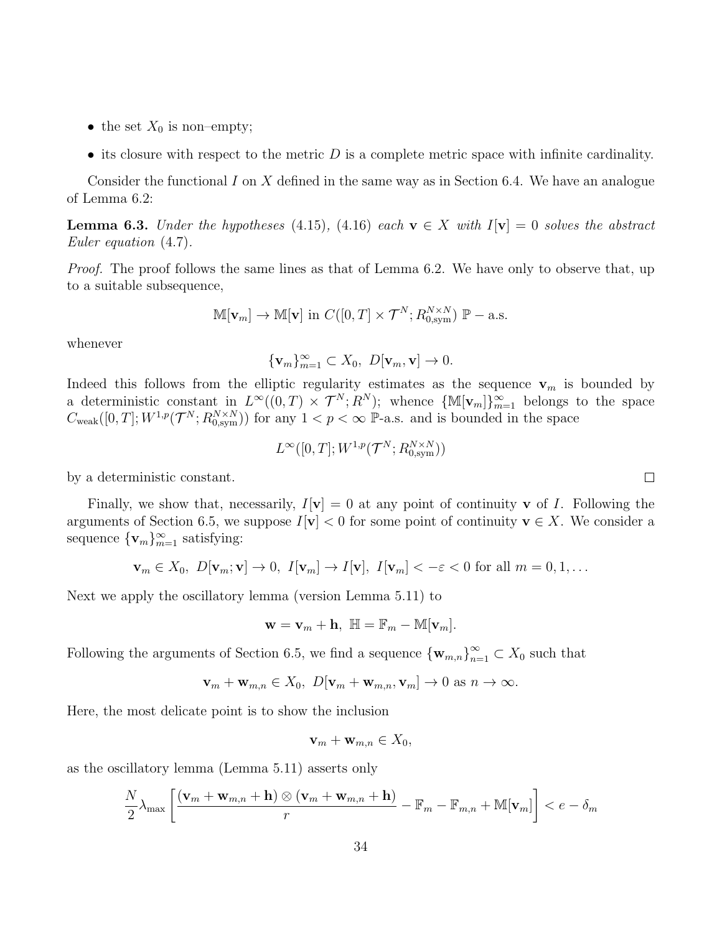- the set  $X_0$  is non–empty;
- its closure with respect to the metric  $D$  is a complete metric space with infinite cardinality.

Consider the functional I on X defined in the same way as in Section 6.4. We have an analogue of Lemma 6.2:

**Lemma 6.3.** Under the hypotheses (4.15), (4.16) each  $\mathbf{v} \in X$  with  $I[\mathbf{v}] = 0$  solves the abstract Euler equation (4.7).

*Proof.* The proof follows the same lines as that of Lemma 6.2. We have only to observe that, up to a suitable subsequence,

$$
\mathbb{M}[\mathbf{v}_m] \to \mathbb{M}[\mathbf{v}] \text{ in } C([0,T] \times \mathcal{T}^N; R_{0,\text{sym}}^{N \times N}) \mathbb{P}-\text{a.s.}
$$

whenever

$$
\{\mathbf v_m\}_{m=1}^\infty\subset X_0,\ D[\mathbf v_m,\mathbf v]\to 0.
$$

Indeed this follows from the elliptic regularity estimates as the sequence  $v_m$  is bounded by a deterministic constant in  $L^{\infty}((0,T) \times \mathcal{T}^N; R^N);$  whence  $\{\mathbb{M}[\mathbf{v}_m]\}_{m=1}^{\infty}$  belongs to the space  $C_{\text{weak}}([0,T];W^{1,p}(\mathcal{T}^N;R^{N\times N}_{0,\text{sym}}))$  for any  $1 < p < \infty$  P-a.s. and is bounded in the space

$$
L^{\infty}([0,T];W^{1,p}(\mathcal{T}^N;R_{0,\mathrm{sym}}^{N\times N}))
$$

by a deterministic constant.

Finally, we show that, necessarily,  $I[\mathbf{v}] = 0$  at any point of continuity **v** of *I*. Following the arguments of Section 6.5, we suppose  $I[\mathbf{v}] < 0$  for some point of continuity  $\mathbf{v} \in X$ . We consider a sequence  ${\mathbf \{v}_m\}_{m=1}^\infty$  satisfying:

$$
\mathbf{v}_m \in X_0, \ D[\mathbf{v}_m; \mathbf{v}] \to 0, \ I[\mathbf{v}_m] \to I[\mathbf{v}], \ I[\mathbf{v}_m] < -\varepsilon < 0 \text{ for all } m = 0, 1, \dots
$$

Next we apply the oscillatory lemma (version Lemma 5.11) to

$$
\mathbf{w} = \mathbf{v}_m + \mathbf{h}, \ \mathbb{H} = \mathbb{F}_m - \mathbb{M}[\mathbf{v}_m].
$$

Following the arguments of Section 6.5, we find a sequence  ${\{\mathbf{w}_{m,n}\}}_{n=1}^{\infty} \subset X_0$  such that

$$
\mathbf{v}_m + \mathbf{w}_{m,n} \in X_0, \ D[\mathbf{v}_m + \mathbf{w}_{m,n}, \mathbf{v}_m] \to 0 \text{ as } n \to \infty.
$$

Here, the most delicate point is to show the inclusion

$$
\mathbf{v}_m + \mathbf{w}_{m,n} \in X_0,
$$

as the oscillatory lemma (Lemma 5.11) asserts only

$$
\frac{N}{2}\lambda_{\max}\left[\frac{(\mathbf{v}_m + \mathbf{w}_{m,n} + \mathbf{h}) \otimes (\mathbf{v}_m + \mathbf{w}_{m,n} + \mathbf{h})}{r} - \mathbb{F}_m - \mathbb{F}_{m,n} + \mathbb{M}[\mathbf{v}_m]\right] < e - \delta_m
$$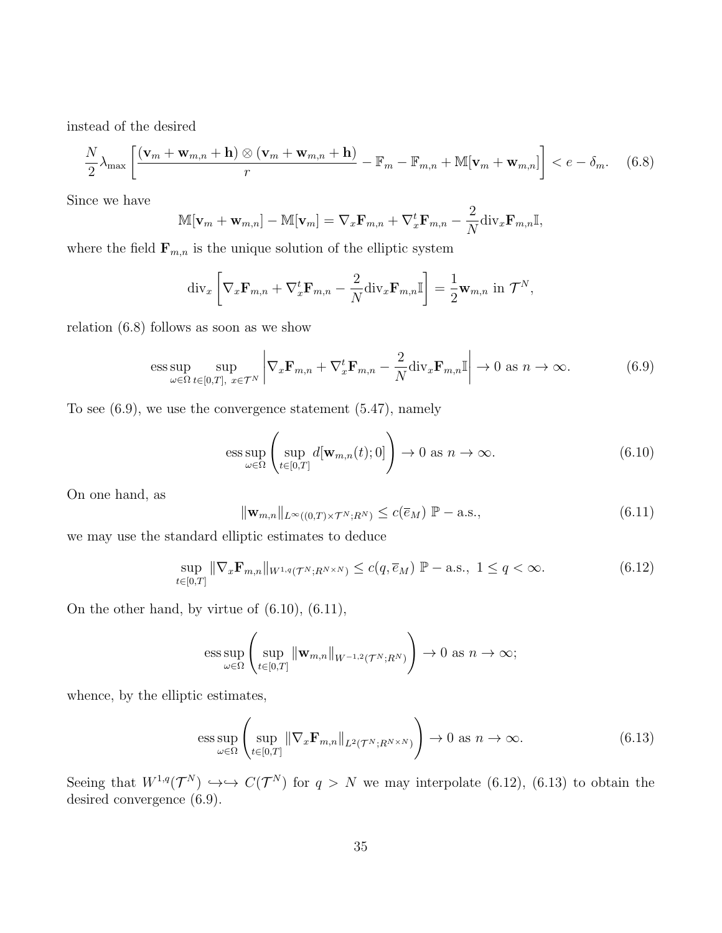instead of the desired

$$
\frac{N}{2}\lambda_{\max}\left[\frac{(\mathbf{v}_m + \mathbf{w}_{m,n} + \mathbf{h}) \otimes (\mathbf{v}_m + \mathbf{w}_{m,n} + \mathbf{h})}{r} - \mathbb{F}_m - \mathbb{F}_{m,n} + \mathbb{M}[\mathbf{v}_m + \mathbf{w}_{m,n}]\right] < e - \delta_m. \tag{6.8}
$$

Since we have

$$
\mathbb{M}[\mathbf{v}_m + \mathbf{w}_{m,n}] - \mathbb{M}[\mathbf{v}_m] = \nabla_x \mathbf{F}_{m,n} + \nabla_x^t \mathbf{F}_{m,n} - \frac{2}{N} \text{div}_x \mathbf{F}_{m,n} \mathbb{I},
$$

where the field  $\mathbf{F}_{m,n}$  is the unique solution of the elliptic system

$$
\operatorname{div}_x \left[ \nabla_x \mathbf{F}_{m,n} + \nabla_x^t \mathbf{F}_{m,n} - \frac{2}{N} \operatorname{div}_x \mathbf{F}_{m,n} \mathbb{I} \right] = \frac{1}{2} \mathbf{w}_{m,n} \text{ in } \mathcal{T}^N,
$$

relation (6.8) follows as soon as we show

$$
\underset{\omega \in \Omega}{\text{ess sup}} \underset{t \in [0,T], \ x \in \mathcal{T}^N}{\text{sup}} \left| \nabla_x \mathbf{F}_{m,n} + \nabla_x^t \mathbf{F}_{m,n} - \frac{2}{N} \text{div}_x \mathbf{F}_{m,n} \mathbb{I} \right| \to 0 \text{ as } n \to \infty. \tag{6.9}
$$

To see (6.9), we use the convergence statement (5.47), namely

$$
\underset{\omega \in \Omega}{\text{ess sup}} \left( \underset{t \in [0,T]}{\text{sup }} d[\mathbf{w}_{m,n}(t);0] \right) \to 0 \text{ as } n \to \infty. \tag{6.10}
$$

On one hand, as

$$
\|\mathbf{w}_{m,n}\|_{L^{\infty}((0,T)\times\mathcal{T}^N;R^N)} \le c(\overline{e}_M) \mathbb{P}-\text{a.s.},\tag{6.11}
$$

we may use the standard elliptic estimates to deduce

$$
\sup_{t\in[0,T]}\|\nabla_x\mathbf{F}_{m,n}\|_{W^{1,q}(\mathcal{T}^N;R^{N\times N})}\le c(q,\overline{e}_M)\ \mathbb{P}-\text{a.s.,}\ 1\le q<\infty.
$$
\n(6.12)

On the other hand, by virtue of (6.10), (6.11),

ess sup 
$$
\left(\sup_{t\in[0,T]}\|\mathbf{w}_{m,n}\|_{W^{-1,2}(\mathcal{T}^N;R^N)}\right)\to 0
$$
 as  $n\to\infty$ ;

whence, by the elliptic estimates,

$$
\underset{\omega \in \Omega}{\text{ess sup}} \left( \underset{t \in [0,T]}{\text{sup}} \left\| \nabla_x \mathbf{F}_{m,n} \right\|_{L^2(\mathcal{T}^N; R^{N \times N})} \right) \to 0 \text{ as } n \to \infty. \tag{6.13}
$$

Seeing that  $W^{1,q}(\mathcal{T}^N) \hookrightarrow \hookrightarrow C(\mathcal{T}^N)$  for  $q > N$  we may interpolate (6.12), (6.13) to obtain the desired convergence (6.9).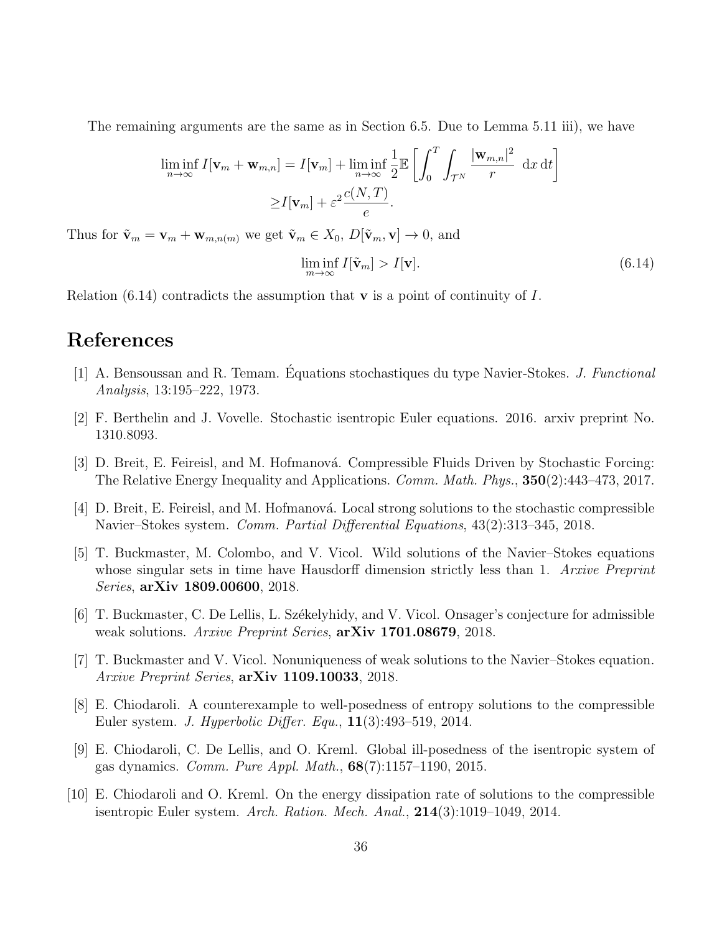The remaining arguments are the same as in Section 6.5. Due to Lemma 5.11 iii), we have

$$
\liminf_{n \to \infty} I[\mathbf{v}_m + \mathbf{w}_{m,n}] = I[\mathbf{v}_m] + \liminf_{n \to \infty} \frac{1}{2} \mathbb{E} \left[ \int_0^T \int_{\mathcal{T}^N} \frac{|\mathbf{w}_{m,n}|^2}{r} dx dt \right]
$$

$$
\geq I[\mathbf{v}_m] + \varepsilon^2 \frac{c(N,T)}{e}.
$$

Thus for  $\tilde{\mathbf{v}}_m = \mathbf{v}_m + \mathbf{w}_{m,n(m)}$  we get  $\tilde{\mathbf{v}}_m \in X_0$ ,  $D[\tilde{\mathbf{v}}_m, \mathbf{v}] \to 0$ , and

$$
\liminf_{m \to \infty} I[\tilde{\mathbf{v}}_m] > I[\mathbf{v}]. \tag{6.14}
$$

Relation (6.14) contradicts the assumption that  $\bf{v}$  is a point of continuity of I.

## References

- [1] A. Bensoussan and R. Temam. Equations stochastiques du type Navier-Stokes. *J. Functional* Analysis, 13:195–222, 1973.
- [2] F. Berthelin and J. Vovelle. Stochastic isentropic Euler equations. 2016. arxiv preprint No. 1310.8093.
- [3] D. Breit, E. Feireisl, and M. Hofmanová. Compressible Fluids Driven by Stochastic Forcing: The Relative Energy Inequality and Applications. Comm. Math. Phys., 350(2):443–473, 2017.
- [4] D. Breit, E. Feireisl, and M. Hofmanová. Local strong solutions to the stochastic compressible Navier–Stokes system. Comm. Partial Differential Equations, 43(2):313–345, 2018.
- [5] T. Buckmaster, M. Colombo, and V. Vicol. Wild solutions of the Navier–Stokes equations whose singular sets in time have Hausdorff dimension strictly less than 1. Arxive Preprint Series, arXiv 1809.00600, 2018.
- [6] T. Buckmaster, C. De Lellis, L. Székelyhidy, and V. Vicol. Onsager's conjecture for admissible weak solutions. Arxive Preprint Series,  $\arXiv$  1701.08679, 2018.
- [7] T. Buckmaster and V. Vicol. Nonuniqueness of weak solutions to the Navier–Stokes equation. Arxive Preprint Series,  $arXiv$  1109.10033, 2018.
- [8] E. Chiodaroli. A counterexample to well-posedness of entropy solutions to the compressible Euler system. J. Hyperbolic Differ. Equ., 11(3):493–519, 2014.
- [9] E. Chiodaroli, C. De Lellis, and O. Kreml. Global ill-posedness of the isentropic system of gas dynamics. Comm. Pure Appl. Math., 68(7):1157–1190, 2015.
- [10] E. Chiodaroli and O. Kreml. On the energy dissipation rate of solutions to the compressible isentropic Euler system. Arch. Ration. Mech. Anal., 214(3):1019–1049, 2014.